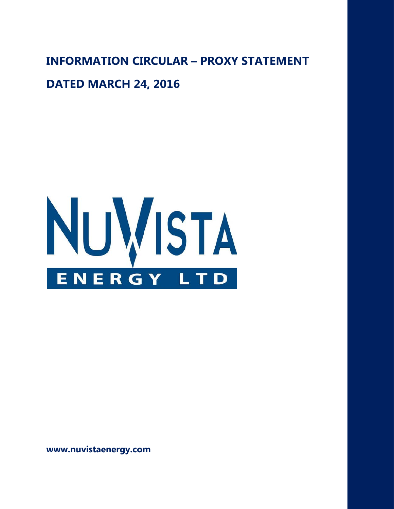**INFORMATION CIRCULAR – PROXY STATEMENT**

### **DATED MARCH 24, 2016**



**www.nuvistaenergy.com**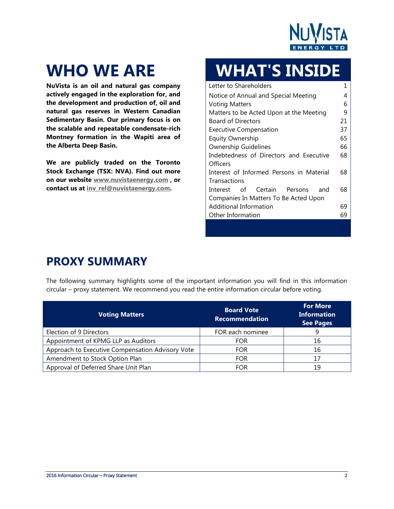

**NuVista is an oil and natural gas company actively engaged in the exploration for, and the development and production of, oil and natural gas reserves in Western Canadian Sedimentary Basin. Our primary focus is on the scalable and repeatable condensate-rich Montney formation in the Wapiti area of the Alberta Deep Basin.** 

**We are publicly traded on the Toronto Stock Exchange (TSX: NVA). Find out more on our website [www.nuvistaenergy.com](http://www.nuvistaenergy.com/) , or contact us at [inv\\_rel@nuvistaenergy.com.](mailto:inv_rel@nuvistaenergy.com)**

# **WHO WE ARE WHAT'S INSIDE**

| Letter to Shareholders                   | 1  |
|------------------------------------------|----|
| Notice of Annual and Special Meeting     | 4  |
| <b>Voting Matters</b>                    | 6  |
| Matters to be Acted Upon at the Meeting  | 9  |
| <b>Board of Directors</b>                | 21 |
| <b>Executive Compensation</b>            | 37 |
| <b>Equity Ownership</b>                  | 65 |
| <b>Ownership Guidelines</b>              | 66 |
| Indebtedness of Directors and Executive  | 68 |
| Officers                                 |    |
| Interest of Informed Persons in Material | 68 |
| Transactions                             |    |
| Interest of Certain Persons<br>– and     | 68 |
| Companies In Matters To Be Acted Upon    |    |
| Additional Information                   | 69 |
| Other Information                        | 69 |

## **PROXY SUMMARY**

The following summary highlights some of the important information you will find in this information circular – proxy statement. We recommend you read the entire information circular before voting.

| <b>Voting Matters</b>                            | <b>Board Vote</b><br><b>Recommendation</b> | <b>For More</b><br><b>Information</b><br><b>See Pages</b> |
|--------------------------------------------------|--------------------------------------------|-----------------------------------------------------------|
| Election of 9 Directors                          | FOR each nominee                           | 9                                                         |
| Appointment of KPMG LLP as Auditors              | <b>FOR</b>                                 | 16                                                        |
| Approach to Executive Compensation Advisory Vote | <b>FOR</b>                                 | 16                                                        |
| Amendment to Stock Option Plan                   | <b>FOR</b>                                 | 17                                                        |
| Approval of Deferred Share Unit Plan             | <b>FOR</b>                                 | 19                                                        |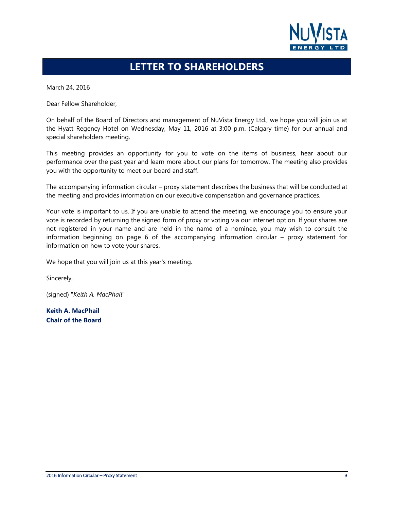

### **LETTER TO SHAREHOLDERS**

March 24, 2016

Dear Fellow Shareholder,

On behalf of the Board of Directors and management of NuVista Energy Ltd., we hope you will join us at the Hyatt Regency Hotel on Wednesday, May 11, 2016 at 3:00 p.m. (Calgary time) for our annual and special shareholders meeting.

This meeting provides an opportunity for you to vote on the items of business, hear about our performance over the past year and learn more about our plans for tomorrow. The meeting also provides you with the opportunity to meet our board and staff.

The accompanying information circular – proxy statement describes the business that will be conducted at the meeting and provides information on our executive compensation and governance practices.

Your vote is important to us. If you are unable to attend the meeting, we encourage you to ensure your vote is recorded by returning the signed form of proxy or voting via our internet option. If your shares are not registered in your name and are held in the name of a nominee, you may wish to consult the information beginning on page 6 of the accompanying information circular – proxy statement for information on how to vote your shares.

We hope that you will join us at this year's meeting.

Sincerely,

(signed) "*Keith A. MacPhail*"

**Keith A. MacPhail Chair of the Board**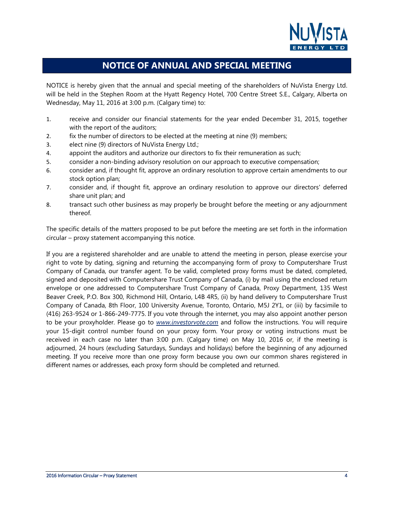

### **NOTICE OF ANNUAL AND SPECIAL MEETING**

<span id="page-3-0"></span>NOTICE is hereby given that the annual and special meeting of the shareholders of NuVista Energy Ltd. will be held in the Stephen Room at the Hyatt Regency Hotel, 700 Centre Street S.E., Calgary, Alberta on Wednesday, May 11, 2016 at 3:00 p.m. (Calgary time) to:

- 1. receive and consider our financial statements for the year ended December 31, 2015, together with the report of the auditors;
- 2. fix the number of directors to be elected at the meeting at nine (9) members;
- 3. elect nine (9) directors of NuVista Energy Ltd.;
- 4. appoint the auditors and authorize our directors to fix their remuneration as such;
- 5. consider a non-binding advisory resolution on our approach to executive compensation;
- 6. consider and, if thought fit, approve an ordinary resolution to approve certain amendments to our stock option plan;
- 7. consider and, if thought fit, approve an ordinary resolution to approve our directors' deferred share unit plan; and
- 8. transact such other business as may properly be brought before the meeting or any adjournment thereof.

The specific details of the matters proposed to be put before the meeting are set forth in the information circular – proxy statement accompanying this notice.

If you are a registered shareholder and are unable to attend the meeting in person, please exercise your right to vote by dating, signing and returning the accompanying form of proxy to Computershare Trust Company of Canada, our transfer agent. To be valid, completed proxy forms must be dated, completed, signed and deposited with Computershare Trust Company of Canada, (i) by mail using the enclosed return envelope or one addressed to Computershare Trust Company of Canada, Proxy Department, 135 West Beaver Creek, P.O. Box 300, Richmond Hill, Ontario, L4B 4R5, (ii) by hand delivery to Computershare Trust Company of Canada, 8th Floor, 100 University Avenue, Toronto, Ontario, M5J 2Y1, or (iii) by facsimile to (416) 263-9524 or 1-866-249-7775. If you vote through the internet, you may also appoint another person to be your proxyholder. Please go to *www.investorvote.com* and follow the instructions. You will require your 15-digit control number found on your proxy form. Your proxy or voting instructions must be received in each case no later than 3:00 p.m. (Calgary time) on May 10, 2016 or, if the meeting is adjourned, 24 hours (excluding Saturdays, Sundays and holidays) before the beginning of any adjourned meeting. If you receive more than one proxy form because you own our common shares registered in different names or addresses, each proxy form should be completed and returned.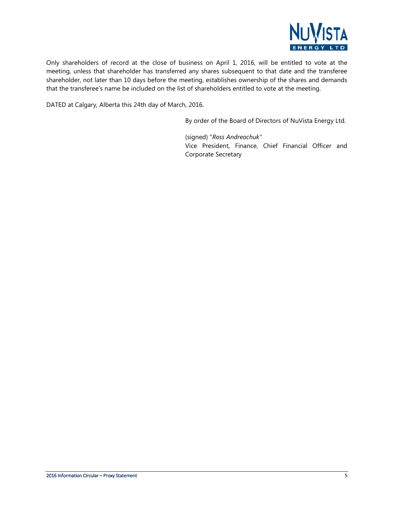

Only shareholders of record at the close of business on April 1, 2016, will be entitled to vote at the meeting, unless that shareholder has transferred any shares subsequent to that date and the transferee shareholder, not later than 10 days before the meeting, establishes ownership of the shares and demands that the transferee's name be included on the list of shareholders entitled to vote at the meeting.

DATED at Calgary, Alberta this 24th day of March, 2016.

By order of the Board of Directors of NuVista Energy Ltd.

(signed) "*Ross Andreachuk"* Vice President, Finance, Chief Financial Officer and Corporate Secretary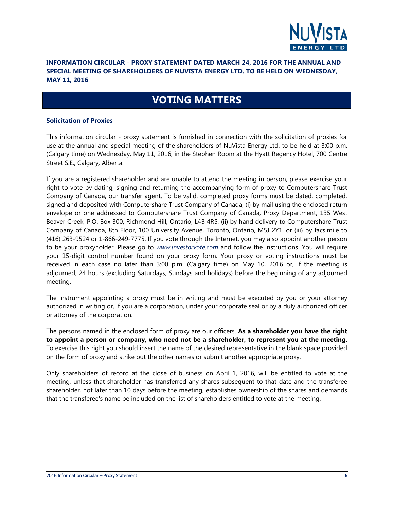

### **INFORMATION CIRCULAR - PROXY STATEMENT DATED MARCH 24, 2016 FOR THE ANNUAL AND SPECIAL MEETING OF SHAREHOLDERS OF NUVISTA ENERGY LTD. TO BE HELD ON WEDNESDAY, MAY 11, 2016**

### **VOTING MATTERS**

#### <span id="page-5-0"></span>**Solicitation of Proxies**

This information circular - proxy statement is furnished in connection with the solicitation of proxies for use at the annual and special meeting of the shareholders of NuVista Energy Ltd. to be held at 3:00 p.m. (Calgary time) on Wednesday, May 11, 2016, in the Stephen Room at the Hyatt Regency Hotel, 700 Centre Street S.E., Calgary, Alberta.

If you are a registered shareholder and are unable to attend the meeting in person, please exercise your right to vote by dating, signing and returning the accompanying form of proxy to Computershare Trust Company of Canada, our transfer agent. To be valid, completed proxy forms must be dated, completed, signed and deposited with Computershare Trust Company of Canada, (i) by mail using the enclosed return envelope or one addressed to Computershare Trust Company of Canada, Proxy Department, 135 West Beaver Creek, P.O. Box 300, Richmond Hill, Ontario, L4B 4R5, (ii) by hand delivery to Computershare Trust Company of Canada, 8th Floor, 100 University Avenue, Toronto, Ontario, M5J 2Y1, or (iii) by facsimile to (416) 263-9524 or 1-866-249-7775. If you vote through the Internet, you may also appoint another person to be your proxyholder. Please go to *www.investorvote.com* and follow the instructions. You will require your 15-digit control number found on your proxy form. Your proxy or voting instructions must be received in each case no later than 3:00 p.m. (Calgary time) on May 10, 2016 or, if the meeting is adjourned, 24 hours (excluding Saturdays, Sundays and holidays) before the beginning of any adjourned meeting.

The instrument appointing a proxy must be in writing and must be executed by you or your attorney authorized in writing or, if you are a corporation, under your corporate seal or by a duly authorized officer or attorney of the corporation.

The persons named in the enclosed form of proxy are our officers. **As a shareholder you have the right to appoint a person or company, who need not be a shareholder, to represent you at the meeting**. To exercise this right you should insert the name of the desired representative in the blank space provided on the form of proxy and strike out the other names or submit another appropriate proxy.

Only shareholders of record at the close of business on April 1, 2016, will be entitled to vote at the meeting, unless that shareholder has transferred any shares subsequent to that date and the transferee shareholder, not later than 10 days before the meeting, establishes ownership of the shares and demands that the transferee's name be included on the list of shareholders entitled to vote at the meeting.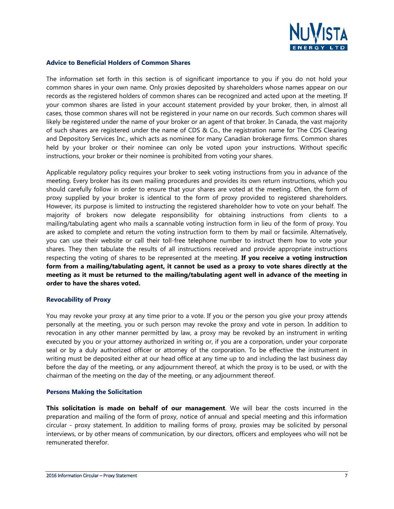

#### **Advice to Beneficial Holders of Common Shares**

The information set forth in this section is of significant importance to you if you do not hold your common shares in your own name. Only proxies deposited by shareholders whose names appear on our records as the registered holders of common shares can be recognized and acted upon at the meeting. If your common shares are listed in your account statement provided by your broker, then, in almost all cases, those common shares will not be registered in your name on our records. Such common shares will likely be registered under the name of your broker or an agent of that broker. In Canada, the vast majority of such shares are registered under the name of CDS & Co., the registration name for The CDS Clearing and Depository Services Inc., which acts as nominee for many Canadian brokerage firms. Common shares held by your broker or their nominee can only be voted upon your instructions. Without specific instructions, your broker or their nominee is prohibited from voting your shares.

Applicable regulatory policy requires your broker to seek voting instructions from you in advance of the meeting. Every broker has its own mailing procedures and provides its own return instructions, which you should carefully follow in order to ensure that your shares are voted at the meeting. Often, the form of proxy supplied by your broker is identical to the form of proxy provided to registered shareholders. However, its purpose is limited to instructing the registered shareholder how to vote on your behalf. The majority of brokers now delegate responsibility for obtaining instructions from clients to a mailing/tabulating agent who mails a scannable voting instruction form in lieu of the form of proxy. You are asked to complete and return the voting instruction form to them by mail or facsimile. Alternatively, you can use their website or call their toll-free telephone number to instruct them how to vote your shares. They then tabulate the results of all instructions received and provide appropriate instructions respecting the voting of shares to be represented at the meeting. **If you receive a voting instruction form from a mailing/tabulating agent, it cannot be used as a proxy to vote shares directly at the meeting as it must be returned to the mailing/tabulating agent well in advance of the meeting in order to have the shares voted.**

#### **Revocability of Proxy**

You may revoke your proxy at any time prior to a vote. If you or the person you give your proxy attends personally at the meeting, you or such person may revoke the proxy and vote in person. In addition to revocation in any other manner permitted by law, a proxy may be revoked by an instrument in writing executed by you or your attorney authorized in writing or, if you are a corporation, under your corporate seal or by a duly authorized officer or attorney of the corporation. To be effective the instrument in writing must be deposited either at our head office at any time up to and including the last business day before the day of the meeting, or any adjournment thereof, at which the proxy is to be used, or with the chairman of the meeting on the day of the meeting, or any adjournment thereof.

#### **Persons Making the Solicitation**

**This solicitation is made on behalf of our management**. We will bear the costs incurred in the preparation and mailing of the form of proxy, notice of annual and special meeting and this information circular - proxy statement. In addition to mailing forms of proxy, proxies may be solicited by personal interviews, or by other means of communication, by our directors, officers and employees who will not be remunerated therefor.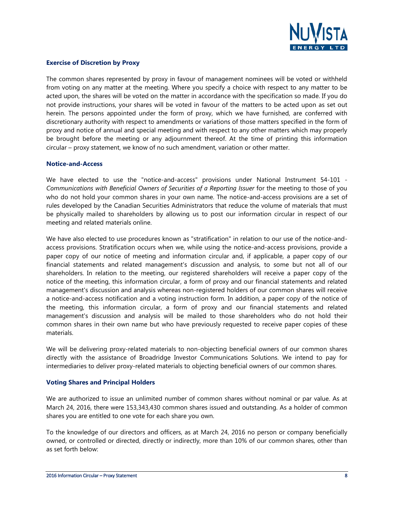

#### **Exercise of Discretion by Proxy**

The common shares represented by proxy in favour of management nominees will be voted or withheld from voting on any matter at the meeting. Where you specify a choice with respect to any matter to be acted upon, the shares will be voted on the matter in accordance with the specification so made. If you do not provide instructions, your shares will be voted in favour of the matters to be acted upon as set out herein. The persons appointed under the form of proxy, which we have furnished, are conferred with discretionary authority with respect to amendments or variations of those matters specified in the form of proxy and notice of annual and special meeting and with respect to any other matters which may properly be brought before the meeting or any adjournment thereof. At the time of printing this information circular – proxy statement, we know of no such amendment, variation or other matter.

#### **Notice-and-Access**

We have elected to use the "notice-and-access" provisions under National Instrument 54-101 - *Communications with Beneficial Owners of Securities of a Reporting Issuer* for the meeting to those of you who do not hold your common shares in your own name. The notice-and-access provisions are a set of rules developed by the Canadian Securities Administrators that reduce the volume of materials that must be physically mailed to shareholders by allowing us to post our information circular in respect of our meeting and related materials online.

We have also elected to use procedures known as "stratification" in relation to our use of the notice-andaccess provisions. Stratification occurs when we, while using the notice-and-access provisions, provide a paper copy of our notice of meeting and information circular and, if applicable, a paper copy of our financial statements and related management's discussion and analysis, to some but not all of our shareholders. In relation to the meeting, our registered shareholders will receive a paper copy of the notice of the meeting, this information circular, a form of proxy and our financial statements and related management's discussion and analysis whereas non-registered holders of our common shares will receive a notice-and-access notification and a voting instruction form. In addition, a paper copy of the notice of the meeting, this information circular, a form of proxy and our financial statements and related management's discussion and analysis will be mailed to those shareholders who do not hold their common shares in their own name but who have previously requested to receive paper copies of these materials.

We will be delivering proxy-related materials to non-objecting beneficial owners of our common shares directly with the assistance of Broadridge Investor Communications Solutions. We intend to pay for intermediaries to deliver proxy-related materials to objecting beneficial owners of our common shares.

#### **Voting Shares and Principal Holders**

We are authorized to issue an unlimited number of common shares without nominal or par value. As at March 24, 2016, there were 153,343,430 common shares issued and outstanding. As a holder of common shares you are entitled to one vote for each share you own.

To the knowledge of our directors and officers, as at March 24, 2016 no person or company beneficially owned, or controlled or directed, directly or indirectly, more than 10% of our common shares, other than as set forth below: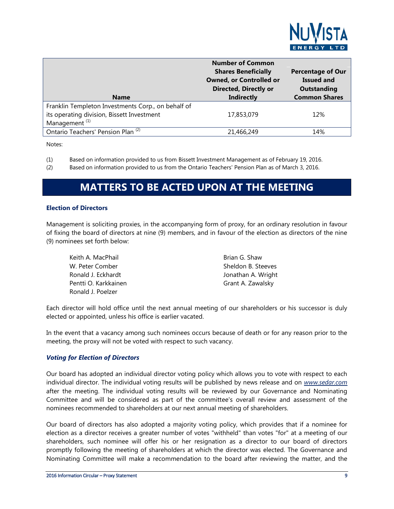

| <b>Name</b>                                                                                                                   | <b>Number of Common</b><br><b>Shares Beneficially</b><br><b>Owned, or Controlled or</b><br><b>Directed, Directly or</b><br><b>Indirectly</b> | <b>Percentage of Our</b><br><b>Issued and</b><br>Outstanding<br><b>Common Shares</b> |
|-------------------------------------------------------------------------------------------------------------------------------|----------------------------------------------------------------------------------------------------------------------------------------------|--------------------------------------------------------------------------------------|
| Franklin Templeton Investments Corp., on behalf of<br>its operating division, Bissett Investment<br>Management <sup>(1)</sup> | 17,853,079                                                                                                                                   | 12%                                                                                  |
| Ontario Teachers' Pension Plan <sup>(2)</sup>                                                                                 | 21,466,249                                                                                                                                   | 14%                                                                                  |

Notes:

(1) Based on information provided to us from Bissett Investment Management as of February 19, 2016.

<span id="page-8-0"></span>(2) Based on information provided to us from the Ontario Teachers' Pension Plan as of March 3, 2016.

### **MATTERS TO BE ACTED UPON AT THE MEETING**

#### <span id="page-8-1"></span>**Election of Directors**

Management is soliciting proxies, in the accompanying form of proxy, for an ordinary resolution in favour of fixing the board of directors at nine (9) members, and in favour of the election as directors of the nine (9) nominees set forth below:

| Keith A. MacPhail    | Brian G. Shaw      |
|----------------------|--------------------|
| W. Peter Comber      | Sheldon B. Steeves |
| Ronald J. Eckhardt   | Jonathan A. Wright |
| Pentti O. Karkkainen | Grant A. Zawalsky  |
| Ronald J. Poelzer    |                    |

Each director will hold office until the next annual meeting of our shareholders or his successor is duly elected or appointed, unless his office is earlier vacated.

In the event that a vacancy among such nominees occurs because of death or for any reason prior to the meeting, the proxy will not be voted with respect to such vacancy.

#### *Voting for Election of Directors*

Our board has adopted an individual director voting policy which allows you to vote with respect to each individual director. The individual voting results will be published by news release and on *www.sedar.com* after the meeting. The individual voting results will be reviewed by our Governance and Nominating Committee and will be considered as part of the committee's overall review and assessment of the nominees recommended to shareholders at our next annual meeting of shareholders.

Our board of directors has also adopted a majority voting policy, which provides that if a nominee for election as a director receives a greater number of votes "withheld" than votes "for" at a meeting of our shareholders, such nominee will offer his or her resignation as a director to our board of directors promptly following the meeting of shareholders at which the director was elected. The Governance and Nominating Committee will make a recommendation to the board after reviewing the matter, and the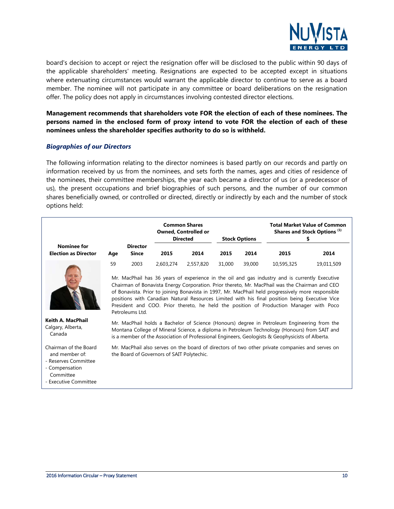

board's decision to accept or reject the resignation offer will be disclosed to the public within 90 days of the applicable shareholders' meeting. Resignations are expected to be accepted except in situations where extenuating circumstances would warrant the applicable director to continue to serve as a board member. The nominee will not participate in any committee or board deliberations on the resignation offer. The policy does not apply in circumstances involving contested director elections.

**Management recommends that shareholders vote FOR the election of each of these nominees. The persons named in the enclosed form of proxy intend to vote FOR the election of each of these nominees unless the shareholder specifies authority to do so is withheld.**

#### *Biographies of our Directors*

The following information relating to the director nominees is based partly on our records and partly on information received by us from the nominees, and sets forth the names, ages and cities of residence of the nominees, their committee memberships, the year each became a director of us (or a predecessor of us), the present occupations and brief biographies of such persons, and the number of our common shares beneficially owned, or controlled or directed, directly or indirectly by each and the number of stock options held:

|                                                   |     |                          |                                            | <b>Common Shares</b><br><b>Owned, Controlled or</b><br><b>Directed</b> |        | <b>Stock Options</b> |                                                                                                                                                                                                                                                                                                                                                                                                                                                                                                                  | <b>Total Market Value of Common</b><br>Shares and Stock Options <sup>(1)</sup> |
|---------------------------------------------------|-----|--------------------------|--------------------------------------------|------------------------------------------------------------------------|--------|----------------------|------------------------------------------------------------------------------------------------------------------------------------------------------------------------------------------------------------------------------------------------------------------------------------------------------------------------------------------------------------------------------------------------------------------------------------------------------------------------------------------------------------------|--------------------------------------------------------------------------------|
| <b>Nominee for</b><br><b>Election as Director</b> | Age | <b>Director</b><br>Since | 2015                                       | 2014                                                                   | 2015   | 2014                 | 2015                                                                                                                                                                                                                                                                                                                                                                                                                                                                                                             | 2014                                                                           |
|                                                   | 59  | 2003<br>Petroleums Ltd.  | 2,603,274                                  | 2,557,820                                                              | 31,000 | 39,000               | 10,595,325<br>Mr. MacPhail has 36 years of experience in the oil and gas industry and is currently Executive<br>Chairman of Bonavista Energy Corporation. Prior thereto, Mr. MacPhail was the Chairman and CEO<br>of Bonavista. Prior to joining Bonavista in 1997, Mr. MacPhail held progressively more responsible<br>positions with Canadian Natural Resources Limited with his final position being Executive Vice<br>President and COO. Prior thereto, he held the position of Production Manager with Poco | 19,011,509                                                                     |
| Keith A. MacPhail<br>Calgary, Alberta,<br>Canada  |     |                          |                                            |                                                                        |        |                      | Mr. MacPhail holds a Bachelor of Science (Honours) degree in Petroleum Engineering from the<br>Montana College of Mineral Science, a diploma in Petroleum Technology (Honours) from SAIT and<br>is a member of the Association of Professional Engineers, Geologists & Geophysicists of Alberta.                                                                                                                                                                                                                 |                                                                                |
| Chairman of the Board<br>and member of:           |     |                          | the Board of Governors of SAIT Polytechic. |                                                                        |        |                      | Mr. MacPhail also serves on the board of directors of two other private companies and serves on                                                                                                                                                                                                                                                                                                                                                                                                                  |                                                                                |

- Reserves Committee
- Compensation
- Committee
- Executive Committee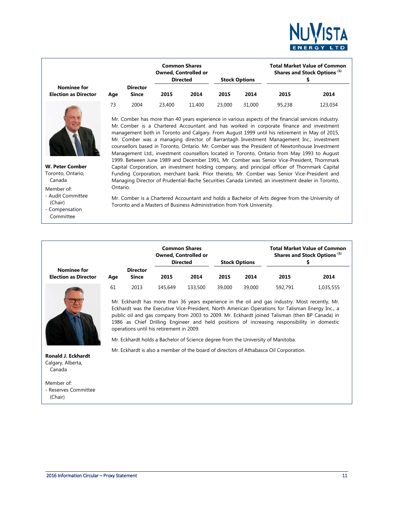

|                                         |     |                                 |        | <b>Common Shares</b><br><b>Owned, Controlled or</b><br><b>Directed</b> |        | <b>Stock Options</b> | <b>Total Market Value of Common</b><br>Shares and Stock Options <sup>(1)</sup> |         |  |
|-----------------------------------------|-----|---------------------------------|--------|------------------------------------------------------------------------|--------|----------------------|--------------------------------------------------------------------------------|---------|--|
| <b>Nominee for</b><br>ction as Director | Age | <b>Director</b><br><b>Since</b> | 2015   | 2014                                                                   | 2015   | 2014                 | 2015                                                                           | 2014    |  |
|                                         | 73  | 2004                            | 23,400 | 11,400                                                                 | 23,000 | 31,000               | 95.238                                                                         | 123,034 |  |



**W. Peter Comber** Toronto, Ontario, Canada

Ontario.

Member of:

**Election** 

- Audit Committee (Chair) - Compensation

Committee

Mr. Comber is a Chartered Accountant and holds a Bachelor of Arts degree from the University of Toronto and a Masters of Business Administration from York University.

Mr. Comber has more than 40 years experience in various aspects of the financial services industry. Mr. Comber is a Chartered Accountant and has worked in corporate finance and investment management both in Toronto and Calgary. From August 1999 until his retirement in May of 2015, Mr. Comber was a managing director of Barrantagh Investment Management Inc., investment counsellors based in Toronto, Ontario. Mr. Comber was the President of Newtonhouse Investment Management Ltd., investment counsellors located in Toronto, Ontario from May 1993 to August 1999. Between June 1989 and December 1991, Mr. Comber was Senior Vice-President, Thornmark Capital Corporation, an investment holding company, and principal officer of Thornmark Capital Funding Corporation, merchant bank. Prior thereto, Mr. Comber was Senior Vice-President and Managing Director of Prudential-Bache Securities Canada Limited, an investment dealer in Toronto,

|                                            |     |                                 |              | <b>Common Shares</b><br><b>Owned, Controlled or</b><br><b>Directed</b> |        | <b>Stock Options</b> |         | <b>Total Market Value of Common</b><br>Shares and Stock Options <sup>(1)</sup> |
|--------------------------------------------|-----|---------------------------------|--------------|------------------------------------------------------------------------|--------|----------------------|---------|--------------------------------------------------------------------------------|
| Nominee for<br><b>Election as Director</b> | Age | <b>Director</b><br><b>Since</b> | 2015<br>2014 |                                                                        | 2015   | 2014                 | 2015    | 2014                                                                           |
|                                            | 61  | 2013                            | 145,649      | 133,500                                                                | 39,000 | 39.000               | 592.791 | 1,035,555                                                                      |

Mr. Eckhardt has more than 36 years experience in the oil and gas industry. Most recently, Mr. Eckhardt was the Executive Vice-President, North American Operations for Talisman Energy Inc., a public oil and gas company from 2003 to 2009. Mr. Eckhardt joined Talisman (then BP Canada) in 1986 as Chief Drilling Engineer and held positions of increasing responsibility in domestic operations until his retirement in 2009.

Mr. Eckhardt holds a Bachelor of Science degree from the University of Manitoba.

Mr. Eckhardt is also a member of the board of directors of Athabasca Oil Corporation.

**Ronald J. Eckhardt** Calgary, Alberta, Canada

#### Member of:

- Reserves Committee

(Chair)

2016 Information Circular – Proxy Statement 11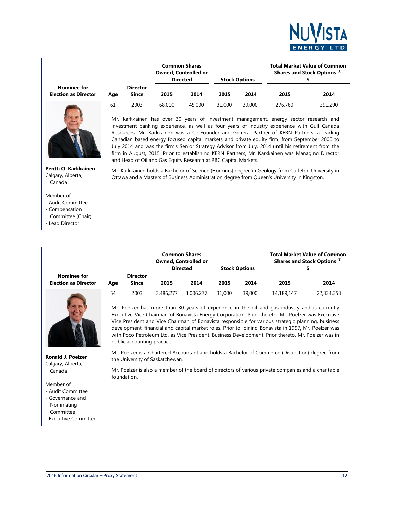

|                                            |     |                          |        | <b>Common Shares</b><br><b>Owned, Controlled or</b><br><b>Directed</b> |        | <b>Stock Options</b> |         | <b>Total Market Value of Common</b><br>Shares and Stock Options <sup>(1)</sup> |
|--------------------------------------------|-----|--------------------------|--------|------------------------------------------------------------------------|--------|----------------------|---------|--------------------------------------------------------------------------------|
| Nominee for<br><b>Election as Director</b> | Age | <b>Director</b><br>Since | 2015   | 2014                                                                   | 2015   | 2014                 | 2015    | 2014                                                                           |
|                                            | 61  | 2003                     | 68,000 | 45,000                                                                 | 31,000 | 39,000               | 276,760 | 391,290                                                                        |



Mr. Karkkainen has over 30 years of investment management, energy sector research and investment banking experience, as well as four years of industry experience with Gulf Canada Resources. Mr. Karkkainen was a Co-Founder and General Partner of KERN Partners, a leading Canadian based energy focused capital markets and private equity firm, from September 2000 to July 2014 and was the firm's Senior Strategy Advisor from July, 2014 until his retirement from the firm in August, 2015. Prior to establishing KERN Partners, Mr. Karkkainen was Managing Director and Head of Oil and Gas Equity Research at RBC Capital Markets.

Mr. Karkkainen holds a Bachelor of Science (Honours) degree in Geology from Carleton University in Ottawa and a Masters of Business Administration degree from Queen's University in Kingston.

**Pentti O. Karkkainen** Calgary, Alberta, Canada

#### Member of:

- Audit Committee
- Compensation
- Committee (Chair)
- Lead Director

|                                            |     |                                 |              | <b>Common Shares</b><br><b>Owned, Controlled or</b><br><b>Directed</b> |        | <b>Stock Options</b> |            | <b>Total Market Value of Common</b><br>Shares and Stock Options <sup>(1)</sup> |
|--------------------------------------------|-----|---------------------------------|--------------|------------------------------------------------------------------------|--------|----------------------|------------|--------------------------------------------------------------------------------|
| Nominee for<br><b>Election as Director</b> | Age | <b>Director</b><br><b>Since</b> | 2014<br>2015 |                                                                        | 2015   | 2014                 | 2015       | 2014                                                                           |
|                                            | 54  | 2003                            | 3,486,277    | 3.006.277                                                              | 31,000 | 39,000               | 14,189,147 | 22,334,353                                                                     |

Mr. Poelzer has more than 30 years of experience in the oil and gas industry and is currently Executive Vice Chairman of Bonavista Energy Corporation. Prior thereto, Mr. Poelzer was Executive Vice President and Vice Chairman of Bonavista responsible for various strategic planning, business development, financial and capital market roles. Prior to joining Bonavista in 1997, Mr. Poelzer was with Poco Petroleum Ltd. as Vice President, Business Development. Prior thereto, Mr. Poelzer was in public accounting practice.

Mr. Poelzer is a Chartered Accountant and holds a Bachelor of Commerce (Distinction) degree from the University of Saskatchewan.

Mr. Poelzer is also a member of the board of directors of various private companies and a charitable foundation.



**Ronald J. Poelzer** Calgary, Alberta, Canada

#### Member of:

- Audit Committee
- Governance and
- Nominating
- Committee
- Executive Committee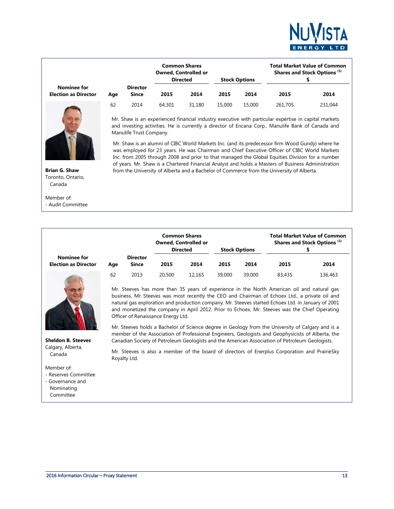

|                                            |     |                          |        | <b>Common Shares</b><br><b>Owned, Controlled or</b><br><b>Directed</b> |        | <b>Stock Options</b> |         | <b>Total Market Value of Common</b><br>Shares and Stock Options <sup>(1)</sup> |
|--------------------------------------------|-----|--------------------------|--------|------------------------------------------------------------------------|--------|----------------------|---------|--------------------------------------------------------------------------------|
| Nominee for<br><b>Election as Director</b> | Age | <b>Director</b><br>Since | 2015   | 2014                                                                   | 2015   | 2014                 | 2015    | 2014                                                                           |
|                                            | 62  | 2014                     | 64,301 | 31.180                                                                 | 15,000 | 15,000               | 261,705 | 231,044                                                                        |

Mr. Shaw is an experienced financial industry executive with particular expertise in capital markets and investing activities. He is currently a director of Encana Corp., Manulife Bank of Canada and Manulife Trust Company.

Mr. Shaw is an alumni of CIBC World Markets Inc. (and its predecessor firm Wood Gundy) where he was employed for 23 years. He was Chairman and Chief Executive Officer of CIBC World Markets Inc. from 2005 through 2008 and prior to that managed the Global Equities Division for a number of years. Mr. Shaw is a Chartered Financial Analyst and holds a Masters of Business Administration from the University of Alberta and a Bachelor of Commerce from the University of Alberta.

**Brian G. Shaw** Toronto, Ontario, Canada

Member of: - Audit Committe

**Election** as

|                                         |     |                                 |        | <b>Common Shares</b><br><b>Owned, Controlled or</b><br><b>Directed</b> |        | <b>Stock Options</b> |        | <b>Total Market Value of Common</b><br>Shares and Stock Options <sup>(1)</sup> |
|-----------------------------------------|-----|---------------------------------|--------|------------------------------------------------------------------------|--------|----------------------|--------|--------------------------------------------------------------------------------|
| <b>Nominee for</b><br>ction as Director | Aae | <b>Director</b><br><b>Since</b> | 2015   | 2014                                                                   | 2015   | 2014                 | 2015   | 2014                                                                           |
|                                         | 62  | 2013                            | 20,500 | 12.165                                                                 | 39.000 | 39,000               | 83,435 | 136,463                                                                        |

Mr. Steeves has more than 35 years of experience in the North American oil and natural gas business. Mr. Steeves was most recently the CEO and Chairman of Echoex Ltd., a private oil and natural gas exploration and production company. Mr. Steeves started Echoex Ltd. in January of 2001 and monetized the company in April 2012. Prior to Echoex, Mr. Steeves was the Chief Operating Officer of Renaissance Energy Ltd.

Mr. Steeves holds a Bachelor of Science degree in Geology from the University of Calgary and is a member of the Association of Professional Engineers, Geologists and Geophysicists of Alberta, the Canadian Society of Petroleum Geologists and the American Association of Petroleum Geologists.

Mr. Steeves is also a member of the board of directors of Enerplus Corporation and PrairieSky Royalty Ltd.

Member of:

- Reserves Committee
- Governance and

**Sheldon B. Steeves** Calgary, Alberta, Canada

- Nominating
- Committee

| <b>Common Shares</b> | <b>Total Market Value of Common</b> |
|----------------------|-------------------------------------|
|                      |                                     |
|                      |                                     |
| ee                   |                                     |
|                      |                                     |
|                      |                                     |
|                      |                                     |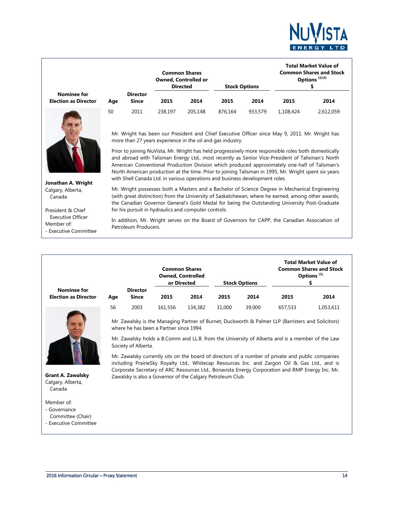

|                                            |     |                                 | <b>Common Shares</b><br><b>Owned, Controlled or</b><br><b>Directed</b><br><b>Stock Options</b> |         |         | <b>Total Market Value of</b><br><b>Common Shares and Stock</b><br>Options <sup>(1)(2)</sup> |           |           |
|--------------------------------------------|-----|---------------------------------|------------------------------------------------------------------------------------------------|---------|---------|---------------------------------------------------------------------------------------------|-----------|-----------|
| Nominee for<br><b>Election as Director</b> | Age | <b>Director</b><br><b>Since</b> | 2015                                                                                           | 2014    | 2015    | 2014                                                                                        | 2015      | 2014      |
|                                            | 50  | 2011                            | 238.197                                                                                        | 205,148 | 876.164 | 933,579                                                                                     | 1.108.424 | 2,612,059 |



Mr. Wright has been our President and Chief Executive Officer since May 9, 2011. Mr. Wright has more than 27 years experience in the oil and gas industry.

Prior to joining NuVista, Mr. Wright has held progressively more responsible roles both domestically and abroad with Talisman Energy Ltd., most recently as Senior Vice-President of Talisman's North American Conventional Production Division which produced approximately one-half of Talisman's North American production at the time. Prior to joining Talisman in 1995, Mr. Wright spent six years with Shell Canada Ltd. in various operations and business development roles.

Mr. Wright possesses both a Masters and a Bachelor of Science Degree in Mechanical Engineering

**Jonathan A. Wright**  Calgary, Alberta, Canada

- Executive Committee

Member of:

President & Chief Executive Officer (with great distinction) from the University of Saskatchewan, where he earned, among other awards, the Canadian Governor General's Gold Medal for being the Outstanding University Post-Graduate for his pursuit in hydraulics and computer controls.

In addition, Mr. Wright serves on the Board of Governors for CAPP, the Canadian Association of Petroleum Producers.

|                                            |     |                                 |         | <b>Common Shares</b><br><b>Owned, Controlled</b><br>or Directed<br><b>Stock Options</b> |        |        | <b>Total Market Value of</b><br><b>Common Shares and Stock</b><br>Options <sup>(1)</sup> |           |  |
|--------------------------------------------|-----|---------------------------------|---------|-----------------------------------------------------------------------------------------|--------|--------|------------------------------------------------------------------------------------------|-----------|--|
| Nominee for<br><b>Election as Director</b> | Age | <b>Director</b><br><b>Since</b> | 2015    | 2014                                                                                    | 2015   | 2014   | 2015                                                                                     | 2014      |  |
|                                            | 56  | 2003                            | 161,556 | 134,382                                                                                 | 31,000 | 39,000 | 657,533                                                                                  | 1,053,611 |  |



**Grant A. Zawalsky** Calgary, Alberta, Canada

Member of:

- Governance
- Committee (Chair)
- Executive Committee

Mr. Zawalsky is the Managing Partner of Burnet, Duckworth & Palmer LLP (Barristers and Solicitors) where he has been a Partner since 1994.

Mr. Zawalsky holds a B.Comm and LL.B. from the University of Alberta and is a member of the Law Society of Alberta.

Mr. Zawalsky currently sits on the board of directors of a number of private and public companies including PrairieSky Royalty Ltd., Whitecap Resources Inc. and Zargon Oil & Gas Ltd., and is Corporate Secretary of ARC Resources Ltd., Bonavista Energy Corporation and RMP Energy Inc. Mr. Zawalsky is also a Governor of the Calgary Petroleum Club.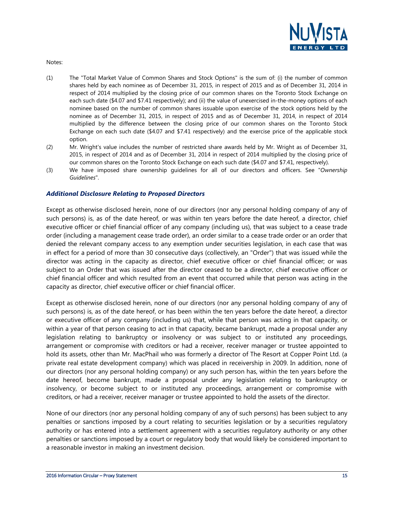

Notes:

- (1) The "Total Market Value of Common Shares and Stock Options" is the sum of: (i) the number of common shares held by each nominee as of December 31, 2015, in respect of 2015 and as of December 31, 2014 in respect of 2014 multiplied by the closing price of our common shares on the Toronto Stock Exchange on each such date (\$4.07 and \$7.41 respectively); and (ii) the value of unexercised in-the-money options of each nominee based on the number of common shares issuable upon exercise of the stock options held by the nominee as of December 31, 2015, in respect of 2015 and as of December 31, 2014, in respect of 2014 multiplied by the difference between the closing price of our common shares on the Toronto Stock Exchange on each such date (\$4.07 and \$7.41 respectively) and the exercise price of the applicable stock option.
- (2) Mr. Wright's value includes the number of restricted share awards held by Mr. Wright as of December 31, 2015, in respect of 2014 and as of December 31, 2014 in respect of 2014 multiplied by the closing price of our common shares on the Toronto Stock Exchange on each such date (\$4.07 and \$7.41, respectively).
- (3) We have imposed share ownership guidelines for all of our directors and officers. See "*Ownership Guidelines*".

#### *Additional Disclosure Relating to Proposed Directors*

Except as otherwise disclosed herein, none of our directors (nor any personal holding company of any of such persons) is, as of the date hereof, or was within ten years before the date hereof, a director, chief executive officer or chief financial officer of any company (including us), that was subject to a cease trade order (including a management cease trade order), an order similar to a cease trade order or an order that denied the relevant company access to any exemption under securities legislation, in each case that was in effect for a period of more than 30 consecutive days (collectively, an "Order") that was issued while the director was acting in the capacity as director, chief executive officer or chief financial officer; or was subject to an Order that was issued after the director ceased to be a director, chief executive officer or chief financial officer and which resulted from an event that occurred while that person was acting in the capacity as director, chief executive officer or chief financial officer.

Except as otherwise disclosed herein, none of our directors (nor any personal holding company of any of such persons) is, as of the date hereof, or has been within the ten years before the date hereof, a director or executive officer of any company (including us) that, while that person was acting in that capacity, or within a year of that person ceasing to act in that capacity, became bankrupt, made a proposal under any legislation relating to bankruptcy or insolvency or was subject to or instituted any proceedings, arrangement or compromise with creditors or had a receiver, receiver manager or trustee appointed to hold its assets, other than Mr. MacPhail who was formerly a director of The Resort at Copper Point Ltd. (a private real estate development company) which was placed in receivership in 2009. In addition, none of our directors (nor any personal holding company) or any such person has, within the ten years before the date hereof, become bankrupt, made a proposal under any legislation relating to bankruptcy or insolvency, or become subject to or instituted any proceedings, arrangement or compromise with creditors, or had a receiver, receiver manager or trustee appointed to hold the assets of the director.

None of our directors (nor any personal holding company of any of such persons) has been subject to any penalties or sanctions imposed by a court relating to securities legislation or by a securities regulatory authority or has entered into a settlement agreement with a securities regulatory authority or any other penalties or sanctions imposed by a court or regulatory body that would likely be considered important to a reasonable investor in making an investment decision.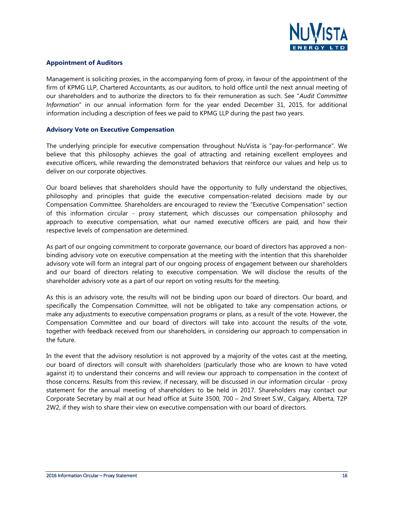

#### <span id="page-15-0"></span>**Appointment of Auditors**

Management is soliciting proxies, in the accompanying form of proxy, in favour of the appointment of the firm of KPMG LLP, Chartered Accountants, as our auditors, to hold office until the next annual meeting of our shareholders and to authorize the directors to fix their remuneration as such. See "*Audit Committee Information*" in our annual information form for the year ended December 31, 2015, for additional information including a description of fees we paid to KPMG LLP during the past two years.

#### <span id="page-15-1"></span>**Advisory Vote on Executive Compensation**

The underlying principle for executive compensation throughout NuVista is "pay-for-performance". We believe that this philosophy achieves the goal of attracting and retaining excellent employees and executive officers, while rewarding the demonstrated behaviors that reinforce our values and help us to deliver on our corporate objectives.

Our board believes that shareholders should have the opportunity to fully understand the objectives, philosophy and principles that guide the executive compensation-related decisions made by our Compensation Committee. Shareholders are encouraged to review the "Executive Compensation" section of this information circular - proxy statement, which discusses our compensation philosophy and approach to executive compensation, what our named executive officers are paid, and how their respective levels of compensation are determined.

As part of our ongoing commitment to corporate governance, our board of directors has approved a nonbinding advisory vote on executive compensation at the meeting with the intention that this shareholder advisory vote will form an integral part of our ongoing process of engagement between our shareholders and our board of directors relating to executive compensation. We will disclose the results of the shareholder advisory vote as a part of our report on voting results for the meeting.

As this is an advisory vote, the results will not be binding upon our board of directors. Our board, and specifically the Compensation Committee, will not be obligated to take any compensation actions, or make any adjustments to executive compensation programs or plans, as a result of the vote. However, the Compensation Committee and our board of directors will take into account the results of the vote, together with feedback received from our shareholders, in considering our approach to compensation in the future.

In the event that the advisory resolution is not approved by a majority of the votes cast at the meeting, our board of directors will consult with shareholders (particularly those who are known to have voted against it) to understand their concerns and will review our approach to compensation in the context of those concerns. Results from this review, if necessary, will be discussed in our information circular - proxy statement for the annual meeting of shareholders to be held in 2017. Shareholders may contact our Corporate Secretary by mail at our head office at Suite 3500, 700 – 2nd Street S.W., Calgary, Alberta, T2P 2W2, if they wish to share their view on executive compensation with our board of directors.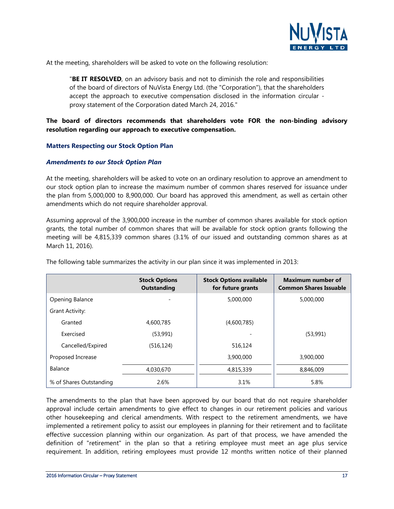

At the meeting, shareholders will be asked to vote on the following resolution:

"**BE IT RESOLVED**, on an advisory basis and not to diminish the role and responsibilities of the board of directors of NuVista Energy Ltd. (the "Corporation"), that the shareholders accept the approach to executive compensation disclosed in the information circular proxy statement of the Corporation dated March 24, 2016."

#### **The board of directors recommends that shareholders vote FOR the non-binding advisory resolution regarding our approach to executive compensation.**

#### **Matters Respecting our Stock Option Plan**

#### <span id="page-16-0"></span>*Amendments to our Stock Option Plan*

At the meeting, shareholders will be asked to vote on an ordinary resolution to approve an amendment to our stock option plan to increase the maximum number of common shares reserved for issuance under the plan from 5,000,000 to 8,900,000. Our board has approved this amendment, as well as certain other amendments which do not require shareholder approval.

Assuming approval of the 3,900,000 increase in the number of common shares available for stock option grants, the total number of common shares that will be available for stock option grants following the meeting will be 4,815,339 common shares (3.1% of our issued and outstanding common shares as at March 11, 2016).

|                         | <b>Stock Options</b><br><b>Outstanding</b> | <b>Stock Options available</b><br>for future grants | <b>Maximum number of</b><br><b>Common Shares Issuable</b> |
|-------------------------|--------------------------------------------|-----------------------------------------------------|-----------------------------------------------------------|
| Opening Balance         |                                            | 5,000,000                                           | 5,000,000                                                 |
| Grant Activity:         |                                            |                                                     |                                                           |
| Granted                 | 4,600,785                                  | (4,600,785)                                         |                                                           |
| Exercised               | (53,991)                                   |                                                     | (53,991)                                                  |
| Cancelled/Expired       | (516, 124)                                 | 516,124                                             |                                                           |
| Proposed Increase       |                                            | 3,900,000                                           | 3,900,000                                                 |
| Balance                 | 4,030,670                                  | 4,815,339                                           | 8,846,009                                                 |
| % of Shares Outstanding | 2.6%                                       | 3.1%                                                | 5.8%                                                      |

The following table summarizes the activity in our plan since it was implemented in 2013:

The amendments to the plan that have been approved by our board that do not require shareholder approval include certain amendments to give effect to changes in our retirement policies and various other housekeeping and clerical amendments. With respect to the retirement amendments, we have implemented a retirement policy to assist our employees in planning for their retirement and to facilitate effective succession planning within our organization. As part of that process, we have amended the definition of "retirement" in the plan so that a retiring employee must meet an age plus service requirement. In addition, retiring employees must provide 12 months written notice of their planned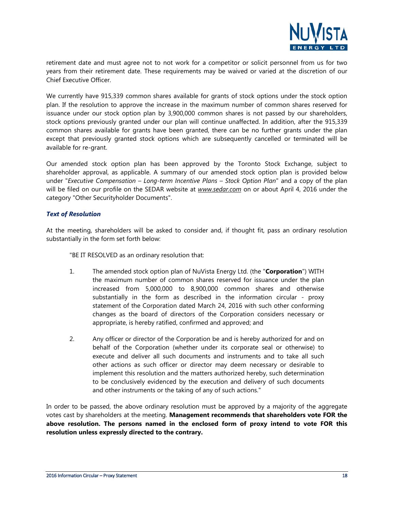

retirement date and must agree not to not work for a competitor or solicit personnel from us for two years from their retirement date. These requirements may be waived or varied at the discretion of our Chief Executive Officer.

We currently have 915,339 common shares available for grants of stock options under the stock option plan. If the resolution to approve the increase in the maximum number of common shares reserved for issuance under our stock option plan by 3,900,000 common shares is not passed by our shareholders, stock options previously granted under our plan will continue unaffected. In addition, after the 915,339 common shares available for grants have been granted, there can be no further grants under the plan except that previously granted stock options which are subsequently cancelled or terminated will be available for re-grant.

Our amended stock option plan has been approved by the Toronto Stock Exchange, subject to shareholder approval, as applicable. A summary of our amended stock option plan is provided below under "*Executive Compensation – Long-term Incentive Plans – Stock Option Plan*" and a copy of the plan will be filed on our profile on the SEDAR website at *www.sedar.com* on or about April 4, 2016 under the category "Other Securityholder Documents".

#### *Text of Resolution*

At the meeting, shareholders will be asked to consider and, if thought fit, pass an ordinary resolution substantially in the form set forth below:

"BE IT RESOLVED as an ordinary resolution that:

- 1. The amended stock option plan of NuVista Energy Ltd. (the "**Corporation**") WITH the maximum number of common shares reserved for issuance under the plan increased from 5,000,000 to 8,900,000 common shares and otherwise substantially in the form as described in the information circular - proxy statement of the Corporation dated March 24, 2016 with such other conforming changes as the board of directors of the Corporation considers necessary or appropriate, is hereby ratified, confirmed and approved; and
- 2. Any officer or director of the Corporation be and is hereby authorized for and on behalf of the Corporation (whether under its corporate seal or otherwise) to execute and deliver all such documents and instruments and to take all such other actions as such officer or director may deem necessary or desirable to implement this resolution and the matters authorized hereby, such determination to be conclusively evidenced by the execution and delivery of such documents and other instruments or the taking of any of such actions."

In order to be passed, the above ordinary resolution must be approved by a majority of the aggregate votes cast by shareholders at the meeting. **Management recommends that shareholders vote FOR the above resolution. The persons named in the enclosed form of proxy intend to vote FOR this resolution unless expressly directed to the contrary.**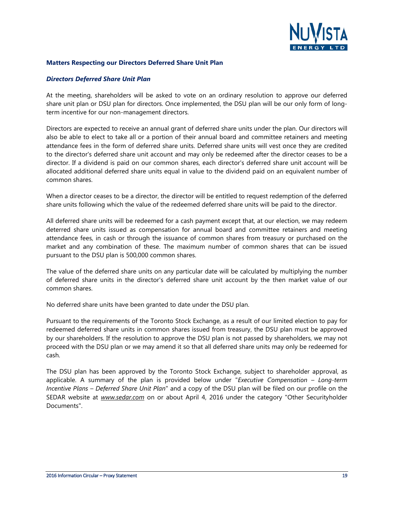

#### <span id="page-18-0"></span>**Matters Respecting our Directors Deferred Share Unit Plan**

#### *Directors Deferred Share Unit Plan*

At the meeting, shareholders will be asked to vote on an ordinary resolution to approve our deferred share unit plan or DSU plan for directors. Once implemented, the DSU plan will be our only form of longterm incentive for our non-management directors.

Directors are expected to receive an annual grant of deferred share units under the plan. Our directors will also be able to elect to take all or a portion of their annual board and committee retainers and meeting attendance fees in the form of deferred share units. Deferred share units will vest once they are credited to the director's deferred share unit account and may only be redeemed after the director ceases to be a director. If a dividend is paid on our common shares, each director's deferred share unit account will be allocated additional deferred share units equal in value to the dividend paid on an equivalent number of common shares.

When a director ceases to be a director, the director will be entitled to request redemption of the deferred share units following which the value of the redeemed deferred share units will be paid to the director.

All deferred share units will be redeemed for a cash payment except that, at our election, we may redeem deterred share units issued as compensation for annual board and committee retainers and meeting attendance fees, in cash or through the issuance of common shares from treasury or purchased on the market and any combination of these. The maximum number of common shares that can be issued pursuant to the DSU plan is 500,000 common shares.

The value of the deferred share units on any particular date will be calculated by multiplying the number of deferred share units in the director's deferred share unit account by the then market value of our common shares.

No deferred share units have been granted to date under the DSU plan.

Pursuant to the requirements of the Toronto Stock Exchange, as a result of our limited election to pay for redeemed deferred share units in common shares issued from treasury, the DSU plan must be approved by our shareholders. If the resolution to approve the DSU plan is not passed by shareholders, we may not proceed with the DSU plan or we may amend it so that all deferred share units may only be redeemed for cash.

The DSU plan has been approved by the Toronto Stock Exchange, subject to shareholder approval, as applicable. A summary of the plan is provided below under "*Executive Compensation – Long-term Incentive Plans – Deferred Share Unit Plan*" and a copy of the DSU plan will be filed on our profile on the SEDAR website at *www.sedar.com* on or about April 4, 2016 under the category "Other Securityholder Documents".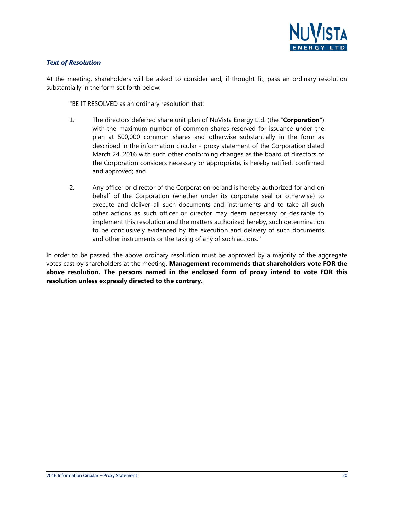

#### *Text of Resolution*

At the meeting, shareholders will be asked to consider and, if thought fit, pass an ordinary resolution substantially in the form set forth below:

"BE IT RESOLVED as an ordinary resolution that:

- 1. The directors deferred share unit plan of NuVista Energy Ltd. (the "**Corporation**") with the maximum number of common shares reserved for issuance under the plan at 500,000 common shares and otherwise substantially in the form as described in the information circular - proxy statement of the Corporation dated March 24, 2016 with such other conforming changes as the board of directors of the Corporation considers necessary or appropriate, is hereby ratified, confirmed and approved; and
- 2. Any officer or director of the Corporation be and is hereby authorized for and on behalf of the Corporation (whether under its corporate seal or otherwise) to execute and deliver all such documents and instruments and to take all such other actions as such officer or director may deem necessary or desirable to implement this resolution and the matters authorized hereby, such determination to be conclusively evidenced by the execution and delivery of such documents and other instruments or the taking of any of such actions."

In order to be passed, the above ordinary resolution must be approved by a majority of the aggregate votes cast by shareholders at the meeting. **Management recommends that shareholders vote FOR the above resolution. The persons named in the enclosed form of proxy intend to vote FOR this resolution unless expressly directed to the contrary.**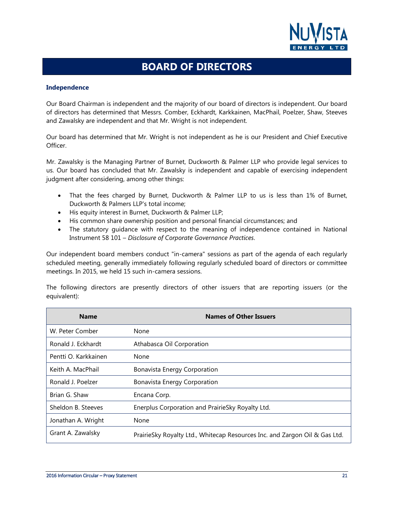

### **BOARD OF DIRECTORS**

#### <span id="page-20-0"></span>**Independence**

Our Board Chairman is independent and the majority of our board of directors is independent. Our board of directors has determined that Messrs. Comber, Eckhardt, Karkkainen, MacPhail, Poelzer, Shaw, Steeves and Zawalsky are independent and that Mr. Wright is not independent.

Our board has determined that Mr. Wright is not independent as he is our President and Chief Executive Officer.

Mr. Zawalsky is the Managing Partner of Burnet, Duckworth & Palmer LLP who provide legal services to us. Our board has concluded that Mr. Zawalsky is independent and capable of exercising independent judgment after considering, among other things:

- That the fees charged by Burnet, Duckworth & Palmer LLP to us is less than 1% of Burnet, Duckworth & Palmers LLP's total income;
- His equity interest in Burnet, Duckworth & Palmer LLP;
- His common share ownership position and personal financial circumstances; and
- The statutory guidance with respect to the meaning of independence contained in National Instrument 58 101 – *Disclosure of Corporate Governance Practices*.

Our independent board members conduct "in-camera" sessions as part of the agenda of each regularly scheduled meeting, generally immediately following regularly scheduled board of directors or committee meetings. In 2015, we held 15 such in-camera sessions.

The following directors are presently directors of other issuers that are reporting issuers (or the equivalent):

| <b>Name</b>          | <b>Names of Other Issuers</b>                                              |
|----------------------|----------------------------------------------------------------------------|
| W. Peter Comber      | None                                                                       |
| Ronald J. Eckhardt   | Athabasca Oil Corporation                                                  |
| Pentti O. Karkkainen | None                                                                       |
| Keith A. MacPhail    | <b>Bonavista Energy Corporation</b>                                        |
| Ronald J. Poelzer    | Bonavista Energy Corporation                                               |
| Brian G. Shaw        | Encana Corp.                                                               |
| Sheldon B. Steeves   | Enerplus Corporation and PrairieSky Royalty Ltd.                           |
| Jonathan A. Wright   | None                                                                       |
| Grant A. Zawalsky    | PrairieSky Royalty Ltd., Whitecap Resources Inc. and Zargon Oil & Gas Ltd. |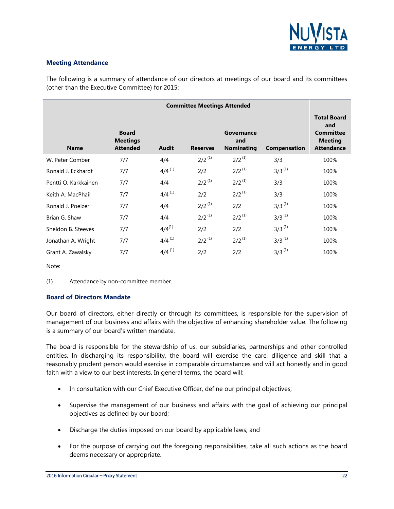

#### **Meeting Attendance**

The following is a summary of attendance of our directors at meetings of our board and its committees (other than the Executive Committee) for 2015:

| <b>Name</b>          | <b>Board</b><br><b>Meetings</b><br><b>Attended</b> | Audit       | <b>Reserves</b> | Governance<br>and<br><b>Nominating</b> | <b>Compensation</b> | <b>Total Board</b><br>and<br><b>Committee</b><br><b>Meeting</b><br><b>Attendance</b> |
|----------------------|----------------------------------------------------|-------------|-----------------|----------------------------------------|---------------------|--------------------------------------------------------------------------------------|
| W. Peter Comber      | 7/7                                                | 4/4         | $2/2^{(1)}$     | $2/2^{(1)}$                            | 3/3                 | 100%                                                                                 |
| Ronald J. Eckhardt   | 7/7                                                | $4/4^{(1)}$ | 2/2             | $2/2^{(1)}$                            | $3/3^{(1)}$         | 100%                                                                                 |
| Pentti O. Karkkainen | 7/7                                                | 4/4         | $2/2^{(1)}$     | $2/2^{(1)}$                            | 3/3                 | 100%                                                                                 |
| Keith A. MacPhail    | 7/7                                                | $4/4^{(1)}$ | 2/2             | $2/2^{(1)}$                            | 3/3                 | 100%                                                                                 |
| Ronald J. Poelzer    | 7/7                                                | 4/4         | $2/2^{(1)}$     | 2/2                                    | $3/3^{(1)}$         | 100%                                                                                 |
| Brian G. Shaw        | 7/7                                                | 4/4         | $2/2^{(1)}$     | $2/2^{(1)}$                            | $3/3^{(1)}$         | 100%                                                                                 |
| Sheldon B. Steeves   | 7/7                                                | $4/4^{(1)}$ | 2/2             | 2/2                                    | $3/3^{(1)}$         | 100%                                                                                 |
| Jonathan A. Wright   | 7/7                                                | $4/4^{(1)}$ | $2/2^{(1)}$     | $2/2^{(1)}$                            | $3/3^{(1)}$         | 100%                                                                                 |
| Grant A. Zawalsky    | 7/7                                                | $4/4^{(1)}$ | 2/2             | 2/2                                    | $3/3^{(1)}$         | 100%                                                                                 |

Note:

(1) Attendance by non-committee member.

#### **Board of Directors Mandate**

Our board of directors, either directly or through its committees, is responsible for the supervision of management of our business and affairs with the objective of enhancing shareholder value. The following is a summary of our board's written mandate.

The board is responsible for the stewardship of us, our subsidiaries, partnerships and other controlled entities. In discharging its responsibility, the board will exercise the care, diligence and skill that a reasonably prudent person would exercise in comparable circumstances and will act honestly and in good faith with a view to our best interests. In general terms, the board will:

- In consultation with our Chief Executive Officer, define our principal objectives;
- Supervise the management of our business and affairs with the goal of achieving our principal objectives as defined by our board;
- Discharge the duties imposed on our board by applicable laws; and
- For the purpose of carrying out the foregoing responsibilities, take all such actions as the board deems necessary or appropriate.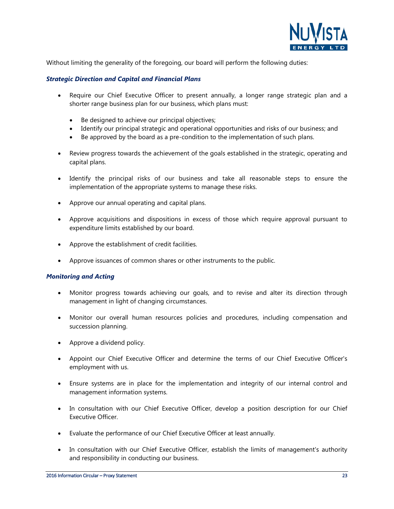

Without limiting the generality of the foregoing, our board will perform the following duties:

#### *Strategic Direction and Capital and Financial Plans*

- Require our Chief Executive Officer to present annually, a longer range strategic plan and a shorter range business plan for our business, which plans must:
	- Be designed to achieve our principal objectives;
	- Identify our principal strategic and operational opportunities and risks of our business; and
	- Be approved by the board as a pre-condition to the implementation of such plans.
- Review progress towards the achievement of the goals established in the strategic, operating and capital plans.
- Identify the principal risks of our business and take all reasonable steps to ensure the implementation of the appropriate systems to manage these risks.
- Approve our annual operating and capital plans.
- Approve acquisitions and dispositions in excess of those which require approval pursuant to expenditure limits established by our board.
- Approve the establishment of credit facilities.
- Approve issuances of common shares or other instruments to the public.

#### *Monitoring and Acting*

- Monitor progress towards achieving our goals, and to revise and alter its direction through management in light of changing circumstances.
- Monitor our overall human resources policies and procedures, including compensation and succession planning.
- Approve a dividend policy.
- Appoint our Chief Executive Officer and determine the terms of our Chief Executive Officer's employment with us.
- Ensure systems are in place for the implementation and integrity of our internal control and management information systems.
- In consultation with our Chief Executive Officer, develop a position description for our Chief Executive Officer.
- Evaluate the performance of our Chief Executive Officer at least annually.
- In consultation with our Chief Executive Officer, establish the limits of management's authority and responsibility in conducting our business.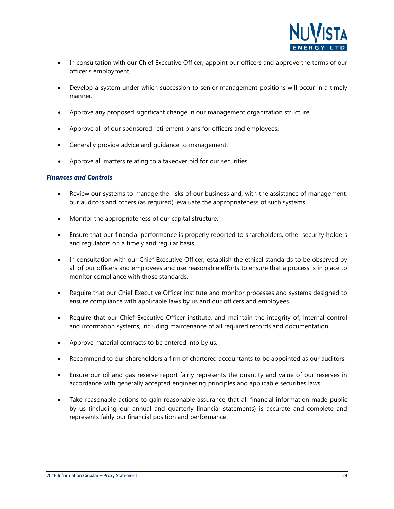

- In consultation with our Chief Executive Officer, appoint our officers and approve the terms of our officer's employment.
- Develop a system under which succession to senior management positions will occur in a timely manner.
- Approve any proposed significant change in our management organization structure.
- Approve all of our sponsored retirement plans for officers and employees.
- Generally provide advice and quidance to management.
- Approve all matters relating to a takeover bid for our securities.

#### *Finances and Controls*

- Review our systems to manage the risks of our business and, with the assistance of management, our auditors and others (as required), evaluate the appropriateness of such systems.
- Monitor the appropriateness of our capital structure.
- Ensure that our financial performance is properly reported to shareholders, other security holders and regulators on a timely and regular basis.
- In consultation with our Chief Executive Officer, establish the ethical standards to be observed by all of our officers and employees and use reasonable efforts to ensure that a process is in place to monitor compliance with those standards.
- Require that our Chief Executive Officer institute and monitor processes and systems designed to ensure compliance with applicable laws by us and our officers and employees.
- Require that our Chief Executive Officer institute, and maintain the integrity of, internal control and information systems, including maintenance of all required records and documentation.
- Approve material contracts to be entered into by us.
- Recommend to our shareholders a firm of chartered accountants to be appointed as our auditors.
- Ensure our oil and gas reserve report fairly represents the quantity and value of our reserves in accordance with generally accepted engineering principles and applicable securities laws.
- Take reasonable actions to gain reasonable assurance that all financial information made public by us (including our annual and quarterly financial statements) is accurate and complete and represents fairly our financial position and performance.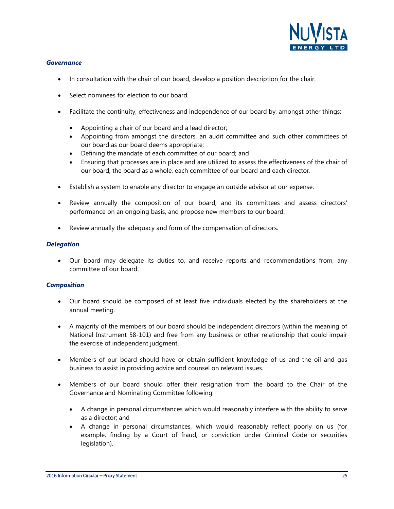

#### *Governance*

- In consultation with the chair of our board, develop a position description for the chair.
- Select nominees for election to our board.
- Facilitate the continuity, effectiveness and independence of our board by, amongst other things:
	- Appointing a chair of our board and a lead director;
	- Appointing from amongst the directors, an audit committee and such other committees of our board as our board deems appropriate;
	- Defining the mandate of each committee of our board; and
	- Ensuring that processes are in place and are utilized to assess the effectiveness of the chair of our board, the board as a whole, each committee of our board and each director.
- Establish a system to enable any director to engage an outside advisor at our expense.
- Review annually the composition of our board, and its committees and assess directors' performance on an ongoing basis, and propose new members to our board.
- Review annually the adequacy and form of the compensation of directors.

#### *Delegation*

• Our board may delegate its duties to, and receive reports and recommendations from, any committee of our board.

#### *Composition*

- Our board should be composed of at least five individuals elected by the shareholders at the annual meeting.
- A majority of the members of our board should be independent directors (within the meaning of National Instrument 58-101) and free from any business or other relationship that could impair the exercise of independent judgment.
- Members of our board should have or obtain sufficient knowledge of us and the oil and gas business to assist in providing advice and counsel on relevant issues.
- Members of our board should offer their resignation from the board to the Chair of the Governance and Nominating Committee following:
	- A change in personal circumstances which would reasonably interfere with the ability to serve as a director; and
	- A change in personal circumstances, which would reasonably reflect poorly on us (for example, finding by a Court of fraud, or conviction under Criminal Code or securities legislation).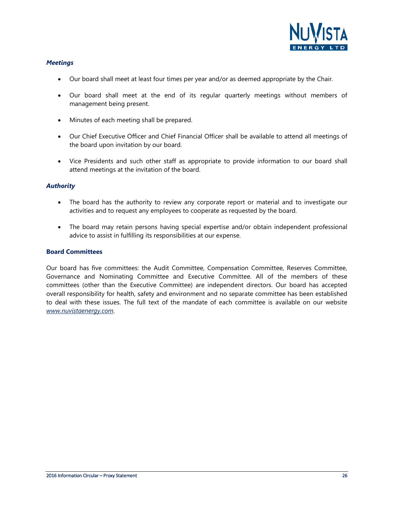

#### *Meetings*

- Our board shall meet at least four times per year and/or as deemed appropriate by the Chair.
- Our board shall meet at the end of its regular quarterly meetings without members of management being present.
- Minutes of each meeting shall be prepared.
- Our Chief Executive Officer and Chief Financial Officer shall be available to attend all meetings of the board upon invitation by our board.
- Vice Presidents and such other staff as appropriate to provide information to our board shall attend meetings at the invitation of the board.

#### *Authority*

- The board has the authority to review any corporate report or material and to investigate our activities and to request any employees to cooperate as requested by the board.
- The board may retain persons having special expertise and/or obtain independent professional advice to assist in fulfilling its responsibilities at our expense.

#### **Board Committees**

Our board has five committees: the Audit Committee, Compensation Committee, Reserves Committee, Governance and Nominating Committee and Executive Committee. All of the members of these committees (other than the Executive Committee) are independent directors. Our board has accepted overall responsibility for health, safety and environment and no separate committee has been established to deal with these issues. The full text of the mandate of each committee is available on our website *www.nuvistaenergy.com*.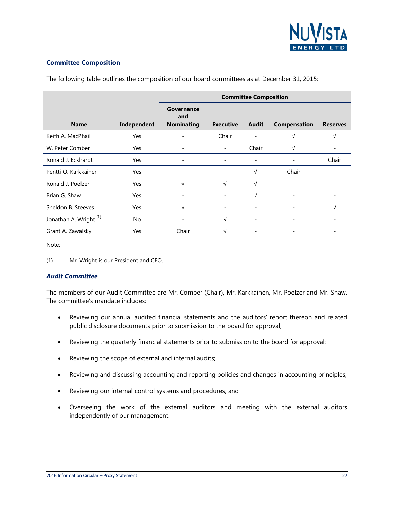

#### **Committee Composition**

|                                   |             | <b>Committee Composition</b>           |                          |                          |                          |                 |  |  |
|-----------------------------------|-------------|----------------------------------------|--------------------------|--------------------------|--------------------------|-----------------|--|--|
| <b>Name</b>                       | Independent | Governance<br>and<br><b>Nominating</b> | <b>Executive</b>         | Audit                    | <b>Compensation</b>      | <b>Reserves</b> |  |  |
| Keith A. MacPhail                 | Yes         |                                        | Chair                    |                          | V                        | √               |  |  |
| W. Peter Comber                   | Yes         |                                        | ۰                        | Chair                    | N                        |                 |  |  |
| Ronald J. Eckhardt                | Yes         |                                        |                          |                          |                          | Chair           |  |  |
| Pentti O. Karkkainen              | Yes         |                                        |                          | $\sqrt{ }$               | Chair                    |                 |  |  |
| Ronald J. Poelzer                 | Yes         | √                                      | $\sqrt{ }$               | $\sqrt{ }$               |                          |                 |  |  |
| Brian G. Shaw                     | <b>Yes</b>  |                                        | -                        | $\sqrt{ }$               | -                        |                 |  |  |
| Sheldon B. Steeves                | <b>Yes</b>  | $\sqrt{}$                              | $\overline{\phantom{a}}$ | $\qquad \qquad -$        | $\qquad \qquad -$        | √               |  |  |
| Jonathan A. Wright <sup>(1)</sup> | <b>No</b>   |                                        | $\sqrt{ }$               | $\overline{\phantom{a}}$ | $\overline{\phantom{a}}$ |                 |  |  |
| Grant A. Zawalsky                 | Yes         | Chair                                  | √                        |                          | -                        |                 |  |  |

The following table outlines the composition of our board committees as at December 31, 2015:

Note:

(1) Mr. Wright is our President and CEO.

#### *Audit Committee*

The members of our Audit Committee are Mr. Comber (Chair), Mr. Karkkainen, Mr. Poelzer and Mr. Shaw. The committee's mandate includes:

- Reviewing our annual audited financial statements and the auditors' report thereon and related public disclosure documents prior to submission to the board for approval;
- Reviewing the quarterly financial statements prior to submission to the board for approval;
- Reviewing the scope of external and internal audits;
- Reviewing and discussing accounting and reporting policies and changes in accounting principles;
- Reviewing our internal control systems and procedures; and
- Overseeing the work of the external auditors and meeting with the external auditors independently of our management.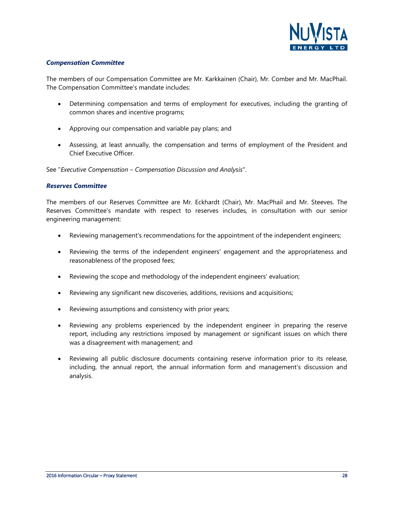

#### *Compensation Committee*

The members of our Compensation Committee are Mr. Karkkainen (Chair), Mr. Comber and Mr. MacPhail. The Compensation Committee's mandate includes:

- Determining compensation and terms of employment for executives, including the granting of common shares and incentive programs;
- Approving our compensation and variable pay plans; and
- Assessing, at least annually, the compensation and terms of employment of the President and Chief Executive Officer.

See "*Executive Compensation – Compensation Discussion and Analysis*".

#### *Reserves Committee*

The members of our Reserves Committee are Mr. Eckhardt (Chair), Mr. MacPhail and Mr. Steeves. The Reserves Committee's mandate with respect to reserves includes, in consultation with our senior engineering management:

- Reviewing management's recommendations for the appointment of the independent engineers;
- Reviewing the terms of the independent engineers' engagement and the appropriateness and reasonableness of the proposed fees;
- Reviewing the scope and methodology of the independent engineers' evaluation;
- Reviewing any significant new discoveries, additions, revisions and acquisitions;
- Reviewing assumptions and consistency with prior years;
- Reviewing any problems experienced by the independent engineer in preparing the reserve report, including any restrictions imposed by management or significant issues on which there was a disagreement with management; and
- Reviewing all public disclosure documents containing reserve information prior to its release, including, the annual report, the annual information form and management's discussion and analysis.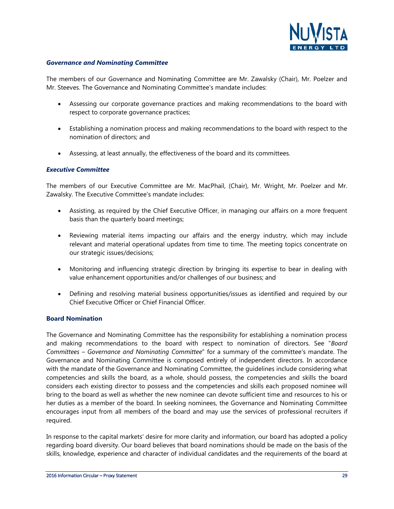

#### *Governance and Nominating Committee*

The members of our Governance and Nominating Committee are Mr. Zawalsky (Chair), Mr. Poelzer and Mr. Steeves. The Governance and Nominating Committee's mandate includes:

- Assessing our corporate governance practices and making recommendations to the board with respect to corporate governance practices;
- Establishing a nomination process and making recommendations to the board with respect to the nomination of directors; and
- Assessing, at least annually, the effectiveness of the board and its committees.

#### *Executive Committee*

The members of our Executive Committee are Mr. MacPhail, (Chair), Mr. Wright, Mr. Poelzer and Mr. Zawalsky. The Executive Committee's mandate includes:

- Assisting, as required by the Chief Executive Officer, in managing our affairs on a more frequent basis than the quarterly board meetings;
- Reviewing material items impacting our affairs and the energy industry, which may include relevant and material operational updates from time to time. The meeting topics concentrate on our strategic issues/decisions;
- Monitoring and influencing strategic direction by bringing its expertise to bear in dealing with value enhancement opportunities and/or challenges of our business; and
- Defining and resolving material business opportunities/issues as identified and required by our Chief Executive Officer or Chief Financial Officer.

#### **Board Nomination**

The Governance and Nominating Committee has the responsibility for establishing a nomination process and making recommendations to the board with respect to nomination of directors. See "*Board Committees – Governance and Nominating Committee*" for a summary of the committee's mandate. The Governance and Nominating Committee is composed entirely of independent directors. In accordance with the mandate of the Governance and Nominating Committee, the guidelines include considering what competencies and skills the board, as a whole, should possess, the competencies and skills the board considers each existing director to possess and the competencies and skills each proposed nominee will bring to the board as well as whether the new nominee can devote sufficient time and resources to his or her duties as a member of the board. In seeking nominees, the Governance and Nominating Committee encourages input from all members of the board and may use the services of professional recruiters if required.

In response to the capital markets' desire for more clarity and information, our board has adopted a policy regarding board diversity. Our board believes that board nominations should be made on the basis of the skills, knowledge, experience and character of individual candidates and the requirements of the board at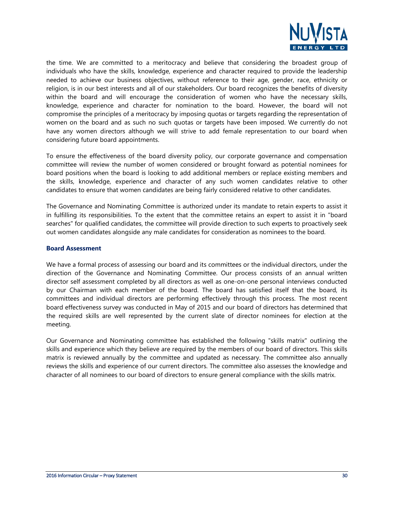

the time. We are committed to a meritocracy and believe that considering the broadest group of individuals who have the skills, knowledge, experience and character required to provide the leadership needed to achieve our business objectives, without reference to their age, gender, race, ethnicity or religion, is in our best interests and all of our stakeholders. Our board recognizes the benefits of diversity within the board and will encourage the consideration of women who have the necessary skills, knowledge, experience and character for nomination to the board. However, the board will not compromise the principles of a meritocracy by imposing quotas or targets regarding the representation of women on the board and as such no such quotas or targets have been imposed. We currently do not have any women directors although we will strive to add female representation to our board when considering future board appointments.

To ensure the effectiveness of the board diversity policy, our corporate governance and compensation committee will review the number of women considered or brought forward as potential nominees for board positions when the board is looking to add additional members or replace existing members and the skills, knowledge, experience and character of any such women candidates relative to other candidates to ensure that women candidates are being fairly considered relative to other candidates.

The Governance and Nominating Committee is authorized under its mandate to retain experts to assist it in fulfilling its responsibilities. To the extent that the committee retains an expert to assist it in "board searches" for qualified candidates, the committee will provide direction to such experts to proactively seek out women candidates alongside any male candidates for consideration as nominees to the board.

#### **Board Assessment**

We have a formal process of assessing our board and its committees or the individual directors, under the direction of the Governance and Nominating Committee. Our process consists of an annual written director self assessment completed by all directors as well as one-on-one personal interviews conducted by our Chairman with each member of the board. The board has satisfied itself that the board, its committees and individual directors are performing effectively through this process. The most recent board effectiveness survey was conducted in May of 2015 and our board of directors has determined that the required skills are well represented by the current slate of director nominees for election at the meeting.

Our Governance and Nominating committee has established the following "skills matrix" outlining the skills and experience which they believe are required by the members of our board of directors. This skills matrix is reviewed annually by the committee and updated as necessary. The committee also annually reviews the skills and experience of our current directors. The committee also assesses the knowledge and character of all nominees to our board of directors to ensure general compliance with the skills matrix.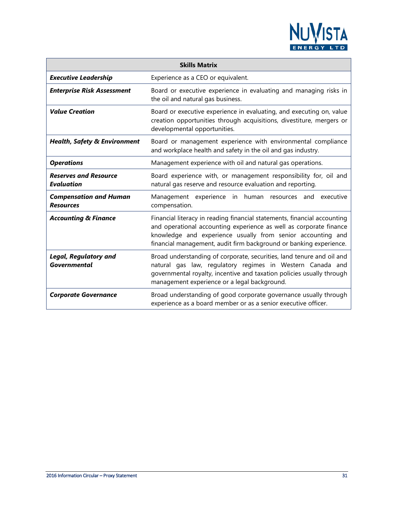

|                                                     | <b>Skills Matrix</b>                                                                                                                                                                                                                                                                |
|-----------------------------------------------------|-------------------------------------------------------------------------------------------------------------------------------------------------------------------------------------------------------------------------------------------------------------------------------------|
| <b>Executive Leadership</b>                         | Experience as a CEO or equivalent.                                                                                                                                                                                                                                                  |
| <b>Enterprise Risk Assessment</b>                   | Board or executive experience in evaluating and managing risks in<br>the oil and natural gas business.                                                                                                                                                                              |
| <b>Value Creation</b>                               | Board or executive experience in evaluating, and executing on, value<br>creation opportunities through acquisitions, divestiture, mergers or<br>developmental opportunities.                                                                                                        |
| <b>Health, Safety &amp; Environment</b>             | Board or management experience with environmental compliance<br>and workplace health and safety in the oil and gas industry.                                                                                                                                                        |
| <b>Operations</b>                                   | Management experience with oil and natural gas operations.                                                                                                                                                                                                                          |
| <b>Reserves and Resource</b><br><b>Evaluation</b>   | Board experience with, or management responsibility for, oil and<br>natural gas reserve and resource evaluation and reporting.                                                                                                                                                      |
| <b>Compensation and Human</b><br><b>Resources</b>   | Management experience in<br>human resources and<br>executive<br>compensation.                                                                                                                                                                                                       |
| <b>Accounting &amp; Finance</b>                     | Financial literacy in reading financial statements, financial accounting<br>and operational accounting experience as well as corporate finance<br>knowledge and experience usually from senior accounting and<br>financial management, audit firm background or banking experience. |
| <b>Legal, Regulatory and</b><br><b>Governmental</b> | Broad understanding of corporate, securities, land tenure and oil and<br>natural gas law, regulatory regimes in Western Canada and<br>governmental royalty, incentive and taxation policies usually through<br>management experience or a legal background.                         |
| <b>Corporate Governance</b>                         | Broad understanding of good corporate governance usually through<br>experience as a board member or as a senior executive officer.                                                                                                                                                  |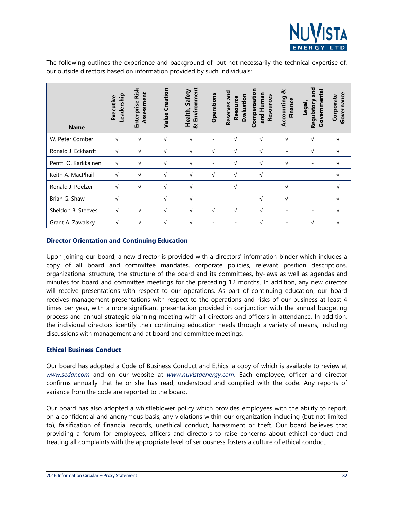

The following outlines the experience and background of, but not necessarily the technical expertise of, our outside directors based on information provided by such individuals:

| <b>Name</b>          | eadership-<br>Executive | <b>Risk</b><br>Assessment<br><b>Enterprise</b> | Creation<br>Value | Environment<br>Safety<br>Health,<br>ಷ | <b>Operations</b> | and<br>Evaluation<br>Resource<br>Reserves | Compensatio<br>and Human<br>Resources | ಸ<br>ccounting<br><b>Finance</b><br>⋖ | and<br>Governmenta<br>Regulatory<br>Legal, | Governance<br>Corporate |
|----------------------|-------------------------|------------------------------------------------|-------------------|---------------------------------------|-------------------|-------------------------------------------|---------------------------------------|---------------------------------------|--------------------------------------------|-------------------------|
| W. Peter Comber      | $\sqrt{ }$              | $\sqrt{ }$                                     | $\sqrt{ }$        | $\sqrt{ }$                            |                   | $\sqrt{ }$                                | $\sqrt{ }$                            | $\sqrt{ }$                            | $\sqrt{ }$                                 |                         |
| Ronald J. Eckhardt   | $\sqrt{ }$              | V                                              | V                 | $\sqrt{ }$                            | $\sqrt{ }$        | V                                         | $\sqrt{ }$                            |                                       |                                            |                         |
| Pentti O. Karkkainen | $\sqrt{ }$              | √                                              | √                 | V                                     |                   | √                                         | $\sqrt{ }$                            |                                       |                                            |                         |
| Keith A. MacPhail    | $\sqrt{ }$              | √                                              | √                 | $\sqrt{ }$                            | √                 | $\sqrt{ }$                                |                                       |                                       |                                            |                         |
| Ronald J. Poelzer    | $\sqrt{ }$              | √                                              | √                 | $\sqrt{ }$                            |                   | √                                         |                                       | V                                     |                                            |                         |
| Brian G. Shaw        | $\sqrt{ }$              |                                                | √                 | $\sqrt{ }$                            |                   |                                           | V                                     | V                                     |                                            |                         |
| Sheldon B. Steeves   | $\sqrt{ }$              | $\sqrt{ }$                                     | $\sqrt{ }$        | $\sqrt{ }$                            | $\sqrt{ }$        | $\sqrt{ }$                                | V                                     |                                       | $\overline{\phantom{0}}$                   | N                       |
| Grant A. Zawalsky    | $\sqrt{ }$              | $\sqrt{ }$                                     | $\sqrt{ }$        | $\sqrt{ }$                            |                   |                                           | $\sqrt{ }$                            |                                       | $\sqrt{ }$                                 | N                       |

#### **Director Orientation and Continuing Education**

Upon joining our board, a new director is provided with a directors' information binder which includes a copy of all board and committee mandates, corporate policies, relevant position descriptions, organizational structure, the structure of the board and its committees, by-laws as well as agendas and minutes for board and committee meetings for the preceding 12 months. In addition, any new director will receive presentations with respect to our operations. As part of continuing education, our board receives management presentations with respect to the operations and risks of our business at least 4 times per year, with a more significant presentation provided in conjunction with the annual budgeting process and annual strategic planning meeting with all directors and officers in attendance. In addition, the individual directors identify their continuing education needs through a variety of means, including discussions with management and at board and committee meetings.

#### **Ethical Business Conduct**

Our board has adopted a Code of Business Conduct and Ethics, a copy of which is available to review at *www.sedar.com* and on our website at *www.nuvistaenergy.com*. Each employee, officer and director confirms annually that he or she has read, understood and complied with the code. Any reports of variance from the code are reported to the board.

Our board has also adopted a whistleblower policy which provides employees with the ability to report, on a confidential and anonymous basis, any violations within our organization including (but not limited to), falsification of financial records, unethical conduct, harassment or theft. Our board believes that providing a forum for employees, officers and directors to raise concerns about ethical conduct and treating all complaints with the appropriate level of seriousness fosters a culture of ethical conduct.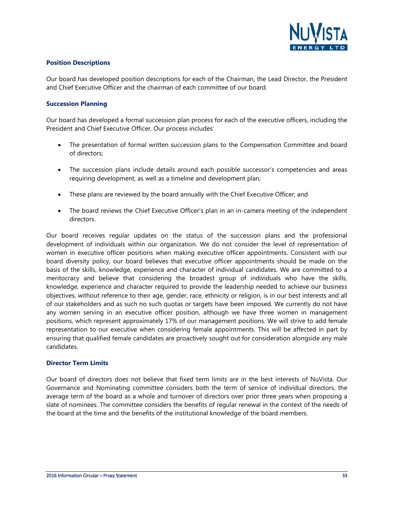

#### **Position Descriptions**

Our board has developed position descriptions for each of the Chairman, the Lead Director, the President and Chief Executive Officer and the chairman of each committee of our board.

#### **Succession Planning**

Our board has developed a formal succession plan process for each of the executive officers, including the President and Chief Executive Officer. Our process includes:

- The presentation of formal written succession plans to the Compensation Committee and board of directors;
- The succession plans include details around each possible successor's competencies and areas requiring development, as well as a timeline and development plan;
- These plans are reviewed by the board annually with the Chief Executive Officer; and
- The board reviews the Chief Executive Officer's plan in an in-camera meeting of the independent directors.

Our board receives regular updates on the status of the succession plans and the professional development of individuals within our organization. We do not consider the level of representation of women in executive officer positions when making executive officer appointments. Consistent with our board diversity policy, our board believes that executive officer appointments should be made on the basis of the skills, knowledge, experience and character of individual candidates. We are committed to a meritocracy and believe that considering the broadest group of individuals who have the skills, knowledge, experience and character required to provide the leadership needed to achieve our business objectives, without reference to their age, gender, race, ethnicity or religion, is in our best interests and all of our stakeholders and as such no such quotas or targets have been imposed. We currently do not have any women serving in an executive officer position, although we have three women in management positions, which represent approximately 17% of our management positions. We will strive to add female representation to our executive when considering female appointments. This will be affected in part by ensuring that qualified female candidates are proactively sought out for consideration alongside any male candidates.

#### **Director Term Limits**

Our board of directors does not believe that fixed term limits are in the best interests of NuVista. Our Governance and Nominating committee considers both the term of service of individual directors, the average term of the board as a whole and turnover of directors over prior three years when proposing a slate of nominees. The committee considers the benefits of regular renewal in the context of the needs of the board at the time and the benefits of the institutional knowledge of the board members.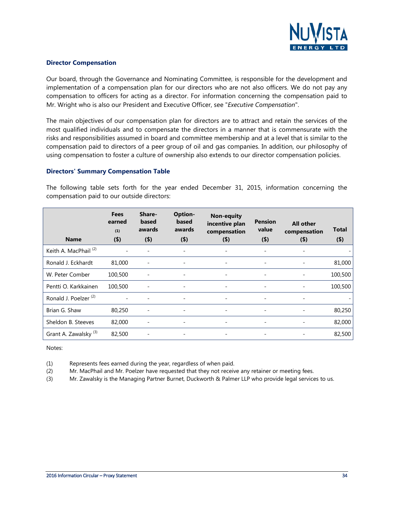

#### **Director Compensation**

Our board, through the Governance and Nominating Committee, is responsible for the development and implementation of a compensation plan for our directors who are not also officers. We do not pay any compensation to officers for acting as a director. For information concerning the compensation paid to Mr. Wright who is also our President and Executive Officer, see "*Executive Compensation*".

The main objectives of our compensation plan for directors are to attract and retain the services of the most qualified individuals and to compensate the directors in a manner that is commensurate with the risks and responsibilities assumed in board and committee membership and at a level that is similar to the compensation paid to directors of a peer group of oil and gas companies. In addition, our philosophy of using compensation to foster a culture of ownership also extends to our director compensation policies.

#### **Directors' Summary Compensation Table**

The following table sets forth for the year ended December 31, 2015, information concerning the compensation paid to our outside directors:

| <b>Name</b>                      | <b>Fees</b><br>earned<br>(1)<br>$($ \$) | Share-<br>based<br>awards<br>$($ \$) | <b>Option-</b><br>based<br>awards<br>$($ \$) | <b>Non-equity</b><br>incentive plan<br>compensation<br>$($ \$) | <b>Pension</b><br>value<br>$($ \$) | <b>All other</b><br>compensation<br>$($ \$) | Total<br>$($ \$) |
|----------------------------------|-----------------------------------------|--------------------------------------|----------------------------------------------|----------------------------------------------------------------|------------------------------------|---------------------------------------------|------------------|
| Keith A. MacPhail <sup>(2)</sup> |                                         |                                      | $\overline{\phantom{0}}$                     |                                                                | $\qquad \qquad \blacksquare$       |                                             |                  |
| Ronald J. Eckhardt               | 81,000                                  |                                      |                                              |                                                                |                                    |                                             | 81,000           |
| W. Peter Comber                  | 100,500                                 |                                      |                                              |                                                                | -                                  |                                             | 100,500          |
| Pentti O. Karkkainen             | 100,500                                 |                                      |                                              | $\overline{\phantom{a}}$                                       | $\overline{\phantom{a}}$           |                                             | 100,500          |
| Ronald J. Poelzer <sup>(2)</sup> |                                         |                                      |                                              |                                                                | -                                  |                                             |                  |
| Brian G. Shaw                    | 80,250                                  |                                      |                                              |                                                                | -                                  |                                             | 80,250           |
| Sheldon B. Steeves               | 82,000                                  |                                      |                                              |                                                                |                                    |                                             | 82,000           |
| Grant A. Zawalsky <sup>(3)</sup> | 82,500                                  | $\overline{\phantom{a}}$             |                                              |                                                                | $\overline{\phantom{a}}$           |                                             | 82,500           |

Notes:

(1) Represents fees earned during the year, regardless of when paid.

(2) Mr. MacPhail and Mr. Poelzer have requested that they not receive any retainer or meeting fees.

(3) Mr. Zawalsky is the Managing Partner Burnet, Duckworth & Palmer LLP who provide legal services to us.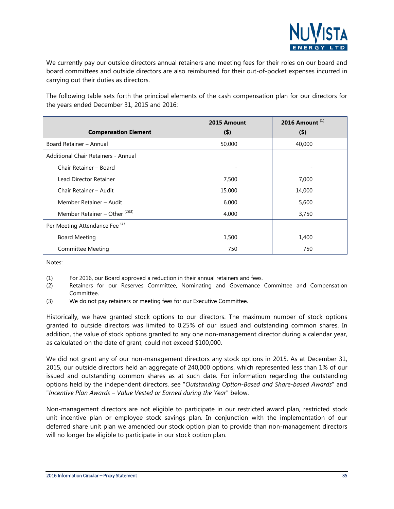

We currently pay our outside directors annual retainers and meeting fees for their roles on our board and board committees and outside directors are also reimbursed for their out-of-pocket expenses incurred in carrying out their duties as directors.

The following table sets forth the principal elements of the cash compensation plan for our directors for the years ended December 31, 2015 and 2016:

|                                           | 2015 Amount | 2016 Amount <sup>(1)</sup> |
|-------------------------------------------|-------------|----------------------------|
| <b>Compensation Element</b>               | $($ \$)     | $($ \$)                    |
| Board Retainer - Annual                   | 50,000      | 40,000                     |
| Additional Chair Retainers - Annual       |             |                            |
| Chair Retainer - Board                    |             |                            |
| Lead Director Retainer                    | 7,500       | 7,000                      |
| Chair Retainer - Audit                    | 15,000      | 14,000                     |
| Member Retainer - Audit                   | 6,000       | 5,600                      |
| Member Retainer – Other $^{(2)(3)}$       | 4,000       | 3,750                      |
| Per Meeting Attendance Fee <sup>(3)</sup> |             |                            |
| <b>Board Meeting</b>                      | 1,500       | 1,400                      |
| Committee Meeting                         | 750         | 750                        |

Notes:

- (1) For 2016, our Board approved a reduction in their annual retainers and fees.
- (2) Retainers for our Reserves Committee, Nominating and Governance Committee and Compensation Committee.
- (3) We do not pay retainers or meeting fees for our Executive Committee.

Historically, we have granted stock options to our directors. The maximum number of stock options granted to outside directors was limited to 0.25% of our issued and outstanding common shares. In addition, the value of stock options granted to any one non-management director during a calendar year, as calculated on the date of grant, could not exceed \$100,000.

We did not grant any of our non-management directors any stock options in 2015. As at December 31, 2015, our outside directors held an aggregate of 240,000 options, which represented less than 1% of our issued and outstanding common shares as at such date. For information regarding the outstanding options held by the independent directors, see "*Outstanding Option-Based and Share-based Awards*" and "*Incentive Plan Awards – Value Vested or Earned during the Year*" below.

Non-management directors are not eligible to participate in our restricted award plan, restricted stock unit incentive plan or employee stock savings plan. In conjunction with the implementation of our deferred share unit plan we amended our stock option plan to provide than non-management directors will no longer be eligible to participate in our stock option plan.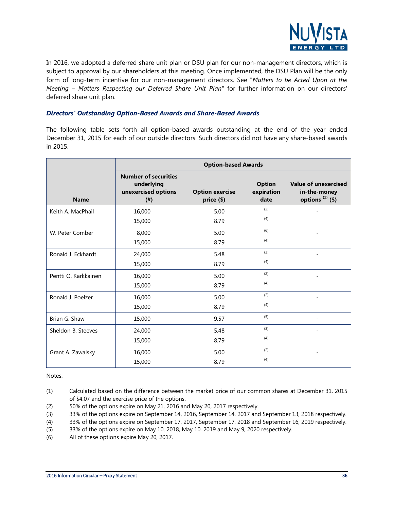

In 2016, we adopted a deferred share unit plan or DSU plan for our non-management directors, which is subject to approval by our shareholders at this meeting. Once implemented, the DSU Plan will be the only form of long-term incentive for our non-management directors. See "*Matters to be Acted Upon at the Meeting – Matters Respecting our Deferred Share Unit Plan"* for further information on our directors' deferred share unit plan.

#### *Directors' Outstanding Option-Based Awards and Share-Based Awards*

The following table sets forth all option-based awards outstanding at the end of the year ended December 31, 2015 for each of our outside directors. Such directors did not have any share-based awards in 2015.

|                      | <b>Option-based Awards</b>                                               |                                      |                                     |                                                                   |  |  |  |
|----------------------|--------------------------------------------------------------------------|--------------------------------------|-------------------------------------|-------------------------------------------------------------------|--|--|--|
| <b>Name</b>          | <b>Number of securities</b><br>underlying<br>unexercised options<br>(# ) | <b>Option exercise</b><br>price (\$) | <b>Option</b><br>expiration<br>date | <b>Value of unexercised</b><br>in-the-money<br>options $(1)$ (\$) |  |  |  |
| Keith A. MacPhail    | 16,000                                                                   | 5.00                                 | (2)                                 |                                                                   |  |  |  |
|                      | 15,000                                                                   | 8.79                                 | (4)                                 |                                                                   |  |  |  |
| W. Peter Comber      | 8,000                                                                    | 5.00                                 | (6)                                 |                                                                   |  |  |  |
|                      | 15,000                                                                   | 8.79                                 | (4)                                 |                                                                   |  |  |  |
| Ronald J. Eckhardt   | 24,000                                                                   | 5.48                                 | (3)                                 |                                                                   |  |  |  |
|                      | 15,000                                                                   | 8.79                                 | (4)                                 |                                                                   |  |  |  |
| Pentti O. Karkkainen | 16,000                                                                   | 5.00                                 | (2)                                 |                                                                   |  |  |  |
|                      | 15,000                                                                   | 8.79                                 | (4)                                 |                                                                   |  |  |  |
| Ronald J. Poelzer    | 16,000                                                                   | 5.00                                 | (2)                                 |                                                                   |  |  |  |
|                      | 15,000                                                                   | 8.79                                 | (4)                                 |                                                                   |  |  |  |
| Brian G. Shaw        | 15,000                                                                   | 9.57                                 | (5)                                 |                                                                   |  |  |  |
| Sheldon B. Steeves   | 24,000                                                                   | 5.48                                 | (3)                                 |                                                                   |  |  |  |
|                      | 15,000                                                                   | 8.79                                 | (4)                                 |                                                                   |  |  |  |
| Grant A. Zawalsky    | 16,000                                                                   | 5.00                                 | (2)                                 |                                                                   |  |  |  |
|                      | 15,000                                                                   | 8.79                                 | (4)                                 |                                                                   |  |  |  |

Notes:

- (1) Calculated based on the difference between the market price of our common shares at December 31, 2015 of \$4.07 and the exercise price of the options.
- (2) 50% of the options expire on May 21, 2016 and May 20, 2017 respectively.
- (3) 33% of the options expire on September 14, 2016, September 14, 2017 and September 13, 2018 respectively.
- (4) 33% of the options expire on September 17, 2017, September 17, 2018 and September 16, 2019 respectively.
- (5) 33% of the options expire on May 10, 2018, May 10, 2019 and May 9, 2020 respectively.
- (6) All of these options expire May 20, 2017.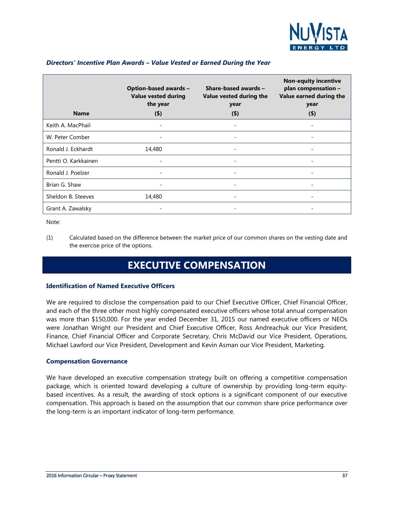

| <b>Name</b>          | <b>Option-based awards -</b><br><b>Value vested during</b><br>the year<br>$($ \$) | Share-based awards -<br>Value vested during the<br>year<br>$($ \$) | <b>Non-equity incentive</b><br>plan compensation -<br>Value earned during the<br>year<br>(4) |
|----------------------|-----------------------------------------------------------------------------------|--------------------------------------------------------------------|----------------------------------------------------------------------------------------------|
| Keith A. MacPhail    |                                                                                   |                                                                    |                                                                                              |
| W. Peter Comber      |                                                                                   |                                                                    |                                                                                              |
| Ronald J. Eckhardt   | 14,480                                                                            |                                                                    |                                                                                              |
| Pentti O. Karkkainen |                                                                                   | $\overline{\phantom{0}}$                                           | -                                                                                            |
| Ronald J. Poelzer    |                                                                                   |                                                                    |                                                                                              |
| Brian G. Shaw        |                                                                                   |                                                                    |                                                                                              |
| Sheldon B. Steeves   | 14,480                                                                            | -                                                                  | -                                                                                            |
| Grant A. Zawalsky    |                                                                                   |                                                                    |                                                                                              |

#### *Directors' Incentive Plan Awards – Value Vested or Earned During the Year*

Note:

<span id="page-36-0"></span>(1) Calculated based on the difference between the market price of our common shares on the vesting date and the exercise price of the options.

### **EXECUTIVE COMPENSATION**

#### **Identification of Named Executive Officers**

We are required to disclose the compensation paid to our Chief Executive Officer, Chief Financial Officer, and each of the three other most highly compensated executive officers whose total annual compensation was more than \$150,000. For the year ended December 31, 2015 our named executive officers or NEOs were Jonathan Wright our President and Chief Executive Officer, Ross Andreachuk our Vice President, Finance, Chief Financial Officer and Corporate Secretary, Chris McDavid our Vice President, Operations, Michael Lawford our Vice President, Development and Kevin Asman our Vice President, Marketing.

#### **Compensation Governance**

We have developed an executive compensation strategy built on offering a competitive compensation package, which is oriented toward developing a culture of ownership by providing long-term equitybased incentives. As a result, the awarding of stock options is a significant component of our executive compensation. This approach is based on the assumption that our common share price performance over the long-term is an important indicator of long-term performance.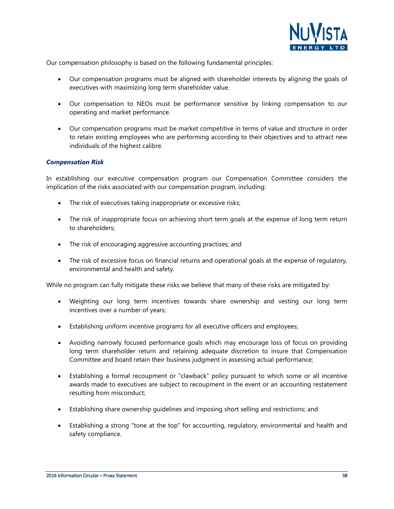

Our compensation philosophy is based on the following fundamental principles:

- Our compensation programs must be aligned with shareholder interests by aligning the goals of executives with maximizing long term shareholder value.
- Our compensation to NEOs must be performance sensitive by linking compensation to our operating and market performance.
- Our compensation programs must be market competitive in terms of value and structure in order to retain existing employees who are performing according to their objectives and to attract new individuals of the highest calibre.

#### *Compensation Risk*

In establishing our executive compensation program our Compensation Committee considers the implication of the risks associated with our compensation program, including:

- The risk of executives taking inappropriate or excessive risks;
- The risk of inappropriate focus on achieving short term goals at the expense of long term return to shareholders;
- The risk of encouraging aggressive accounting practises; and
- The risk of excessive focus on financial returns and operational goals at the expense of regulatory, environmental and health and safety.

While no program can fully mitigate these risks we believe that many of these risks are mitigated by:

- Weighting our long term incentives towards share ownership and vesting our long term incentives over a number of years;
- Establishing uniform incentive programs for all executive officers and employees;
- Avoiding narrowly focused performance goals which may encourage loss of focus on providing long term shareholder return and retaining adequate discretion to insure that Compensation Committee and board retain their business judgment in assessing actual performance;
- Establishing a formal recoupment or "clawback" policy pursuant to which some or all incentive awards made to executives are subject to recoupment in the event or an accounting restatement resulting from misconduct;
- Establishing share ownership guidelines and imposing short selling and restrictions; and
- Establishing a strong "tone at the top" for accounting, regulatory, environmental and health and safety compliance.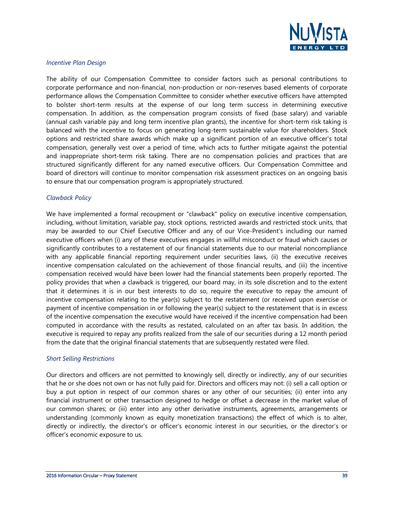

#### *Incentive Plan Design*

The ability of our Compensation Committee to consider factors such as personal contributions to corporate performance and non-financial, non-production or non-reserves based elements of corporate performance allows the Compensation Committee to consider whether executive officers have attempted to bolster short-term results at the expense of our long term success in determining executive compensation. In addition, as the compensation program consists of fixed (base salary) and variable (annual cash variable pay and long term incentive plan grants), the incentive for short-term risk taking is balanced with the incentive to focus on generating long-term sustainable value for shareholders. Stock options and restricted share awards which make up a significant portion of an executive officer's total compensation, generally vest over a period of time, which acts to further mitigate against the potential and inappropriate short-term risk taking. There are no compensation policies and practices that are structured significantly different for any named executive officers. Our Compensation Committee and board of directors will continue to monitor compensation risk assessment practices on an ongoing basis to ensure that our compensation program is appropriately structured.

#### *Clawback Policy*

We have implemented a formal recoupment or "clawback" policy on executive incentive compensation, including, without limitation, variable pay, stock options, restricted awards and restricted stock units, that may be awarded to our Chief Executive Officer and any of our Vice-President's including our named executive officers when (i) any of these executives engages in willful misconduct or fraud which causes or significantly contributes to a restatement of our financial statements due to our material noncompliance with any applicable financial reporting requirement under securities laws, (ii) the executive receives incentive compensation calculated on the achievement of those financial results, and (iii) the incentive compensation received would have been lower had the financial statements been properly reported. The policy provides that when a clawback is triggered, our board may, in its sole discretion and to the extent that it determines it is in our best interests to do so, require the executive to repay the amount of incentive compensation relating to the year(s) subject to the restatement (or received upon exercise or payment of incentive compensation in or following the year(s) subject to the restatement that is in excess of the incentive compensation the executive would have received if the incentive compensation had been computed in accordance with the results as restated, calculated on an after tax basis. In addition, the executive is required to repay any profits realized from the sale of our securities during a 12 month period from the date that the original financial statements that are subsequently restated were filed.

#### *Short Selling Restrictions*

Our directors and officers are not permitted to knowingly sell, directly or indirectly, any of our securities that he or she does not own or has not fully paid for. Directors and officers may not: (i) sell a call option or buy a put option in respect of our common shares or any other of our securities; (ii) enter into any financial instrument or other transaction designed to hedge or offset a decrease in the market value of our common shares; or (iii) enter into any other derivative instruments, agreements, arrangements or understanding (commonly known as equity monetization transactions) the effect of which is to alter, directly or indirectly, the director's or officer's economic interest in our securities, or the director's or officer's economic exposure to us.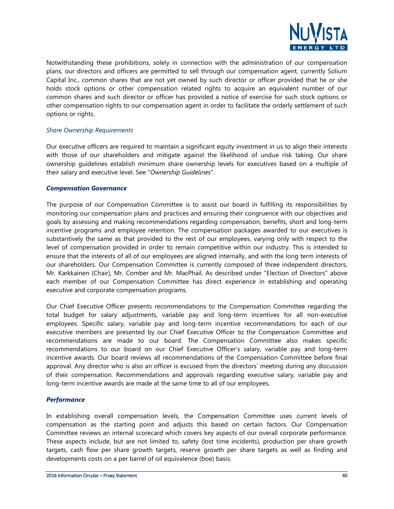

Notwithstanding these prohibitions, solely in connection with the administration of our compensation plans, our directors and officers are permitted to sell through our compensation agent, currently Solium Capital Inc., common shares that are not yet owned by such director or officer provided that he or she holds stock options or other compensation related rights to acquire an equivalent number of our common shares and such director or officer has provided a notice of exercise for such stock options or other compensation rights to our compensation agent in order to facilitate the orderly settlement of such options or rights.

#### *Share Ownership Requirements*

Our executive officers are required to maintain a significant equity investment in us to align their interests with those of our shareholders and mitigate against the likelihood of undue risk taking. Our share ownership guidelines establish minimum share ownership levels for executives based on a multiple of their salary and executive level. See "*Ownership Guidelines*".

#### *Compensation Governance*

The purpose of our Compensation Committee is to assist our board in fulfilling its responsibilities by monitoring our compensation plans and practices and ensuring their congruence with our objectives and goals by assessing and making recommendations regarding compensation, benefits, short and long-term incentive programs and employee retention. The compensation packages awarded to our executives is substantively the same as that provided to the rest of our employees, varying only with respect to the level of compensation provided in order to remain competitive within our industry. This is intended to ensure that the interests of all of our employees are aligned internally, and with the long term interests of our shareholders. Our Compensation Committee is currently composed of three independent directors, Mr. Karkkainen (Chair), Mr. Comber and Mr. MacPhail. As described under "Election of Directors" above each member of our Compensation Committee has direct experience in establishing and operating executive and corporate compensation programs.

Our Chief Executive Officer presents recommendations to the Compensation Committee regarding the total budget for salary adjustments, variable pay and long-term incentives for all non-executive employees. Specific salary, variable pay and long-term incentive recommendations for each of our executive members are presented by our Chief Executive Officer to the Compensation Committee and recommendations are made to our board. The Compensation Committee also makes specific recommendations to our board on our Chief Executive Officer's salary, variable pay and long-term incentive awards. Our board reviews all recommendations of the Compensation Committee before final approval. Any director who is also an officer is excused from the directors' meeting during any discussion of their compensation. Recommendations and approvals regarding executive salary, variable pay and long-term incentive awards are made at the same time to all of our employees.

#### *Performance*

In establishing overall compensation levels, the Compensation Committee uses current levels of compensation as the starting point and adjusts this based on certain factors. Our Compensation Committee reviews an internal scorecard which covers key aspects of our overall corporate performance. These aspects include, but are not limited to, safety (lost time incidents), production per share growth targets, cash flow per share growth targets, reserve growth per share targets as well as finding and developments costs on a per barrel of oil equivalence (boe) basis.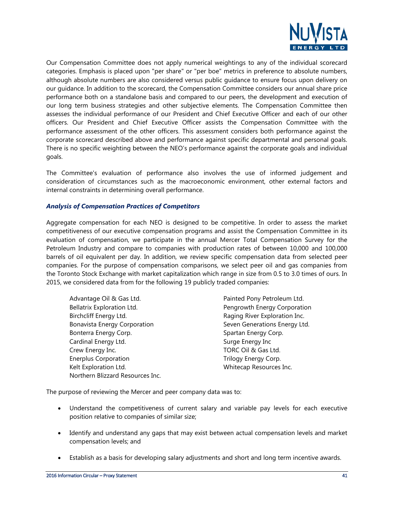

Our Compensation Committee does not apply numerical weightings to any of the individual scorecard categories. Emphasis is placed upon "per share" or "per boe" metrics in preference to absolute numbers, although absolute numbers are also considered versus public guidance to ensure focus upon delivery on our guidance. In addition to the scorecard, the Compensation Committee considers our annual share price performance both on a standalone basis and compared to our peers, the development and execution of our long term business strategies and other subjective elements. The Compensation Committee then assesses the individual performance of our President and Chief Executive Officer and each of our other officers. Our President and Chief Executive Officer assists the Compensation Committee with the performance assessment of the other officers. This assessment considers both performance against the corporate scorecard described above and performance against specific departmental and personal goals. There is no specific weighting between the NEO's performance against the corporate goals and individual goals.

The Committee's evaluation of performance also involves the use of informed judgement and consideration of circumstances such as the macroeconomic environment, other external factors and internal constraints in determining overall performance.

#### *Analysis of Compensation Practices of Competitors*

Aggregate compensation for each NEO is designed to be competitive. In order to assess the market competitiveness of our executive compensation programs and assist the Compensation Committee in its evaluation of compensation, we participate in the annual Mercer Total Compensation Survey for the Petroleum Industry and compare to companies with production rates of between 10,000 and 100,000 barrels of oil equivalent per day. In addition, we review specific compensation data from selected peer companies. For the purpose of compensation comparisons, we select peer oil and gas companies from the Toronto Stock Exchange with market capitalization which range in size from 0.5 to 3.0 times of ours. In 2015, we considered data from for the following 19 publicly traded companies:

Advantage Oil & Gas Ltd. Advantage Oil & Gas Ltd. Bellatrix Exploration Ltd. Pengrowth Energy Corporation Birchcliff Energy Ltd. **Raging River Exploration Inc.** Raging River Exploration Inc. Bonavista Energy Corporation Seven Generations Energy Ltd. Bonterra Energy Corp. Spartan Energy Corp. Cardinal Energy Ltd. Surge Energy Inc Crew Energy Inc. TORC Oil & Gas Ltd. Enerplus Corporation **Energy Corp.** Trilogy Energy Corp. Kelt Exploration Ltd. The Contract of the Whitecap Resources Inc. Northern Blizzard Resources Inc.

The purpose of reviewing the Mercer and peer company data was to:

- Understand the competitiveness of current salary and variable pay levels for each executive position relative to companies of similar size;
- Identify and understand any gaps that may exist between actual compensation levels and market compensation levels; and
- Establish as a basis for developing salary adjustments and short and long term incentive awards.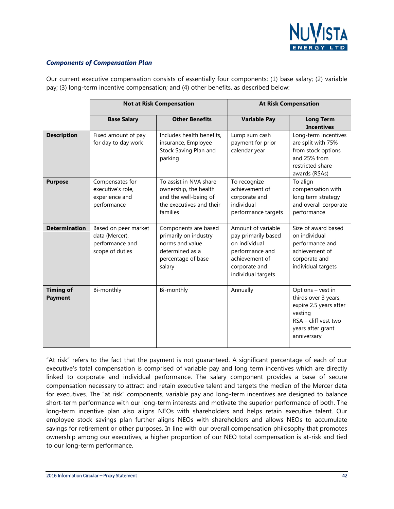

#### *Components of Compensation Plan*

Our current executive compensation consists of essentially four components: (1) base salary; (2) variable pay; (3) long-term incentive compensation; and (4) other benefits, as described below:

|                                    |                                                                              | <b>Not at Risk Compensation</b>                                                                                     |                                                                                                                                        | <b>At Risk Compensation</b>                                                                                                                  |
|------------------------------------|------------------------------------------------------------------------------|---------------------------------------------------------------------------------------------------------------------|----------------------------------------------------------------------------------------------------------------------------------------|----------------------------------------------------------------------------------------------------------------------------------------------|
|                                    | <b>Base Salary</b>                                                           | <b>Other Benefits</b>                                                                                               | <b>Variable Pay</b>                                                                                                                    | <b>Long Term</b><br><b>Incentives</b>                                                                                                        |
| <b>Description</b>                 | Fixed amount of pay<br>for day to day work                                   | Includes health benefits,<br>insurance, Employee<br>Stock Saving Plan and<br>parking                                | Lump sum cash<br>payment for prior<br>calendar year                                                                                    | Long-term incentives<br>are split with 75%<br>from stock options<br>and 25% from<br>restricted share<br>awards (RSAs)                        |
| <b>Purpose</b>                     | Compensates for<br>executive's role,<br>experience and<br>performance        | To assist in NVA share<br>ownership, the health<br>and the well-being of<br>the executives and their<br>families    | To recognize<br>achievement of<br>corporate and<br>individual<br>performance targets                                                   | To align<br>compensation with<br>long term strategy<br>and overall corporate<br>performance                                                  |
| <b>Determination</b>               | Based on peer market<br>data (Mercer),<br>performance and<br>scope of duties | Components are based<br>primarily on industry<br>norms and value<br>determined as a<br>percentage of base<br>salary | Amount of variable<br>pay primarily based<br>on individual<br>performance and<br>achievement of<br>corporate and<br>individual targets | Size of award based<br>on individual<br>performance and<br>achievement of<br>corporate and<br>individual targets                             |
| <b>Timing of</b><br><b>Payment</b> | Bi-monthly                                                                   | Bi-monthly                                                                                                          | Annually                                                                                                                               | Options - vest in<br>thirds over 3 years,<br>expire 2.5 years after<br>vesting<br>$RSA$ - cliff vest two<br>years after grant<br>anniversary |

"At risk" refers to the fact that the payment is not guaranteed. A significant percentage of each of our executive's total compensation is comprised of variable pay and long term incentives which are directly linked to corporate and individual performance. The salary component provides a base of secure compensation necessary to attract and retain executive talent and targets the median of the Mercer data for executives. The "at risk" components, variable pay and long-term incentives are designed to balance short-term performance with our long-term interests and motivate the superior performance of both. The long-term incentive plan also aligns NEOs with shareholders and helps retain executive talent. Our employee stock savings plan further aligns NEOs with shareholders and allows NEOs to accumulate savings for retirement or other purposes. In line with our overall compensation philosophy that promotes ownership among our executives, a higher proportion of our NEO total compensation is at-risk and tied to our long-term performance.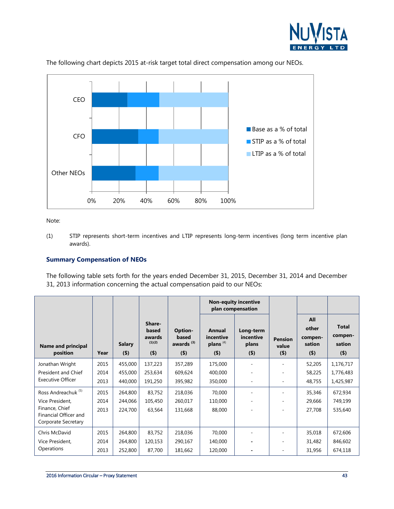



The following chart depicts 2015 at-risk target total direct compensation among our NEOs.

Note:

(1) STIP represents short-term incentives and LTIP represents long-term incentives (long term incentive plan awards).

#### **Summary Compensation of NEOs**

The following table sets forth for the years ended December 31, 2015, December 31, 2014 and December 31, 2013 information concerning the actual compensation paid to our NEOs:

|                                              |      |                          |                                                |                                                      |                                                        | <b>Non-equity incentive</b><br>plan compensation |                                    |                                              |                                              |
|----------------------------------------------|------|--------------------------|------------------------------------------------|------------------------------------------------------|--------------------------------------------------------|--------------------------------------------------|------------------------------------|----------------------------------------------|----------------------------------------------|
| Name and principal<br>position               | Year | <b>Salary</b><br>$($ \$) | Share-<br>based<br>awards<br>(1)(2)<br>$($ \$) | Option-<br>based<br>awards <sup>(3)</sup><br>$($ \$) | Annual<br>incentive<br>plans <sup>(4)</sup><br>$($ \$) | Long-term<br>incentive<br>plans<br>$($ \$)       | <b>Pension</b><br>value<br>$($ \$) | All<br>other<br>compen-<br>sation<br>$($ \$) | <b>Total</b><br>compen-<br>sation<br>$($ \$) |
| Jonathan Wright                              | 2015 | 455,000                  | 137,223                                        | 357,289                                              | 175,000                                                |                                                  |                                    | 52,205                                       | 1,176,717                                    |
| President and Chief                          | 2014 | 455,000                  | 253,634                                        | 609,624                                              | 400,000                                                |                                                  |                                    | 58,225                                       | 1,776,483                                    |
| <b>Executive Officer</b>                     | 2013 | 440,000                  | 191,250                                        | 395,982                                              | 350,000                                                |                                                  | ٠                                  | 48,755                                       | 1,425,987                                    |
| Ross Andreachuk <sup>(5)</sup>               | 2015 | 264,800                  | 83,752                                         | 218,036                                              | 70,000                                                 |                                                  | ۰                                  | 35,346                                       | 672,934                                      |
| Vice President,                              | 2014 | 244,066                  | 105,450                                        | 260,017                                              | 110,000                                                |                                                  | ٠                                  | 29,666                                       | 749,199                                      |
| Finance, Chief                               | 2013 | 224,700                  | 63,564                                         | 131,668                                              | 88,000                                                 |                                                  |                                    | 27,708                                       | 535,640                                      |
| Financial Officer and<br>Corporate Secretary |      |                          |                                                |                                                      |                                                        |                                                  |                                    |                                              |                                              |
| Chris McDavid                                | 2015 | 264,800                  | 83,752                                         | 218,036                                              | 70,000                                                 |                                                  |                                    | 35,018                                       | 672,606                                      |
| Vice President,                              | 2014 | 264,800                  | 120,153                                        | 290,167                                              | 140,000                                                |                                                  | ٠                                  | 31,482                                       | 846,602                                      |
| Operations                                   | 2013 | 252,800                  | 87,700                                         | 181,662                                              | 120,000                                                |                                                  | ٠                                  | 31,956                                       | 674,118                                      |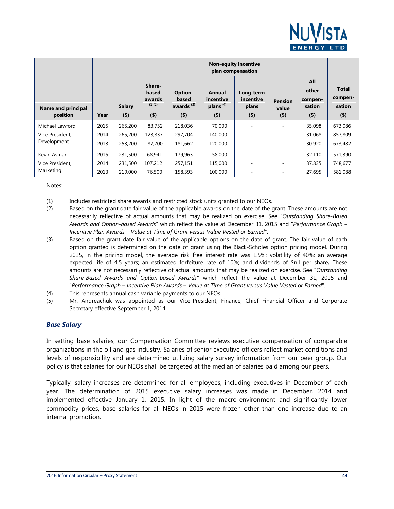

|                                |      |                          |                                                |                                                      |                                                        | <b>Non-equity incentive</b><br>plan compensation |                                    |                                              |                                              |
|--------------------------------|------|--------------------------|------------------------------------------------|------------------------------------------------------|--------------------------------------------------------|--------------------------------------------------|------------------------------------|----------------------------------------------|----------------------------------------------|
| Name and principal<br>position | Year | <b>Salary</b><br>$($ \$) | Share-<br>based<br>awards<br>(1)(2)<br>$($ \$) | Option-<br>based<br>awards <sup>(3)</sup><br>$($ \$) | Annual<br>incentive<br>plans <sup>(4)</sup><br>$($ \$) | Long-term<br>incentive<br>plans<br>$($ \$)       | <b>Pension</b><br>value<br>$($ \$) | All<br>other<br>compen-<br>sation<br>$($ \$) | <b>Total</b><br>compen-<br>sation<br>$($ \$) |
|                                |      |                          |                                                |                                                      |                                                        |                                                  |                                    |                                              |                                              |
| Michael Lawford                | 2015 | 265,200                  | 83,752                                         | 218,036                                              | 70,000                                                 | ۰                                                |                                    | 35,098                                       | 673,086                                      |
| Vice President,                | 2014 | 265,200                  | 123,837                                        | 297,704                                              | 140,000                                                |                                                  |                                    | 31,068                                       | 857,809                                      |
| Development                    | 2013 | 253,200                  | 87,700                                         | 181,662                                              | 120,000                                                |                                                  |                                    | 30,920                                       | 673,482                                      |
| Kevin Asman                    | 2015 | 231,500                  | 68,941                                         | 179,963                                              | 58,000                                                 |                                                  |                                    | 32,110                                       | 571,390                                      |
| Vice President.                | 2014 | 231,500                  | 107,212                                        | 257,151                                              | 115,000                                                |                                                  |                                    | 37,835                                       | 748,677                                      |
| Marketing                      | 2013 | 219,000                  | 76,500                                         | 158,393                                              | 100,000                                                |                                                  |                                    | 27,695                                       | 581,088                                      |

Notes:

(1) Includes restricted share awards and restricted stock units granted to our NEOs.

- (2) Based on the grant date fair value of the applicable awards on the date of the grant. These amounts are not necessarily reflective of actual amounts that may be realized on exercise. See "*Outstanding Share-Based Awards and Option-based Awards*" which reflect the value at December 31, 2015 and "*Performance Graph – Incentive Plan Awards – Value at Time of Grant versus Value Vested or Earned*".
- (3) Based on the grant date fair value of the applicable options on the date of grant. The fair value of each option granted is determined on the date of grant using the Black-Scholes option pricing model. During 2015, in the pricing model, the average risk free interest rate was 1.5%; volatility of 40%; an average expected life of 4.5 years; an estimated forfeiture rate of 10%; and dividends of \$nil per share**.** These amounts are not necessarily reflective of actual amounts that may be realized on exercise. See "*Outstanding Share-Based Awards and Option-based Awards*" which reflect the value at December 31, 2015 and "*Performance Graph – Incentive Plan Awards – Value at Time of Grant versus Value Vested or Earned*".
- (4) This represents annual cash variable payments to our NEOs.
- (5) Mr. Andreachuk was appointed as our Vice-President, Finance, Chief Financial Officer and Corporate Secretary effective September 1, 2014.

#### *Base Salary*

In setting base salaries, our Compensation Committee reviews executive compensation of comparable organizations in the oil and gas industry. Salaries of senior executive officers reflect market conditions and levels of responsibility and are determined utilizing salary survey information from our peer group. Our policy is that salaries for our NEOs shall be targeted at the median of salaries paid among our peers.

Typically, salary increases are determined for all employees, including executives in December of each year. The determination of 2015 executive salary increases was made in December, 2014 and implemented effective January 1, 2015. In light of the macro-environment and significantly lower commodity prices, base salaries for all NEOs in 2015 were frozen other than one increase due to an internal promotion.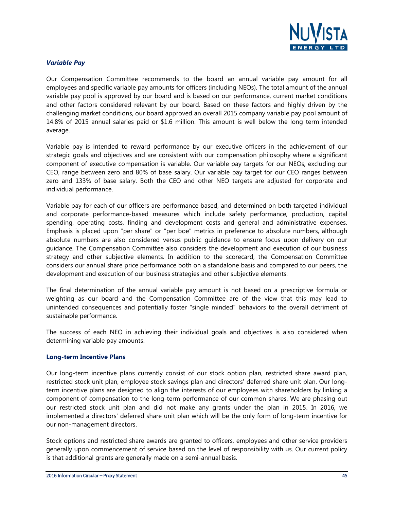

#### *Variable Pay*

Our Compensation Committee recommends to the board an annual variable pay amount for all employees and specific variable pay amounts for officers (including NEOs). The total amount of the annual variable pay pool is approved by our board and is based on our performance, current market conditions and other factors considered relevant by our board. Based on these factors and highly driven by the challenging market conditions, our board approved an overall 2015 company variable pay pool amount of 14.8% of 2015 annual salaries paid or \$1.6 million. This amount is well below the long term intended average.

Variable pay is intended to reward performance by our executive officers in the achievement of our strategic goals and objectives and are consistent with our compensation philosophy where a significant component of executive compensation is variable. Our variable pay targets for our NEOs, excluding our CEO, range between zero and 80% of base salary. Our variable pay target for our CEO ranges between zero and 133% of base salary. Both the CEO and other NEO targets are adjusted for corporate and individual performance.

Variable pay for each of our officers are performance based, and determined on both targeted individual and corporate performance-based measures which include safety performance, production, capital spending, operating costs, finding and development costs and general and administrative expenses. Emphasis is placed upon "per share" or "per boe" metrics in preference to absolute numbers, although absolute numbers are also considered versus public guidance to ensure focus upon delivery on our guidance. The Compensation Committee also considers the development and execution of our business strategy and other subjective elements. In addition to the scorecard, the Compensation Committee considers our annual share price performance both on a standalone basis and compared to our peers, the development and execution of our business strategies and other subjective elements.

The final determination of the annual variable pay amount is not based on a prescriptive formula or weighting as our board and the Compensation Committee are of the view that this may lead to unintended consequences and potentially foster "single minded" behaviors to the overall detriment of sustainable performance.

The success of each NEO in achieving their individual goals and objectives is also considered when determining variable pay amounts.

#### **Long-term Incentive Plans**

Our long-term incentive plans currently consist of our stock option plan, restricted share award plan, restricted stock unit plan, employee stock savings plan and directors' deferred share unit plan. Our longterm incentive plans are designed to align the interests of our employees with shareholders by linking a component of compensation to the long-term performance of our common shares. We are phasing out our restricted stock unit plan and did not make any grants under the plan in 2015. In 2016, we implemented a directors' deferred share unit plan which will be the only form of long-term incentive for our non-management directors.

Stock options and restricted share awards are granted to officers, employees and other service providers generally upon commencement of service based on the level of responsibility with us. Our current policy is that additional grants are generally made on a semi-annual basis.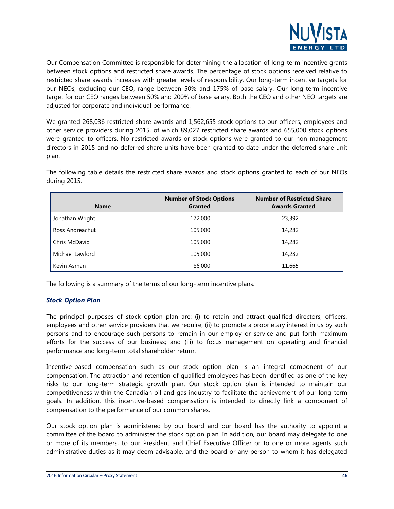

Our Compensation Committee is responsible for determining the allocation of long-term incentive grants between stock options and restricted share awards. The percentage of stock options received relative to restricted share awards increases with greater levels of responsibility. Our long-term incentive targets for our NEOs, excluding our CEO, range between 50% and 175% of base salary. Our long-term incentive target for our CEO ranges between 50% and 200% of base salary. Both the CEO and other NEO targets are adjusted for corporate and individual performance.

We granted 268,036 restricted share awards and 1,562,655 stock options to our officers, employees and other service providers during 2015, of which 89,027 restricted share awards and 655,000 stock options were granted to officers. No restricted awards or stock options were granted to our non-management directors in 2015 and no deferred share units have been granted to date under the deferred share unit plan.

| <b>Name</b>     | <b>Number of Stock Options</b><br>Granted | <b>Number of Restricted Share</b><br><b>Awards Granted</b> |
|-----------------|-------------------------------------------|------------------------------------------------------------|
| Jonathan Wright | 172,000                                   | 23,392                                                     |
| Ross Andreachuk | 105,000                                   | 14,282                                                     |
| Chris McDavid   | 105,000                                   | 14,282                                                     |
| Michael Lawford | 105,000                                   | 14,282                                                     |
| Kevin Asman     | 86,000                                    | 11,665                                                     |

The following table details the restricted share awards and stock options granted to each of our NEOs during 2015.

The following is a summary of the terms of our long-term incentive plans.

#### *Stock Option Plan*

The principal purposes of stock option plan are: (i) to retain and attract qualified directors, officers, employees and other service providers that we require; (ii) to promote a proprietary interest in us by such persons and to encourage such persons to remain in our employ or service and put forth maximum efforts for the success of our business; and (iii) to focus management on operating and financial performance and long-term total shareholder return.

Incentive-based compensation such as our stock option plan is an integral component of our compensation. The attraction and retention of qualified employees has been identified as one of the key risks to our long-term strategic growth plan. Our stock option plan is intended to maintain our competitiveness within the Canadian oil and gas industry to facilitate the achievement of our long-term goals. In addition, this incentive-based compensation is intended to directly link a component of compensation to the performance of our common shares.

Our stock option plan is administered by our board and our board has the authority to appoint a committee of the board to administer the stock option plan. In addition, our board may delegate to one or more of its members, to our President and Chief Executive Officer or to one or more agents such administrative duties as it may deem advisable, and the board or any person to whom it has delegated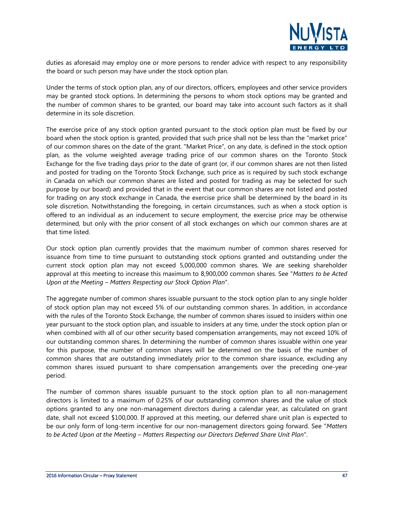

duties as aforesaid may employ one or more persons to render advice with respect to any responsibility the board or such person may have under the stock option plan.

Under the terms of stock option plan, any of our directors, officers, employees and other service providers may be granted stock options. In determining the persons to whom stock options may be granted and the number of common shares to be granted, our board may take into account such factors as it shall determine in its sole discretion.

The exercise price of any stock option granted pursuant to the stock option plan must be fixed by our board when the stock option is granted, provided that such price shall not be less than the "market price" of our common shares on the date of the grant. "Market Price", on any date, is defined in the stock option plan, as the volume weighted average trading price of our common shares on the Toronto Stock Exchange for the five trading days prior to the date of grant (or, if our common shares are not then listed and posted for trading on the Toronto Stock Exchange, such price as is required by such stock exchange in Canada on which our common shares are listed and posted for trading as may be selected for such purpose by our board) and provided that in the event that our common shares are not listed and posted for trading on any stock exchange in Canada, the exercise price shall be determined by the board in its sole discretion. Notwithstanding the foregoing, in certain circumstances, such as when a stock option is offered to an individual as an inducement to secure employment, the exercise price may be otherwise determined, but only with the prior consent of all stock exchanges on which our common shares are at that time listed.

Our stock option plan currently provides that the maximum number of common shares reserved for issuance from time to time pursuant to outstanding stock options granted and outstanding under the current stock option plan may not exceed 5,000,000 common shares. We are seeking shareholder approval at this meeting to increase this maximum to 8,900,000 common shares. See "*Matters to be Acted Upon at the Meeting – Matters Respecting our Stock Option Plan*".

The aggregate number of common shares issuable pursuant to the stock option plan to any single holder of stock option plan may not exceed 5% of our outstanding common shares. In addition, in accordance with the rules of the Toronto Stock Exchange, the number of common shares issued to insiders within one year pursuant to the stock option plan, and issuable to insiders at any time, under the stock option plan or when combined with all of our other security based compensation arrangements, may not exceed 10% of our outstanding common shares. In determining the number of common shares issuable within one year for this purpose, the number of common shares will be determined on the basis of the number of common shares that are outstanding immediately prior to the common share issuance, excluding any common shares issued pursuant to share compensation arrangements over the preceding one-year period.

The number of common shares issuable pursuant to the stock option plan to all non-management directors is limited to a maximum of 0.25% of our outstanding common shares and the value of stock options granted to any one non-management directors during a calendar year, as calculated on grant date, shall not exceed \$100,000. If approved at this meeting, our deferred share unit plan is expected to be our only form of long-term incentive for our non-management directors going forward. See "*Matters to be Acted Upon at the Meeting – Matters Respecting our Directors Deferred Share Unit Plan*".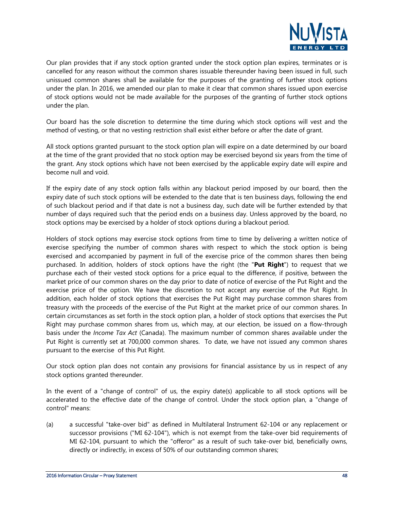

Our plan provides that if any stock option granted under the stock option plan expires, terminates or is cancelled for any reason without the common shares issuable thereunder having been issued in full, such unissued common shares shall be available for the purposes of the granting of further stock options under the plan. In 2016, we amended our plan to make it clear that common shares issued upon exercise of stock options would not be made available for the purposes of the granting of further stock options under the plan.

Our board has the sole discretion to determine the time during which stock options will vest and the method of vesting, or that no vesting restriction shall exist either before or after the date of grant.

All stock options granted pursuant to the stock option plan will expire on a date determined by our board at the time of the grant provided that no stock option may be exercised beyond six years from the time of the grant. Any stock options which have not been exercised by the applicable expiry date will expire and become null and void.

If the expiry date of any stock option falls within any blackout period imposed by our board, then the expiry date of such stock options will be extended to the date that is ten business days, following the end of such blackout period and if that date is not a business day, such date will be further extended by that number of days required such that the period ends on a business day. Unless approved by the board, no stock options may be exercised by a holder of stock options during a blackout period.

Holders of stock options may exercise stock options from time to time by delivering a written notice of exercise specifying the number of common shares with respect to which the stock option is being exercised and accompanied by payment in full of the exercise price of the common shares then being purchased. In addition, holders of stock options have the right (the "**Put Right**") to request that we purchase each of their vested stock options for a price equal to the difference, if positive, between the market price of our common shares on the day prior to date of notice of exercise of the Put Right and the exercise price of the option. We have the discretion to not accept any exercise of the Put Right. In addition, each holder of stock options that exercises the Put Right may purchase common shares from treasury with the proceeds of the exercise of the Put Right at the market price of our common shares. In certain circumstances as set forth in the stock option plan, a holder of stock options that exercises the Put Right may purchase common shares from us, which may, at our election, be issued on a flow-through basis under the *Income Tax Act* (Canada). The maximum number of common shares available under the Put Right is currently set at 700,000 common shares. To date, we have not issued any common shares pursuant to the exercise of this Put Right.

Our stock option plan does not contain any provisions for financial assistance by us in respect of any stock options granted thereunder.

In the event of a "change of control" of us, the expiry date(s) applicable to all stock options will be accelerated to the effective date of the change of control. Under the stock option plan, a "change of control" means:

(a) a successful "take-over bid" as defined in Multilateral Instrument 62-104 or any replacement or successor provisions ("MI 62-104"), which is not exempt from the take-over bid requirements of MI 62-104, pursuant to which the "offeror" as a result of such take-over bid, beneficially owns, directly or indirectly, in excess of 50% of our outstanding common shares;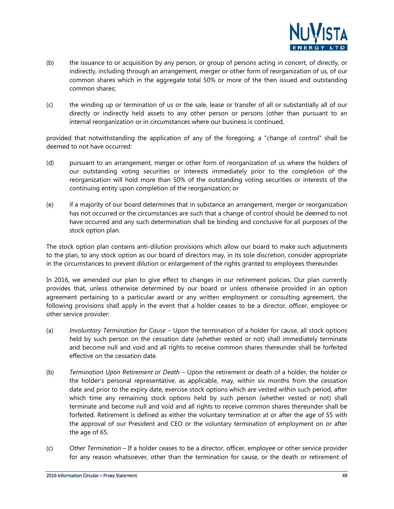

- (b) the issuance to or acquisition by any person, or group of persons acting in concert, of directly, or indirectly, including through an arrangement, merger or other form of reorganization of us, of our common shares which in the aggregate total 50% or more of the then issued and outstanding common shares;
- (c) the winding up or termination of us or the sale, lease or transfer of all or substantially all of our directly or indirectly held assets to any other person or persons (other than pursuant to an internal reorganization or in circumstances where our business is continued,

provided that notwithstanding the application of any of the foregoing, a "change of control" shall be deemed to not have occurred:

- (d) pursuant to an arrangement, merger or other form of reorganization of us where the holders of our outstanding voting securities or interests immediately prior to the completion of the reorganization will hold more than 50% of the outstanding voting securities or interests of the continuing entity upon completion of the reorganization; or
- (e) if a majority of our board determines that in substance an arrangement, merger or reorganization has not occurred or the circumstances are such that a change of control should be deemed to not have occurred and any such determination shall be binding and conclusive for all purposes of the stock option plan.

The stock option plan contains anti-dilution provisions which allow our board to make such adjustments to the plan, to any stock option as our board of directors may, in its sole discretion, consider appropriate in the circumstances to prevent dilution or enlargement of the rights granted to employees thereunder.

In 2016, we amended our plan to give effect to changes in our retirement policies. Our plan currently provides that, unless otherwise determined by our board or unless otherwise provided in an option agreement pertaining to a particular award or any written employment or consulting agreement, the following provisions shall apply in the event that a holder ceases to be a director, officer, employee or other service provider:

- (a) *Involuntary Termination for Cause* Upon the termination of a holder for cause, all stock options held by such person on the cessation date (whether vested or not) shall immediately terminate and become null and void and all rights to receive common shares thereunder shall be forfeited effective on the cessation date.
- (b) *Termination Upon Retirement or Death* Upon the retirement or death of a holder, the holder or the holder's personal representative, as applicable, may, within six months from the cessation date and prior to the expiry date, exercise stock options which are vested within such period, after which time any remaining stock options held by such person (whether vested or not) shall terminate and become null and void and all rights to receive common shares thereunder shall be forfeited. Retirement is defined as either the voluntary termination at or after the age of 55 with the approval of our President and CEO or the voluntary termination of employment on or after the age of 65.
- (c) *Other Termination* If a holder ceases to be a director, officer, employee or other service provider for any reason whatsoever, other than the termination for cause, or the death or retirement of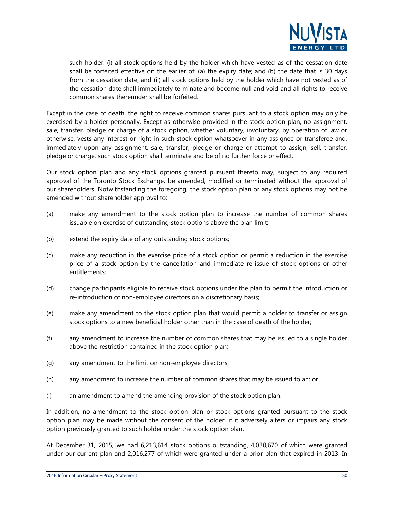

such holder: (i) all stock options held by the holder which have vested as of the cessation date shall be forfeited effective on the earlier of: (a) the expiry date; and (b) the date that is 30 days from the cessation date; and (ii) all stock options held by the holder which have not vested as of the cessation date shall immediately terminate and become null and void and all rights to receive common shares thereunder shall be forfeited.

Except in the case of death, the right to receive common shares pursuant to a stock option may only be exercised by a holder personally. Except as otherwise provided in the stock option plan, no assignment, sale, transfer, pledge or charge of a stock option, whether voluntary, involuntary, by operation of law or otherwise, vests any interest or right in such stock option whatsoever in any assignee or transferee and, immediately upon any assignment, sale, transfer, pledge or charge or attempt to assign, sell, transfer, pledge or charge, such stock option shall terminate and be of no further force or effect.

Our stock option plan and any stock options granted pursuant thereto may, subject to any required approval of the Toronto Stock Exchange, be amended, modified or terminated without the approval of our shareholders. Notwithstanding the foregoing, the stock option plan or any stock options may not be amended without shareholder approval to:

- (a) make any amendment to the stock option plan to increase the number of common shares issuable on exercise of outstanding stock options above the plan limit;
- (b) extend the expiry date of any outstanding stock options;
- (c) make any reduction in the exercise price of a stock option or permit a reduction in the exercise price of a stock option by the cancellation and immediate re-issue of stock options or other entitlements;
- (d) change participants eligible to receive stock options under the plan to permit the introduction or re-introduction of non-employee directors on a discretionary basis;
- (e) make any amendment to the stock option plan that would permit a holder to transfer or assign stock options to a new beneficial holder other than in the case of death of the holder;
- (f) any amendment to increase the number of common shares that may be issued to a single holder above the restriction contained in the stock option plan;
- (g) any amendment to the limit on non-employee directors;
- (h) any amendment to increase the number of common shares that may be issued to an; or
- (i) an amendment to amend the amending provision of the stock option plan.

In addition, no amendment to the stock option plan or stock options granted pursuant to the stock option plan may be made without the consent of the holder, if it adversely alters or impairs any stock option previously granted to such holder under the stock option plan.

At December 31, 2015, we had 6,213,614 stock options outstanding, 4,030,670 of which were granted under our current plan and 2,016,277 of which were granted under a prior plan that expired in 2013. In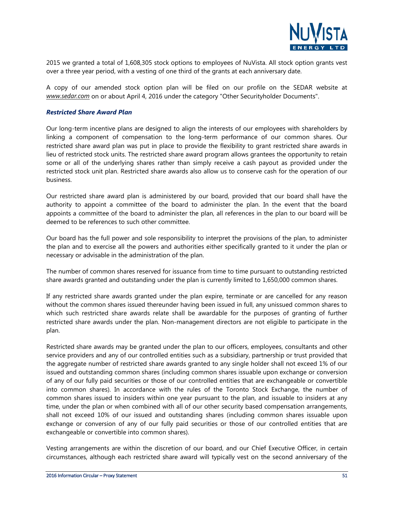

2015 we granted a total of 1,608,305 stock options to employees of NuVista. All stock option grants vest over a three year period, with a vesting of one third of the grants at each anniversary date.

A copy of our amended stock option plan will be filed on our profile on the SEDAR website at *www.sedar.com* on or about April 4, 2016 under the category "Other Securityholder Documents".

#### *Restricted Share Award Plan*

Our long-term incentive plans are designed to align the interests of our employees with shareholders by linking a component of compensation to the long-term performance of our common shares. Our restricted share award plan was put in place to provide the flexibility to grant restricted share awards in lieu of restricted stock units. The restricted share award program allows grantees the opportunity to retain some or all of the underlying shares rather than simply receive a cash payout as provided under the restricted stock unit plan. Restricted share awards also allow us to conserve cash for the operation of our business.

Our restricted share award plan is administered by our board, provided that our board shall have the authority to appoint a committee of the board to administer the plan. In the event that the board appoints a committee of the board to administer the plan, all references in the plan to our board will be deemed to be references to such other committee.

Our board has the full power and sole responsibility to interpret the provisions of the plan, to administer the plan and to exercise all the powers and authorities either specifically granted to it under the plan or necessary or advisable in the administration of the plan.

The number of common shares reserved for issuance from time to time pursuant to outstanding restricted share awards granted and outstanding under the plan is currently limited to 1,650,000 common shares.

If any restricted share awards granted under the plan expire, terminate or are cancelled for any reason without the common shares issued thereunder having been issued in full, any unissued common shares to which such restricted share awards relate shall be awardable for the purposes of granting of further restricted share awards under the plan. Non-management directors are not eligible to participate in the plan.

Restricted share awards may be granted under the plan to our officers, employees, consultants and other service providers and any of our controlled entities such as a subsidiary, partnership or trust provided that the aggregate number of restricted share awards granted to any single holder shall not exceed 1% of our issued and outstanding common shares (including common shares issuable upon exchange or conversion of any of our fully paid securities or those of our controlled entities that are exchangeable or convertible into common shares). In accordance with the rules of the Toronto Stock Exchange, the number of common shares issued to insiders within one year pursuant to the plan, and issuable to insiders at any time, under the plan or when combined with all of our other security based compensation arrangements, shall not exceed 10% of our issued and outstanding shares (including common shares issuable upon exchange or conversion of any of our fully paid securities or those of our controlled entities that are exchangeable or convertible into common shares).

Vesting arrangements are within the discretion of our board, and our Chief Executive Officer, in certain circumstances, although each restricted share award will typically vest on the second anniversary of the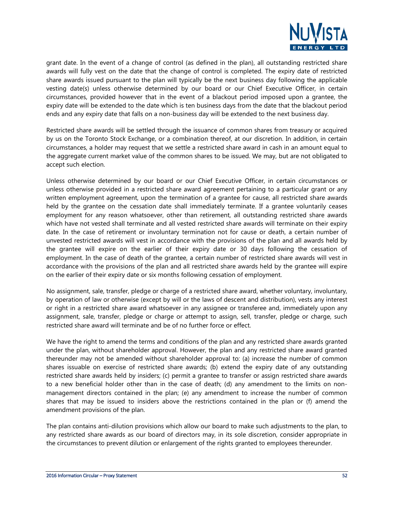

grant date. In the event of a change of control (as defined in the plan), all outstanding restricted share awards will fully vest on the date that the change of control is completed. The expiry date of restricted share awards issued pursuant to the plan will typically be the next business day following the applicable vesting date(s) unless otherwise determined by our board or our Chief Executive Officer, in certain circumstances, provided however that in the event of a blackout period imposed upon a grantee, the expiry date will be extended to the date which is ten business days from the date that the blackout period ends and any expiry date that falls on a non-business day will be extended to the next business day.

Restricted share awards will be settled through the issuance of common shares from treasury or acquired by us on the Toronto Stock Exchange, or a combination thereof, at our discretion. In addition, in certain circumstances, a holder may request that we settle a restricted share award in cash in an amount equal to the aggregate current market value of the common shares to be issued. We may, but are not obligated to accept such election.

Unless otherwise determined by our board or our Chief Executive Officer, in certain circumstances or unless otherwise provided in a restricted share award agreement pertaining to a particular grant or any written employment agreement, upon the termination of a grantee for cause, all restricted share awards held by the grantee on the cessation date shall immediately terminate. If a grantee voluntarily ceases employment for any reason whatsoever, other than retirement, all outstanding restricted share awards which have not vested shall terminate and all vested restricted share awards will terminate on their expiry date. In the case of retirement or involuntary termination not for cause or death, a certain number of unvested restricted awards will vest in accordance with the provisions of the plan and all awards held by the grantee will expire on the earlier of their expiry date or 30 days following the cessation of employment. In the case of death of the grantee, a certain number of restricted share awards will vest in accordance with the provisions of the plan and all restricted share awards held by the grantee will expire on the earlier of their expiry date or six months following cessation of employment.

No assignment, sale, transfer, pledge or charge of a restricted share award, whether voluntary, involuntary, by operation of law or otherwise (except by will or the laws of descent and distribution), vests any interest or right in a restricted share award whatsoever in any assignee or transferee and, immediately upon any assignment, sale, transfer, pledge or charge or attempt to assign, sell, transfer, pledge or charge, such restricted share award will terminate and be of no further force or effect.

We have the right to amend the terms and conditions of the plan and any restricted share awards granted under the plan, without shareholder approval. However, the plan and any restricted share award granted thereunder may not be amended without shareholder approval to: (a) increase the number of common shares issuable on exercise of restricted share awards; (b) extend the expiry date of any outstanding restricted share awards held by insiders; (c) permit a grantee to transfer or assign restricted share awards to a new beneficial holder other than in the case of death; (d) any amendment to the limits on nonmanagement directors contained in the plan; (e) any amendment to increase the number of common shares that may be issued to insiders above the restrictions contained in the plan or (f) amend the amendment provisions of the plan.

The plan contains anti-dilution provisions which allow our board to make such adjustments to the plan, to any restricted share awards as our board of directors may, in its sole discretion, consider appropriate in the circumstances to prevent dilution or enlargement of the rights granted to employees thereunder.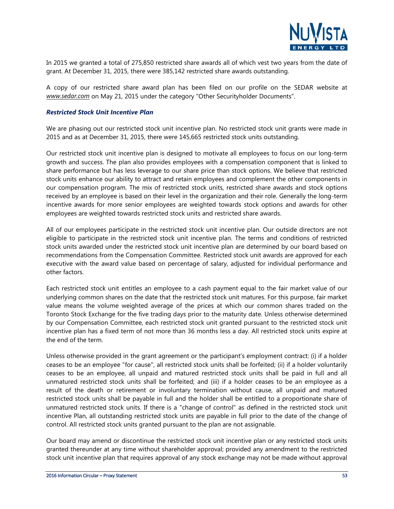

In 2015 we granted a total of 275,850 restricted share awards all of which vest two years from the date of grant. At December 31, 2015, there were 385,142 restricted share awards outstanding.

A copy of our restricted share award plan has been filed on our profile on the SEDAR website at *www.sedar.com* on May 21, 2015 under the category "Other Securityholder Documents".

#### *Restricted Stock Unit Incentive Plan*

We are phasing out our restricted stock unit incentive plan. No restricted stock unit grants were made in 2015 and as at December 31, 2015, there were 145,665 restricted stock units outstanding.

Our restricted stock unit incentive plan is designed to motivate all employees to focus on our long-term growth and success. The plan also provides employees with a compensation component that is linked to share performance but has less leverage to our share price than stock options. We believe that restricted stock units enhance our ability to attract and retain employees and complement the other components in our compensation program. The mix of restricted stock units, restricted share awards and stock options received by an employee is based on their level in the organization and their role. Generally the long-term incentive awards for more senior employees are weighted towards stock options and awards for other employees are weighted towards restricted stock units and restricted share awards.

All of our employees participate in the restricted stock unit incentive plan. Our outside directors are not eligible to participate in the restricted stock unit incentive plan. The terms and conditions of restricted stock units awarded under the restricted stock unit incentive plan are determined by our board based on recommendations from the Compensation Committee. Restricted stock unit awards are approved for each executive with the award value based on percentage of salary, adjusted for individual performance and other factors.

Each restricted stock unit entitles an employee to a cash payment equal to the fair market value of our underlying common shares on the date that the restricted stock unit matures. For this purpose, fair market value means the volume weighted average of the prices at which our common shares traded on the Toronto Stock Exchange for the five trading days prior to the maturity date. Unless otherwise determined by our Compensation Committee, each restricted stock unit granted pursuant to the restricted stock unit incentive plan has a fixed term of not more than 36 months less a day. All restricted stock units expire at the end of the term.

Unless otherwise provided in the grant agreement or the participant's employment contract: (i) if a holder ceases to be an employee "for cause", all restricted stock units shall be forfeited; (ii) if a holder voluntarily ceases to be an employee, all unpaid and matured restricted stock units shall be paid in full and all unmatured restricted stock units shall be forfeited; and (iii) if a holder ceases to be an employee as a result of the death or retirement or involuntary termination without cause, all unpaid and matured restricted stock units shall be payable in full and the holder shall be entitled to a proportionate share of unmatured restricted stock units. If there is a "change of control" as defined in the restricted stock unit incentive Plan, all outstanding restricted stock units are payable in full prior to the date of the change of control. All restricted stock units granted pursuant to the plan are not assignable.

Our board may amend or discontinue the restricted stock unit incentive plan or any restricted stock units granted thereunder at any time without shareholder approval; provided any amendment to the restricted stock unit incentive plan that requires approval of any stock exchange may not be made without approval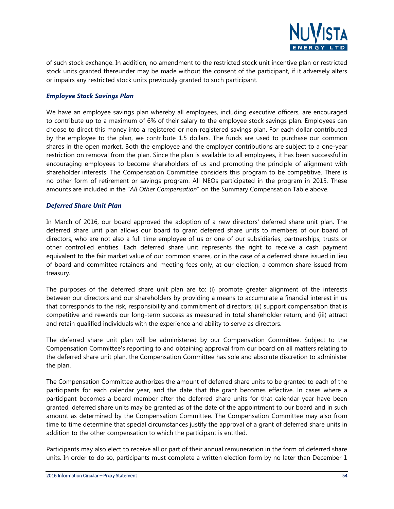

of such stock exchange. In addition, no amendment to the restricted stock unit incentive plan or restricted stock units granted thereunder may be made without the consent of the participant, if it adversely alters or impairs any restricted stock units previously granted to such participant.

#### *Employee Stock Savings Plan*

We have an employee savings plan whereby all employees, including executive officers, are encouraged to contribute up to a maximum of 6% of their salary to the employee stock savings plan. Employees can choose to direct this money into a registered or non-registered savings plan. For each dollar contributed by the employee to the plan, we contribute 1.5 dollars. The funds are used to purchase our common shares in the open market. Both the employee and the employer contributions are subject to a one-year restriction on removal from the plan. Since the plan is available to all employees, it has been successful in encouraging employees to become shareholders of us and promoting the principle of alignment with shareholder interests. The Compensation Committee considers this program to be competitive. There is no other form of retirement or savings program. All NEOs participated in the program in 2015. These amounts are included in the "*All Other Compensation*" on the Summary Compensation Table above.

#### *Deferred Share Unit Plan*

In March of 2016, our board approved the adoption of a new directors' deferred share unit plan. The deferred share unit plan allows our board to grant deferred share units to members of our board of directors, who are not also a full time employee of us or one of our subsidiaries, partnerships, trusts or other controlled entities. Each deferred share unit represents the right to receive a cash payment equivalent to the fair market value of our common shares, or in the case of a deferred share issued in lieu of board and committee retainers and meeting fees only, at our election, a common share issued from treasury.

The purposes of the deferred share unit plan are to: (i) promote greater alignment of the interests between our directors and our shareholders by providing a means to accumulate a financial interest in us that corresponds to the risk, responsibility and commitment of directors; (ii) support compensation that is competitive and rewards our long-term success as measured in total shareholder return; and (iii) attract and retain qualified individuals with the experience and ability to serve as directors.

The deferred share unit plan will be administered by our Compensation Committee. Subject to the Compensation Committee's reporting to and obtaining approval from our board on all matters relating to the deferred share unit plan, the Compensation Committee has sole and absolute discretion to administer the plan.

The Compensation Committee authorizes the amount of deferred share units to be granted to each of the participants for each calendar year, and the date that the grant becomes effective. In cases where a participant becomes a board member after the deferred share units for that calendar year have been granted, deferred share units may be granted as of the date of the appointment to our board and in such amount as determined by the Compensation Committee. The Compensation Committee may also from time to time determine that special circumstances justify the approval of a grant of deferred share units in addition to the other compensation to which the participant is entitled.

Participants may also elect to receive all or part of their annual remuneration in the form of deferred share units. In order to do so, participants must complete a written election form by no later than December 1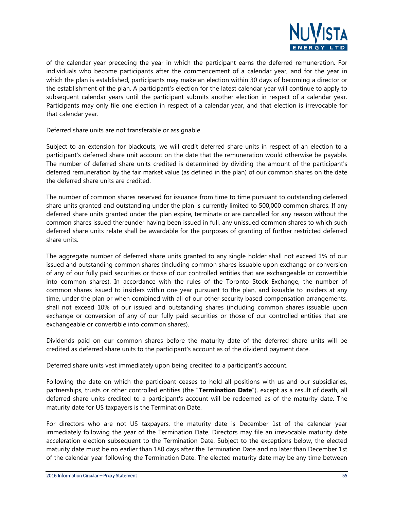

of the calendar year preceding the year in which the participant earns the deferred remuneration. For individuals who become participants after the commencement of a calendar year, and for the year in which the plan is established, participants may make an election within 30 days of becoming a director or the establishment of the plan. A participant's election for the latest calendar year will continue to apply to subsequent calendar years until the participant submits another election in respect of a calendar year. Participants may only file one election in respect of a calendar year, and that election is irrevocable for that calendar year.

Deferred share units are not transferable or assignable.

Subject to an extension for blackouts, we will credit deferred share units in respect of an election to a participant's deferred share unit account on the date that the remuneration would otherwise be payable. The number of deferred share units credited is determined by dividing the amount of the participant's deferred remuneration by the fair market value (as defined in the plan) of our common shares on the date the deferred share units are credited.

The number of common shares reserved for issuance from time to time pursuant to outstanding deferred share units granted and outstanding under the plan is currently limited to 500,000 common shares. If any deferred share units granted under the plan expire, terminate or are cancelled for any reason without the common shares issued thereunder having been issued in full, any unissued common shares to which such deferred share units relate shall be awardable for the purposes of granting of further restricted deferred share units.

The aggregate number of deferred share units granted to any single holder shall not exceed 1% of our issued and outstanding common shares (including common shares issuable upon exchange or conversion of any of our fully paid securities or those of our controlled entities that are exchangeable or convertible into common shares). In accordance with the rules of the Toronto Stock Exchange, the number of common shares issued to insiders within one year pursuant to the plan, and issuable to insiders at any time, under the plan or when combined with all of our other security based compensation arrangements, shall not exceed 10% of our issued and outstanding shares (including common shares issuable upon exchange or conversion of any of our fully paid securities or those of our controlled entities that are exchangeable or convertible into common shares).

Dividends paid on our common shares before the maturity date of the deferred share units will be credited as deferred share units to the participant's account as of the dividend payment date.

Deferred share units vest immediately upon being credited to a participant's account.

Following the date on which the participant ceases to hold all positions with us and our subsidiaries, partnerships, trusts or other controlled entities (the "**Termination Date**"), except as a result of death, all deferred share units credited to a participant's account will be redeemed as of the maturity date. The maturity date for US taxpayers is the Termination Date.

For directors who are not US taxpayers, the maturity date is December 1st of the calendar year immediately following the year of the Termination Date. Directors may file an irrevocable maturity date acceleration election subsequent to the Termination Date. Subject to the exceptions below, the elected maturity date must be no earlier than 180 days after the Termination Date and no later than December 1st of the calendar year following the Termination Date. The elected maturity date may be any time between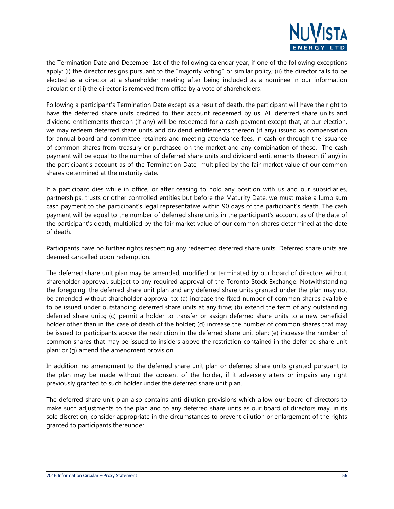

the Termination Date and December 1st of the following calendar year, if one of the following exceptions apply: (i) the director resigns pursuant to the "majority voting" or similar policy; (ii) the director fails to be elected as a director at a shareholder meeting after being included as a nominee in our information circular; or (iii) the director is removed from office by a vote of shareholders.

Following a participant's Termination Date except as a result of death, the participant will have the right to have the deferred share units credited to their account redeemed by us. All deferred share units and dividend entitlements thereon (if any) will be redeemed for a cash payment except that, at our election, we may redeem deterred share units and dividend entitlements thereon (if any) issued as compensation for annual board and committee retainers and meeting attendance fees, in cash or through the issuance of common shares from treasury or purchased on the market and any combination of these. The cash payment will be equal to the number of deferred share units and dividend entitlements thereon (if any) in the participant's account as of the Termination Date, multiplied by the fair market value of our common shares determined at the maturity date.

If a participant dies while in office, or after ceasing to hold any position with us and our subsidiaries, partnerships, trusts or other controlled entities but before the Maturity Date, we must make a lump sum cash payment to the participant's legal representative within 90 days of the participant's death. The cash payment will be equal to the number of deferred share units in the participant's account as of the date of the participant's death, multiplied by the fair market value of our common shares determined at the date of death.

Participants have no further rights respecting any redeemed deferred share units. Deferred share units are deemed cancelled upon redemption.

The deferred share unit plan may be amended, modified or terminated by our board of directors without shareholder approval, subject to any required approval of the Toronto Stock Exchange. Notwithstanding the foregoing, the deferred share unit plan and any deferred share units granted under the plan may not be amended without shareholder approval to: (a) increase the fixed number of common shares available to be issued under outstanding deferred share units at any time; (b) extend the term of any outstanding deferred share units; (c) permit a holder to transfer or assign deferred share units to a new beneficial holder other than in the case of death of the holder; (d) increase the number of common shares that may be issued to participants above the restriction in the deferred share unit plan; (e) increase the number of common shares that may be issued to insiders above the restriction contained in the deferred share unit plan; or (g) amend the amendment provision.

In addition, no amendment to the deferred share unit plan or deferred share units granted pursuant to the plan may be made without the consent of the holder, if it adversely alters or impairs any right previously granted to such holder under the deferred share unit plan.

The deferred share unit plan also contains anti-dilution provisions which allow our board of directors to make such adjustments to the plan and to any deferred share units as our board of directors may, in its sole discretion, consider appropriate in the circumstances to prevent dilution or enlargement of the rights granted to participants thereunder.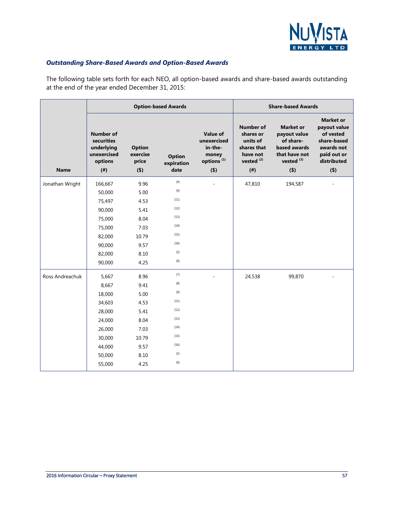

#### *Outstanding Share-Based Awards and Option-Based Awards*

The following table sets forth for each NEO, all option-based awards and share-based awards outstanding at the end of the year ended December 31, 2015:

|                 |                                                                                     |                                           | <b>Option-based Awards</b>          |                                                                              |                                                                                                   | <b>Share-based Awards</b>                                                                                 |                                                                                                                     |
|-----------------|-------------------------------------------------------------------------------------|-------------------------------------------|-------------------------------------|------------------------------------------------------------------------------|---------------------------------------------------------------------------------------------------|-----------------------------------------------------------------------------------------------------------|---------------------------------------------------------------------------------------------------------------------|
| <b>Name</b>     | <b>Number of</b><br>securities<br>underlying<br>unexercised<br>options<br>$($ # $)$ | <b>Option</b><br>exercise<br>price<br>(5) | <b>Option</b><br>expiration<br>date | Value of<br>unexercised<br>in-the-<br>money<br>options <sup>(1)</sup><br>(5) | <b>Number of</b><br>shares or<br>units of<br>shares that<br>have not<br>vested $(2)$<br>$($ # $)$ | <b>Market or</b><br>payout value<br>of share-<br>based awards<br>that have not<br>vested $(3)$<br>$($ \$) | <b>Market or</b><br>payout value<br>of vested<br>share-based<br>awards not<br>paid out or<br>distributed<br>$($ \$) |
| Jonathan Wright | 166,667                                                                             | 9.96                                      | (4)                                 |                                                                              | 47,810                                                                                            | 194,587                                                                                                   |                                                                                                                     |
|                 | 50,000                                                                              | 5.00                                      | (9)                                 |                                                                              |                                                                                                   |                                                                                                           |                                                                                                                     |
|                 | 75,497                                                                              | 4.53                                      | (11)                                |                                                                              |                                                                                                   |                                                                                                           |                                                                                                                     |
|                 | 90,000                                                                              | 5.41                                      | (12)                                |                                                                              |                                                                                                   |                                                                                                           |                                                                                                                     |
|                 | 75,000                                                                              | 8.04                                      | (13)                                |                                                                              |                                                                                                   |                                                                                                           |                                                                                                                     |
|                 | 75,000                                                                              | 7.03                                      | (14)                                |                                                                              |                                                                                                   |                                                                                                           |                                                                                                                     |
|                 | 82,000                                                                              | 10.79                                     | (15)                                |                                                                              |                                                                                                   |                                                                                                           |                                                                                                                     |
|                 | 90,000                                                                              | 9.57                                      | (16)                                |                                                                              |                                                                                                   |                                                                                                           |                                                                                                                     |
|                 | 82,000                                                                              | 8.10                                      | (5)                                 |                                                                              |                                                                                                   |                                                                                                           |                                                                                                                     |
|                 | 90,000                                                                              | 4.25                                      | (6)                                 |                                                                              |                                                                                                   |                                                                                                           |                                                                                                                     |
| Ross Andreachuk | 5,667                                                                               | 8.96                                      | (7)                                 |                                                                              | 24,538                                                                                            | 99,870                                                                                                    |                                                                                                                     |
|                 | 8,667                                                                               | 9.41                                      | (8)                                 |                                                                              |                                                                                                   |                                                                                                           |                                                                                                                     |
|                 | 18,000                                                                              | 5.00                                      | (9)                                 |                                                                              |                                                                                                   |                                                                                                           |                                                                                                                     |
|                 | 34,603                                                                              | 4.53                                      | (11)                                |                                                                              |                                                                                                   |                                                                                                           |                                                                                                                     |
|                 | 28,000                                                                              | 5.41                                      | (12)                                |                                                                              |                                                                                                   |                                                                                                           |                                                                                                                     |
|                 | 24,000                                                                              | 8.04                                      | (13)                                |                                                                              |                                                                                                   |                                                                                                           |                                                                                                                     |
|                 | 26,000                                                                              | 7.03                                      | (14)                                |                                                                              |                                                                                                   |                                                                                                           |                                                                                                                     |
|                 | 30,000                                                                              | 10.79                                     | (15)                                |                                                                              |                                                                                                   |                                                                                                           |                                                                                                                     |
|                 | 44,000                                                                              | 9.57                                      | (16)                                |                                                                              |                                                                                                   |                                                                                                           |                                                                                                                     |
|                 | 50,000                                                                              | 8.10                                      | (5)                                 |                                                                              |                                                                                                   |                                                                                                           |                                                                                                                     |
|                 | 55,000                                                                              | 4.25                                      | (6)                                 |                                                                              |                                                                                                   |                                                                                                           |                                                                                                                     |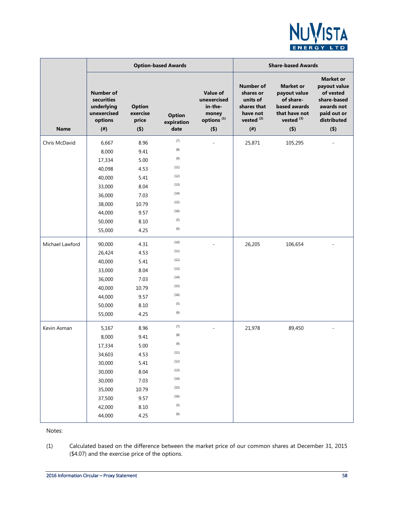

|                 |                                                                                                          |                                                                                               | <b>Option-based Awards</b>                                                                    |                                                                                         | <b>Share-based Awards</b>                                                                        |                                                                                                           |                                                                                                                 |  |
|-----------------|----------------------------------------------------------------------------------------------------------|-----------------------------------------------------------------------------------------------|-----------------------------------------------------------------------------------------------|-----------------------------------------------------------------------------------------|--------------------------------------------------------------------------------------------------|-----------------------------------------------------------------------------------------------------------|-----------------------------------------------------------------------------------------------------------------|--|
| <b>Name</b>     | <b>Number of</b><br>securities<br>underlying<br>unexercised<br>options<br>$($ # $)$                      | <b>Option</b><br>exercise<br>price<br>$($ \$)                                                 | <b>Option</b><br>expiration<br>date                                                           | <b>Value of</b><br>unexercised<br>in-the-<br>money<br>options <sup>(1)</sup><br>$($ \$) | Number of<br>shares or<br>units of<br>shares that<br>have not<br>vested <sup>(2)</sup><br>$($ #) | <b>Market or</b><br>payout value<br>of share-<br>based awards<br>that have not<br>vested $(3)$<br>$($ \$) | <b>Market or</b><br>payout value<br>of vested<br>share-based<br>awards not<br>paid out or<br>distributed<br>(5) |  |
| Chris McDavid   | 6,667<br>8,000<br>17,334<br>40,098<br>40,000<br>33,000<br>36,000<br>38,000<br>44,000<br>50,000           | 8.96<br>9.41<br>5.00<br>4.53<br>5.41<br>8.04<br>7.03<br>10.79<br>9.57<br>8.10                 | (7)<br>(8)<br>(9)<br>(11)<br>(12)<br>(13)<br>(14)<br>(15)<br>(16)<br>(5)                      |                                                                                         | 25,871                                                                                           | 105,295                                                                                                   |                                                                                                                 |  |
|                 | 55,000                                                                                                   | 4.25                                                                                          | (6)                                                                                           |                                                                                         |                                                                                                  |                                                                                                           |                                                                                                                 |  |
| Michael Lawford | 90,000<br>26,424<br>40,000<br>33,000<br>36,000<br>40,000<br>44,000<br>50,000<br>55,000                   | 4.31<br>4.53<br>5.41<br>8.04<br>7.03<br>10.79<br>9.57<br>8.10<br>4.25                         | (10)<br>(11)<br>(12)<br>(13)<br>(14)<br>(15)<br>(16)<br>(5)<br>(6)                            |                                                                                         | 26,205                                                                                           | 106,654                                                                                                   |                                                                                                                 |  |
| Kevin Asman     | 5,167<br>8,000<br>17,334<br>34,603<br>30,000<br>30,000<br>30,000<br>35,000<br>37,500<br>42,000<br>44,000 | 8.96<br>9.41<br>$5.00\,$<br>4.53<br>5.41<br>8.04<br>7.03<br>10.79<br>9.57<br>$8.10\,$<br>4.25 | (7)<br>(8)<br>(9)<br>(11)<br>(12)<br>(13)<br>(14)<br>(15)<br>(16)<br>(5)<br>$\left( 6\right)$ |                                                                                         | 21,978                                                                                           | 89,450                                                                                                    |                                                                                                                 |  |

Notes:

(1) Calculated based on the difference between the market price of our common shares at December 31, 2015 (\$4.07) and the exercise price of the options.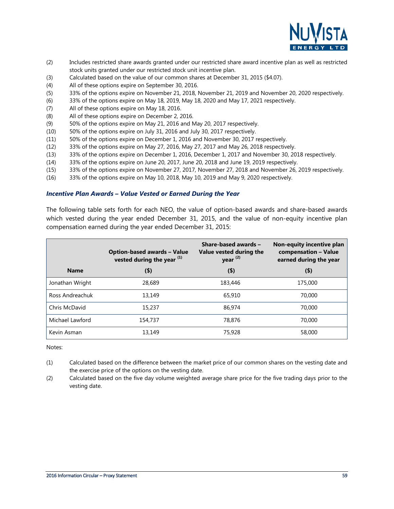

- (2) Includes restricted share awards granted under our restricted share award incentive plan as well as restricted stock units granted under our restricted stock unit incentive plan.
- (3) Calculated based on the value of our common shares at December 31, 2015 (\$4.07).
- (4) All of these options expire on September 30, 2016.
- (5) 33% of the options expire on November 21, 2018, November 21, 2019 and November 20, 2020 respectively.
- (6) 33% of the options expire on May 18, 2019, May 18, 2020 and May 17, 2021 respectively.
- (7) All of these options expire on May 18, 2016.
- (8) All of these options expire on December 2, 2016.
- (9) 50% of the options expire on May 21, 2016 and May 20, 2017 respectively.
- (10) 50% of the options expire on July 31, 2016 and July 30, 2017 respectively.
- (11) 50% of the options expire on December 1, 2016 and November 30, 2017 respectively.
- (12) 33% of the options expire on May 27, 2016, May 27, 2017 and May 26, 2018 respectively.
- (13) 33% of the options expire on December 1, 2016, December 1, 2017 and November 30, 2018 respectively.
- (14) 33% of the options expire on June 20, 2017, June 20, 2018 and June 19, 2019 respectively.
- (15) 33% of the options expire on November 27, 2017, November 27, 2018 and November 26, 2019 respectively.
- (16) 33% of the options expire on May 10, 2018, May 10, 2019 and May 9, 2020 respectively.

#### *Incentive Plan Awards – Value Vested or Earned During the Year*

The following table sets forth for each NEO, the value of option-based awards and share-based awards which vested during the year ended December 31, 2015, and the value of non-equity incentive plan compensation earned during the year ended December 31, 2015:

|                 | <b>Option-based awards - Value</b><br>vested during the year $(1)$ | Share-based awards -<br>Value vested during the<br>year $(2)$ | Non-equity incentive plan<br>compensation - Value<br>earned during the year |
|-----------------|--------------------------------------------------------------------|---------------------------------------------------------------|-----------------------------------------------------------------------------|
| <b>Name</b>     | (\$)                                                               | $($ \$)                                                       | $($ \$)                                                                     |
| Jonathan Wright | 28,689                                                             | 183,446                                                       | 175,000                                                                     |
| Ross Andreachuk | 13.149                                                             | 65,910                                                        | 70,000                                                                      |
| Chris McDavid   | 15,237                                                             | 86,974                                                        | 70,000                                                                      |
| Michael Lawford | 154,737                                                            | 78,876                                                        | 70,000                                                                      |
| Kevin Asman     | 13,149                                                             | 75,928                                                        | 58,000                                                                      |

Notes:

- (1) Calculated based on the difference between the market price of our common shares on the vesting date and the exercise price of the options on the vesting date.
- (2) Calculated based on the five day volume weighted average share price for the five trading days prior to the vesting date.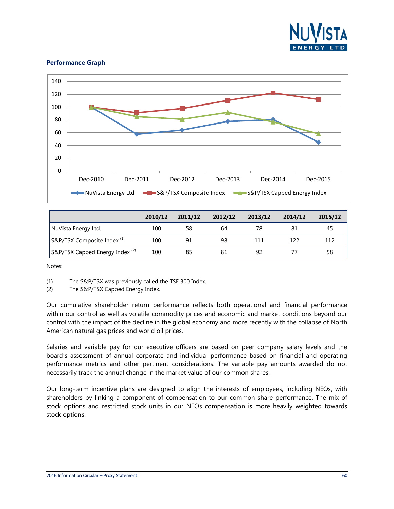

#### **Performance Graph**



|                                            | 2010/12 | 2011/12 | 2012/12 | 2013/12 | 2014/12 | 2015/12 |
|--------------------------------------------|---------|---------|---------|---------|---------|---------|
| NuVista Energy Ltd.                        | 100     | 58      | 64      | 78      |         | 45      |
| ' S&P/TSX Composite Index <sup>(1)</sup>   | 100     | 91      | 98      | 111     | 122     | 112     |
| S&P/TSX Capped Energy Index <sup>(2)</sup> | 100     | 85      | 81      | 92      |         | 58      |

Notes:

(1) The S&P/TSX was previously called the TSE 300 Index.

(2) The S&P/TSX Capped Energy Index.

Our cumulative shareholder return performance reflects both operational and financial performance within our control as well as volatile commodity prices and economic and market conditions beyond our control with the impact of the decline in the global economy and more recently with the collapse of North American natural gas prices and world oil prices.

Salaries and variable pay for our executive officers are based on peer company salary levels and the board's assessment of annual corporate and individual performance based on financial and operating performance metrics and other pertinent considerations. The variable pay amounts awarded do not necessarily track the annual change in the market value of our common shares.

Our long-term incentive plans are designed to align the interests of employees, including NEOs, with shareholders by linking a component of compensation to our common share performance. The mix of stock options and restricted stock units in our NEOs compensation is more heavily weighted towards stock options.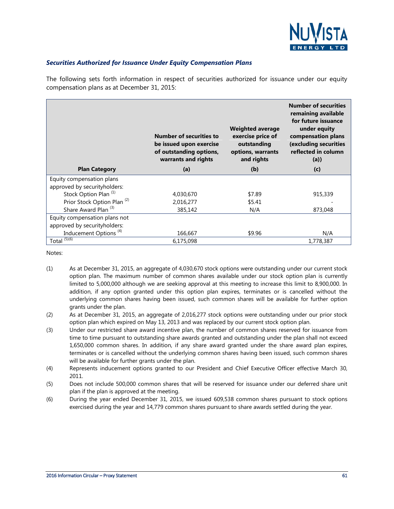

#### *Securities Authorized for Issuance Under Equity Compensation Plans*

The following sets forth information in respect of securities authorized for issuance under our equity compensation plans as at December 31, 2015:

|                                        | <b>Number of securities to</b><br>be issued upon exercise<br>of outstanding options,<br>warrants and rights | <b>Weighted average</b><br>exercise price of<br>outstanding<br>options, warrants<br>and rights | <b>Number of securities</b><br>remaining available<br>for future issuance<br>under equity<br>compensation plans<br>(excluding securities<br>reflected in column<br>(a) |
|----------------------------------------|-------------------------------------------------------------------------------------------------------------|------------------------------------------------------------------------------------------------|------------------------------------------------------------------------------------------------------------------------------------------------------------------------|
| <b>Plan Category</b>                   | (a)                                                                                                         | (b)                                                                                            | (c)                                                                                                                                                                    |
| Equity compensation plans              |                                                                                                             |                                                                                                |                                                                                                                                                                        |
| approved by securityholders:           |                                                                                                             |                                                                                                |                                                                                                                                                                        |
| Stock Option Plan <sup>(1)</sup>       | 4,030,670                                                                                                   | \$7.89                                                                                         | 915,339                                                                                                                                                                |
| Prior Stock Option Plan <sup>(2)</sup> | 2,016,277                                                                                                   | \$5.41                                                                                         |                                                                                                                                                                        |
| Share Award Plan <sup>(3)</sup>        | 385,142                                                                                                     | N/A                                                                                            | 873,048                                                                                                                                                                |
| Equity compensation plans not          |                                                                                                             |                                                                                                |                                                                                                                                                                        |
| approved by securityholders:           |                                                                                                             |                                                                                                |                                                                                                                                                                        |
| Inducement Options <sup>(4)</sup>      | 166,667                                                                                                     | \$9.96                                                                                         | N/A                                                                                                                                                                    |
| Total $(5)(6)$                         | 6.175.098                                                                                                   |                                                                                                | 1,778,387                                                                                                                                                              |

Notes:

- (1) As at December 31, 2015, an aggregate of 4,030,670 stock options were outstanding under our current stock option plan. The maximum number of common shares available under our stock option plan is currently limited to 5,000,000 although we are seeking approval at this meeting to increase this limit to 8,900,000. In addition, if any option granted under this option plan expires, terminates or is cancelled without the underlying common shares having been issued, such common shares will be available for further option grants under the plan.
- (2) As at December 31, 2015, an aggregate of 2,016,277 stock options were outstanding under our prior stock option plan which expired on May 13, 2013 and was replaced by our current stock option plan.
- (3) Under our restricted share award incentive plan, the number of common shares reserved for issuance from time to time pursuant to outstanding share awards granted and outstanding under the plan shall not exceed 1,650,000 common shares. In addition, if any share award granted under the share award plan expires, terminates or is cancelled without the underlying common shares having been issued, such common shares will be available for further grants under the plan.
- (4) Represents inducement options granted to our President and Chief Executive Officer effective March 30, 2011.
- (5) Does not include 500,000 common shares that will be reserved for issuance under our deferred share unit plan if the plan is approved at the meeting.
- (6) During the year ended December 31, 2015, we issued 609,538 common shares pursuant to stock options exercised during the year and 14,779 common shares pursuant to share awards settled during the year.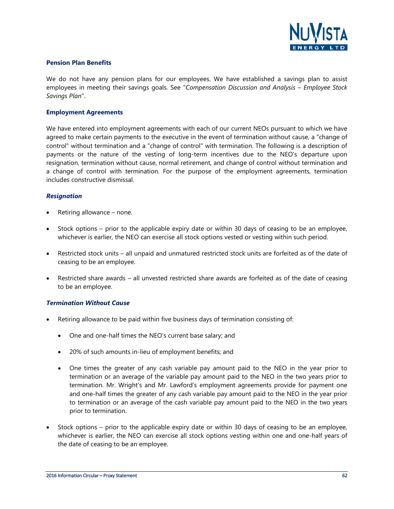

#### **Pension Plan Benefits**

We do not have any pension plans for our employees. We have established a savings plan to assist employees in meeting their savings goals. See "*Compensation Discussion and Analysis – Employee Stock Savings Plan*".

#### **Employment Agreements**

We have entered into employment agreements with each of our current NEOs pursuant to which we have agreed to make certain payments to the executive in the event of termination without cause, a "change of control" without termination and a "change of control" with termination. The following is a description of payments or the nature of the vesting of long-term incentives due to the NEO's departure upon resignation, termination without cause, normal retirement, and change of control without termination and a change of control with termination. For the purpose of the employment agreements, termination includes constructive dismissal.

#### *Resignation*

- Retiring allowance none.
- Stock options prior to the applicable expiry date or within 30 days of ceasing to be an employee, whichever is earlier, the NEO can exercise all stock options vested or vesting within such period.
- Restricted stock units all unpaid and unmatured restricted stock units are forfeited as of the date of ceasing to be an employee.
- Restricted share awards all unvested restricted share awards are forfeited as of the date of ceasing to be an employee.

#### *Termination Without Cause*

- Retiring allowance to be paid within five business days of termination consisting of:
	- One and one-half times the NEO's current base salary; and
	- 20% of such amounts in-lieu of employment benefits; and
	- One times the greater of any cash variable pay amount paid to the NEO in the year prior to termination or an average of the variable pay amount paid to the NEO in the two years prior to termination. Mr. Wright's and Mr. Lawford's employment agreements provide for payment one and one-half times the greater of any cash variable pay amount paid to the NEO in the year prior to termination or an average of the cash variable pay amount paid to the NEO in the two years prior to termination.
- Stock options prior to the applicable expiry date or within 30 days of ceasing to be an employee, whichever is earlier, the NEO can exercise all stock options vesting within one and one-half years of the date of ceasing to be an employee.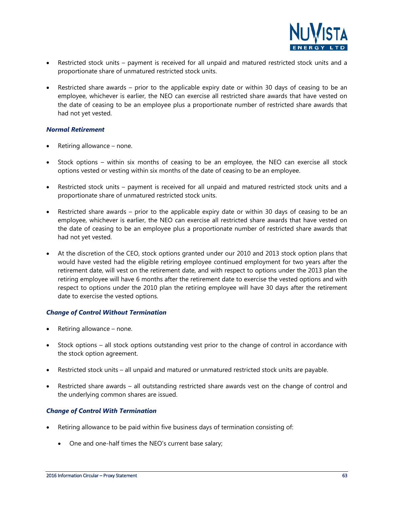

- Restricted stock units payment is received for all unpaid and matured restricted stock units and a proportionate share of unmatured restricted stock units.
- Restricted share awards prior to the applicable expiry date or within 30 days of ceasing to be an employee, whichever is earlier, the NEO can exercise all restricted share awards that have vested on the date of ceasing to be an employee plus a proportionate number of restricted share awards that had not yet vested.

#### *Normal Retirement*

- Retiring allowance none.
- Stock options within six months of ceasing to be an employee, the NEO can exercise all stock options vested or vesting within six months of the date of ceasing to be an employee.
- Restricted stock units payment is received for all unpaid and matured restricted stock units and a proportionate share of unmatured restricted stock units.
- Restricted share awards prior to the applicable expiry date or within 30 days of ceasing to be an employee, whichever is earlier, the NEO can exercise all restricted share awards that have vested on the date of ceasing to be an employee plus a proportionate number of restricted share awards that had not yet vested.
- At the discretion of the CEO, stock options granted under our 2010 and 2013 stock option plans that would have vested had the eligible retiring employee continued employment for two years after the retirement date, will vest on the retirement date, and with respect to options under the 2013 plan the retiring employee will have 6 months after the retirement date to exercise the vested options and with respect to options under the 2010 plan the retiring employee will have 30 days after the retirement date to exercise the vested options.

#### *Change of Control Without Termination*

- Retiring allowance none.
- Stock options all stock options outstanding vest prior to the change of control in accordance with the stock option agreement.
- Restricted stock units all unpaid and matured or unmatured restricted stock units are payable.
- Restricted share awards all outstanding restricted share awards vest on the change of control and the underlying common shares are issued.

#### *Change of Control With Termination*

- Retiring allowance to be paid within five business days of termination consisting of:
	- One and one-half times the NEO's current base salary;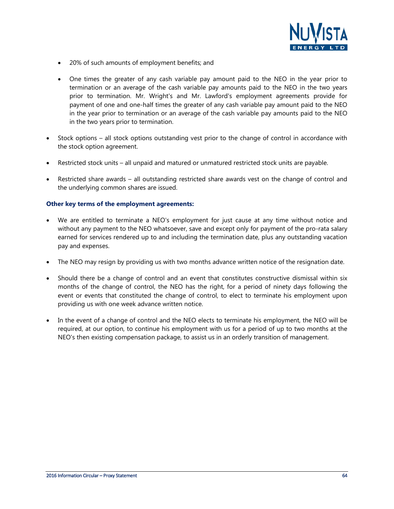

- 20% of such amounts of employment benefits; and
- One times the greater of any cash variable pay amount paid to the NEO in the year prior to termination or an average of the cash variable pay amounts paid to the NEO in the two years prior to termination. Mr. Wright's and Mr. Lawford's employment agreements provide for payment of one and one-half times the greater of any cash variable pay amount paid to the NEO in the year prior to termination or an average of the cash variable pay amounts paid to the NEO in the two years prior to termination.
- Stock options all stock options outstanding vest prior to the change of control in accordance with the stock option agreement.
- Restricted stock units all unpaid and matured or unmatured restricted stock units are payable.
- Restricted share awards all outstanding restricted share awards vest on the change of control and the underlying common shares are issued.

#### **Other key terms of the employment agreements:**

- We are entitled to terminate a NEO's employment for just cause at any time without notice and without any payment to the NEO whatsoever, save and except only for payment of the pro-rata salary earned for services rendered up to and including the termination date, plus any outstanding vacation pay and expenses.
- The NEO may resign by providing us with two months advance written notice of the resignation date.
- Should there be a change of control and an event that constitutes constructive dismissal within six months of the change of control, the NEO has the right, for a period of ninety days following the event or events that constituted the change of control, to elect to terminate his employment upon providing us with one week advance written notice.
- In the event of a change of control and the NEO elects to terminate his employment, the NEO will be required, at our option, to continue his employment with us for a period of up to two months at the NEO's then existing compensation package, to assist us in an orderly transition of management.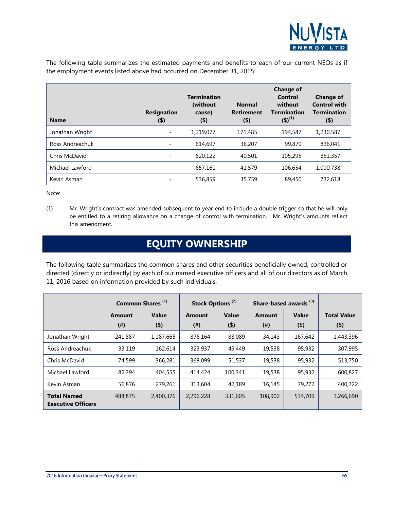

The following table summarizes the estimated payments and benefits to each of our current NEOs as if the employment events listed above had occurred on December 31, 2015:

| <b>Name</b>     | <b>Resignation</b><br>$($ \$) | <b>Termination</b><br>(without<br>cause)<br>$($ \$) | <b>Normal</b><br><b>Retirement</b><br>$($ \$) | <b>Change of</b><br>Control<br>without<br><b>Termination</b><br>$(5)^{(1)}$ | <b>Change of</b><br><b>Control with</b><br><b>Termination</b><br>$($ \$) |
|-----------------|-------------------------------|-----------------------------------------------------|-----------------------------------------------|-----------------------------------------------------------------------------|--------------------------------------------------------------------------|
| Jonathan Wright |                               | 1,219,077                                           | 171,485                                       | 194,587                                                                     | 1,230,587                                                                |
| Ross Andreachuk | Ξ                             | 614,697                                             | 36,207                                        | 99,870                                                                      | 836.041                                                                  |
| Chris McDavid   | $\overline{\phantom{0}}$      | 620.122                                             | 40,501                                        | 105,295                                                                     | 851,357                                                                  |
| Michael Lawford |                               | 657,161                                             | 41,579                                        | 106.654                                                                     | 1,000,738                                                                |
| Kevin Asman     |                               | 536,859                                             | 35,759                                        | 89,450                                                                      | 732,618                                                                  |

Note:

(1) Mr. Wright's contract was amended subsequent to year end to include a double trigger so that he will only be entitled to a retiring allowance on a change of control with termination. Mr. Wright's amounts reflect this amendment.

### **EQUITY OWNERSHIP**

<span id="page-64-0"></span>The following table summarizes the common shares and other securities beneficially owned, controlled or directed (directly or indirectly) by each of our named executive officers and all of our directors as of March 11, 2016 based on information provided by such individuals.

|                                                 | Common Shares <sup>(1)</sup> |           | Stock Options <sup>(2)</sup> |         | Share-based awards <sup>(3)</sup> |         |                    |
|-------------------------------------------------|------------------------------|-----------|------------------------------|---------|-----------------------------------|---------|--------------------|
|                                                 | <b>Amount</b>                | Value     | Amount                       | Value   | Amount                            | Value   | <b>Total Value</b> |
|                                                 | (# )                         | $($ \$)   | $^{(#)}$                     | $($ \$) | $^{(#)}$                          | (4)     | $($ \$)            |
| Jonathan Wright                                 | 241,887                      | 1,187,665 | 876,164                      | 88,089  | 34,143                            | 167,642 | 1,443,396          |
| Ross Andreachuk                                 | 33,119                       | 162,614   | 323,937                      | 49,449  | 19,538                            | 95,932  | 307,995            |
| Chris McDavid                                   | 74,599                       | 366,281   | 368,099                      | 51,537  | 19,538                            | 95,932  | 513,750            |
| Michael Lawford                                 | 82,394                       | 404,555   | 414,424                      | 100,341 | 19,538                            | 95,932  | 600,827            |
| Kevin Asman                                     | 56,876                       | 279,261   | 313,604                      | 42,189  | 16,145                            | 79,272  | 400,722            |
| <b>Total Named</b><br><b>Executive Officers</b> | 488,875                      | 2,400,376 | 2,296,228                    | 331,605 | 108,902                           | 534,709 | 3,266,690          |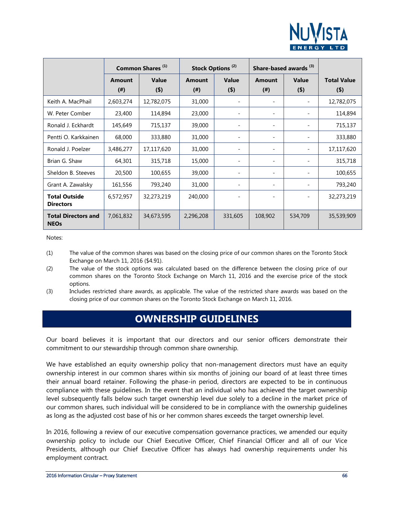

|                                           |               | Common Shares <sup>(1)</sup> |               | Stock Options <sup>(2)</sup> |                          | Share-based awards <sup>(3)</sup> |                    |  |
|-------------------------------------------|---------------|------------------------------|---------------|------------------------------|--------------------------|-----------------------------------|--------------------|--|
|                                           | <b>Amount</b> | Value                        | <b>Amount</b> | Value                        | <b>Amount</b>            | Value                             | <b>Total Value</b> |  |
|                                           | (# )          | (4)                          | (# )          | (5)                          | (# )                     | (5)                               | $($ \$)            |  |
| Keith A. MacPhail                         | 2,603,274     | 12,782,075                   | 31,000        |                              |                          |                                   | 12,782,075         |  |
| W. Peter Comber                           | 23,400        | 114,894                      | 23,000        |                              |                          |                                   | 114,894            |  |
| Ronald J. Eckhardt                        | 145,649       | 715,137                      | 39,000        | -                            | $\overline{\phantom{0}}$ | $\qquad \qquad \blacksquare$      | 715,137            |  |
| Pentti O. Karkkainen                      | 68,000        | 333,880                      | 31,000        |                              | $\overline{\phantom{0}}$ |                                   | 333,880            |  |
| Ronald J. Poelzer                         | 3,486,277     | 17,117,620                   | 31,000        |                              |                          |                                   | 17,117,620         |  |
| Brian G. Shaw                             | 64,301        | 315,718                      | 15,000        |                              |                          |                                   | 315,718            |  |
| Sheldon B. Steeves                        | 20,500        | 100,655                      | 39,000        |                              |                          |                                   | 100,655            |  |
| Grant A. Zawalsky                         | 161,556       | 793,240                      | 31,000        | $\overline{\phantom{a}}$     | -                        | $\overline{\phantom{a}}$          | 793,240            |  |
| <b>Total Outside</b><br><b>Directors</b>  | 6,572,957     | 32,273,219                   | 240,000       |                              |                          | $\overline{\phantom{a}}$          | 32,273,219         |  |
| <b>Total Directors and</b><br><b>NEOs</b> | 7,061,832     | 34,673,595                   | 2,296,208     | 331,605                      | 108,902                  | 534,709                           | 35,539,909         |  |

Notes:

- (1) The value of the common shares was based on the closing price of our common shares on the Toronto Stock Exchange on March 11, 2016 (\$4.91).
- (2) The value of the stock options was calculated based on the difference between the closing price of our common shares on the Toronto Stock Exchange on March 11, 2016 and the exercise price of the stock options.
- <span id="page-65-0"></span>(3) Includes restricted share awards, as applicable. The value of the restricted share awards was based on the closing price of our common shares on the Toronto Stock Exchange on March 11, 2016.

### **OWNERSHIP GUIDELINES**

Our board believes it is important that our directors and our senior officers demonstrate their commitment to our stewardship through common share ownership.

We have established an equity ownership policy that non-management directors must have an equity ownership interest in our common shares within six months of joining our board of at least three times their annual board retainer. Following the phase-in period, directors are expected to be in continuous compliance with these guidelines. In the event that an individual who has achieved the target ownership level subsequently falls below such target ownership level due solely to a decline in the market price of our common shares, such individual will be considered to be in compliance with the ownership guidelines as long as the adjusted cost base of his or her common shares exceeds the target ownership level.

In 2016, following a review of our executive compensation governance practices, we amended our equity ownership policy to include our Chief Executive Officer, Chief Financial Officer and all of our Vice Presidents, although our Chief Executive Officer has always had ownership requirements under his employment contract.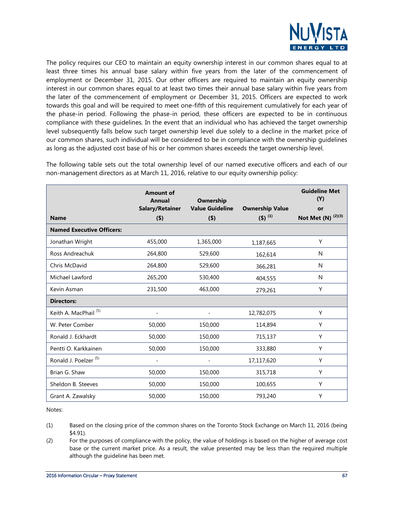

The policy requires our CEO to maintain an equity ownership interest in our common shares equal to at least three times his annual base salary within five years from the later of the commencement of employment or December 31, 2015. Our other officers are required to maintain an equity ownership interest in our common shares equal to at least two times their annual base salary within five years from the later of the commencement of employment or December 31, 2015. Officers are expected to work towards this goal and will be required to meet one-fifth of this requirement cumulatively for each year of the phase-in period. Following the phase-in period, these officers are expected to be in continuous compliance with these guidelines. In the event that an individual who has achieved the target ownership level subsequently falls below such target ownership level due solely to a decline in the market price of our common shares, such individual will be considered to be in compliance with the ownership guidelines as long as the adjusted cost base of his or her common shares exceeds the target ownership level.

The following table sets out the total ownership level of our named executive officers and each of our non-management directors as at March 11, 2016, relative to our equity ownership policy:

|                                  | <b>Amount of</b><br><b>Annual</b> | Ownership                |                        | <b>Guideline Met</b><br>(Y) |
|----------------------------------|-----------------------------------|--------------------------|------------------------|-----------------------------|
|                                  | <b>Salary/Retainer</b>            | <b>Value Guideline</b>   | <b>Ownership Value</b> | or                          |
| <b>Name</b>                      | $($ \$)                           | (4)                      | $(5)^{(1)}$            | (2)(3)<br>Not Met (N)       |
| <b>Named Executive Officers:</b> |                                   |                          |                        |                             |
| Jonathan Wright                  | 455,000                           | 1,365,000                | 1,187,665              | Y                           |
| Ross Andreachuk                  | 264,800                           | 529,600                  | 162,614                | N                           |
| Chris McDavid                    | 264,800                           | 529,600                  | 366,281                | N                           |
| Michael Lawford                  | 265,200                           | 530,400                  | 404,555                | N                           |
| Kevin Asman                      | 231,500                           | 463,000                  | 279,261                | Υ                           |
| <b>Directors:</b>                |                                   |                          |                        |                             |
| Keith A. MacPhail <sup>(5)</sup> |                                   |                          | 12,782,075             | Y                           |
| W. Peter Comber                  | 50,000                            | 150,000                  | 114,894                | Y                           |
| Ronald J. Eckhardt               | 50,000                            | 150,000                  | 715,137                | Υ                           |
| Pentti O. Karkkainen             | 50,000                            | 150,000                  | 333,880                | Υ                           |
| Ronald J. Poelzer <sup>(5)</sup> | $\overline{a}$                    | $\overline{\phantom{0}}$ | 17,117,620             | Y                           |
| Brian G. Shaw                    | 50,000                            | 150,000                  | 315,718                | Y                           |
| Sheldon B. Steeves               | 50,000                            | 150,000                  | 100,655                | Y                           |
| Grant A. Zawalsky                | 50,000                            | 150,000                  | 793,240                | Y                           |

Notes:

- (1) Based on the closing price of the common shares on the Toronto Stock Exchange on March 11, 2016 (being \$4.91).
- (2) For the purposes of compliance with the policy, the value of holdings is based on the higher of average cost base or the current market price. As a result, the value presented may be less than the required multiple although the guideline has been met.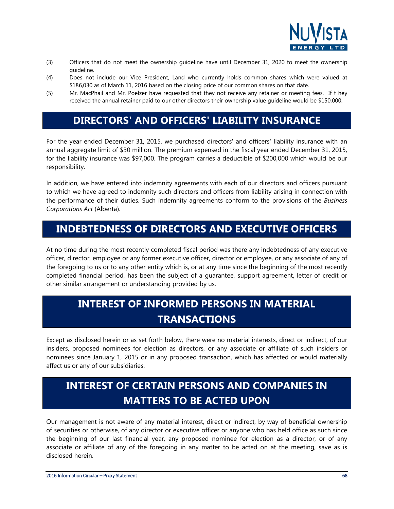

- (3) Officers that do not meet the ownership guideline have until December 31, 2020 to meet the ownership guideline.
- (4) Does not include our Vice President, Land who currently holds common shares which were valued at \$186,030 as of March 11, 2016 based on the closing price of our common shares on that date.
- (5) Mr. MacPhail and Mr. Poelzer have requested that they not receive any retainer or meeting fees. If t hey received the annual retainer paid to our other directors their ownership value guideline would be \$150,000.

### **DIRECTORS' AND OFFICERS' LIABILITY INSURANCE**

For the year ended December 31, 2015, we purchased directors' and officers' liability insurance with an annual aggregate limit of \$30 million. The premium expensed in the fiscal year ended December 31, 2015, for the liability insurance was \$97,000. The program carries a deductible of \$200,000 which would be our responsibility.

In addition, we have entered into indemnity agreements with each of our directors and officers pursuant to which we have agreed to indemnity such directors and officers from liability arising in connection with the performance of their duties. Such indemnity agreements conform to the provisions of the *Business Corporations Act* (Alberta).

### <span id="page-67-0"></span>**INDEBTEDNESS OF DIRECTORS AND EXECUTIVE OFFICERS**

At no time during the most recently completed fiscal period was there any indebtedness of any executive officer, director, employee or any former executive officer, director or employee, or any associate of any of the foregoing to us or to any other entity which is, or at any time since the beginning of the most recently completed financial period, has been the subject of a guarantee, support agreement, letter of credit or other similar arrangement or understanding provided by us.

### <span id="page-67-1"></span>**INTEREST OF INFORMED PERSONS IN MATERIAL TRANSACTIONS**

Except as disclosed herein or as set forth below, there were no material interests, direct or indirect, of our insiders, proposed nominees for election as directors, or any associate or affiliate of such insiders or nominees since January 1, 2015 or in any proposed transaction, which has affected or would materially affect us or any of our subsidiaries.

### <span id="page-67-2"></span>**INTEREST OF CERTAIN PERSONS AND COMPANIES IN MATTERS TO BE ACTED UPON**

Our management is not aware of any material interest, direct or indirect, by way of beneficial ownership of securities or otherwise, of any director or executive officer or anyone who has held office as such since the beginning of our last financial year, any proposed nominee for election as a director, or of any associate or affiliate of any of the foregoing in any matter to be acted on at the meeting, save as is disclosed herein.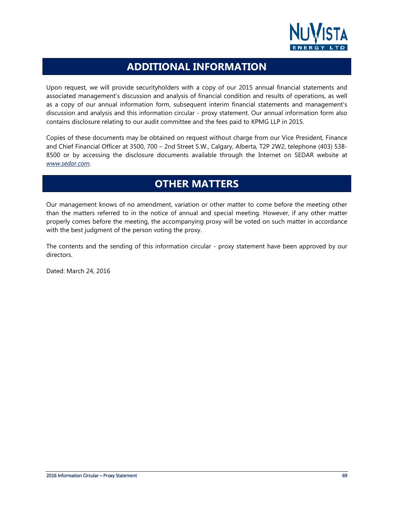

### **ADDITIONAL INFORMATION**

<span id="page-68-0"></span>Upon request, we will provide securityholders with a copy of our 2015 annual financial statements and associated management's discussion and analysis of financial condition and results of operations, as well as a copy of our annual information form, subsequent interim financial statements and management's discussion and analysis and this information circular - proxy statement. Our annual information form also contains disclosure relating to our audit committee and the fees paid to KPMG LLP in 2015.

Copies of these documents may be obtained on request without charge from our Vice President, Finance and Chief Financial Officer at 3500, 700 – 2nd Street S.W., Calgary, Alberta, T2P 2W2, telephone (403) 538- 8500 or by accessing the disclosure documents available through the Internet on SEDAR website at *www.sedar.com*.

### **OTHER MATTERS**

<span id="page-68-1"></span>Our management knows of no amendment, variation or other matter to come before the meeting other than the matters referred to in the notice of annual and special meeting. However, if any other matter properly comes before the meeting, the accompanying proxy will be voted on such matter in accordance with the best judgment of the person voting the proxy.

The contents and the sending of this information circular - proxy statement have been approved by our directors.

Dated: March 24, 2016